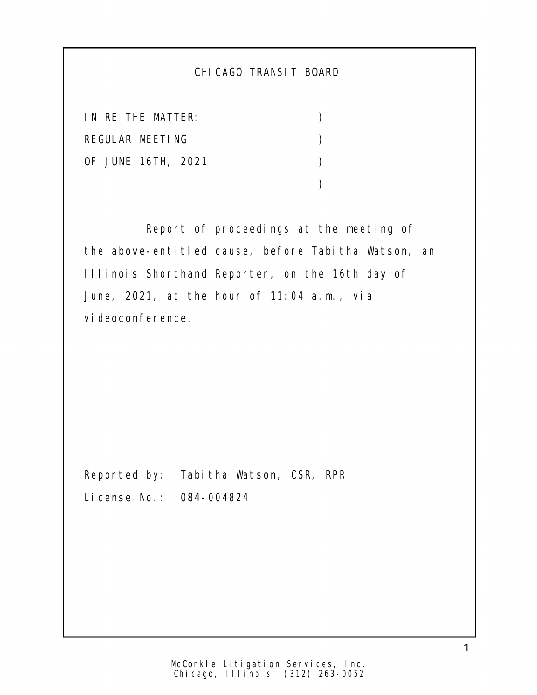## CHICAGO TRANSIT BOARD

IN RE THE MATTER: ) REGULAR MEETING (2002) OF JUNE 16TH, 2021 )  $)$ 

 Report of proceedings at the meeting of the above-entitled cause, before Tabitha Watson, an Illinois Shorthand Reporter, on the 16th day of June, 2021, at the hour of 11:04 a.m., via vi deoconference.

Reported by: Tabitha Watson, CSR, RPR License No.: 084-004824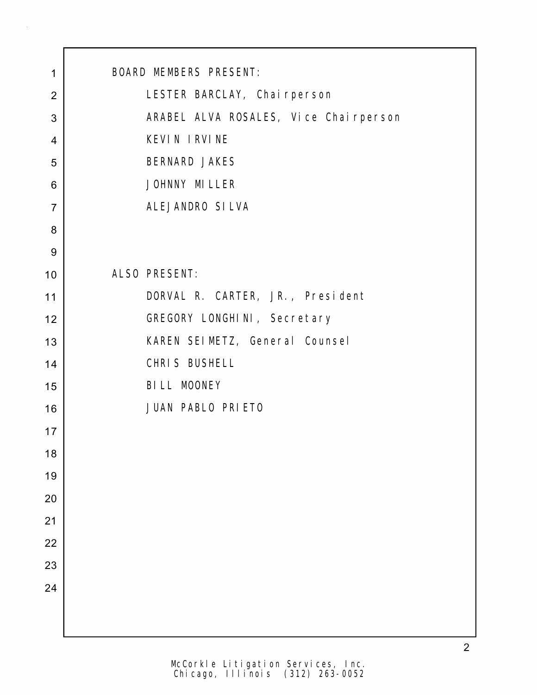| 1              | <b>BOARD MEMBERS PRESENT:</b>         |
|----------------|---------------------------------------|
| $\overline{2}$ | LESTER BARCLAY, Chai rperson          |
| 3              | ARABEL ALVA ROSALES, Vice Chairperson |
| $\overline{4}$ | KEVIN IRVINE                          |
| 5              | BERNARD JAKES                         |
| 6              | JOHNNY MI LLER                        |
| $\overline{7}$ | ALEJANDRO SILVA                       |
| 8              |                                       |
| $9\,$          |                                       |
| 10             | ALSO PRESENT:                         |
| 11             | DORVAL R. CARTER, JR., President      |
| 12             | GREGORY LONGHINI, Secretary           |
| 13             | KAREN SEIMETZ, General Counsel        |
| 14             | CHRIS BUSHELL                         |
| 15             | BILL MOONEY                           |
| 16             | JUAN PABLO PRIETO                     |
| 17             |                                       |
| 18             |                                       |
| 19             |                                       |
| 20             |                                       |
| 21             |                                       |
| 22             |                                       |
| 23             |                                       |
| 24             |                                       |
|                |                                       |
|                |                                       |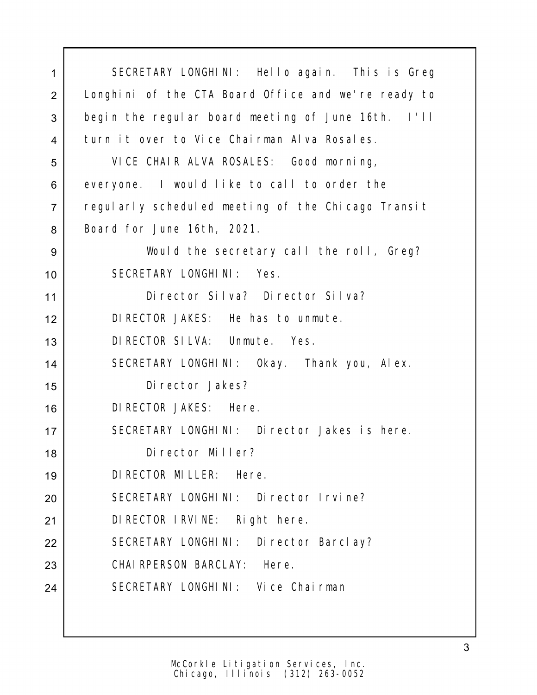SECRETARY LONGHINI: Hello again. This is Greg 2 | Longhini of the CTA Board Office and we're ready to begin the regular board meeting of June 16th. I'll 4 turn it over to Vice Chairman Alva Rosales. VICE CHAIR ALVA ROSALES: Good morning, everyone. I would like to call to order the 7 regularly scheduled meeting of the Chicago Transit 8 | Board for June 16th, 2021. Would the secretary call the roll, Greg? SECRETARY LONGHINI: Yes. Director Silva? Director Silva? DIRECTOR JAKES: He has to unmute. DIRECTOR SILVA: Unmute. Yes. SECRETARY LONGHINI: Okay. Thank you, Alex. Director Jakes? DIRECTOR JAKES: Here. 17 SECRETARY LONGHINI: Director Jakes is here. Director Miller? DIRECTOR MILLER: Here. SECRETARY LONGHINI: Director Irvine? 21 | DIRECTOR IRVINE: Right here. 22 SECRETARY LONGHINI: Director Barclay? CHAIRPERSON BARCLAY: Here. 24 SECRETARY LONGHINI: Vice Chairman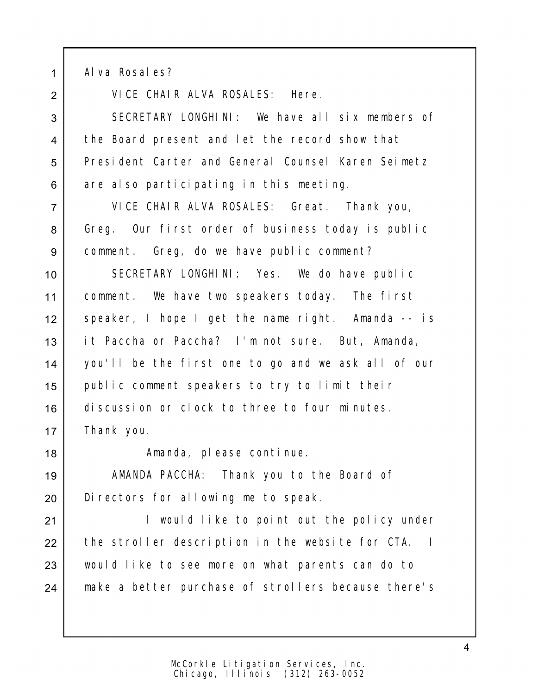1 Alva Rosales?

2 VICE CHAIR ALVA ROSALES: Here.

3 SECRETARY LONGHINI: We have all six members of 4 the Board present and let the record show that 5 President Carter and General Counsel Karen Seimetz 6 are also participating in this meeting.

7 VICE CHAIR ALVA ROSALES: Great. Thank you, 8 Greg. Our first order of business today is public 9 comment. Greg, do we have public comment?

 SECRETARY LONGHINI: Yes. We do have public comment. We have two speakers today. The first speaker, I hope I get the name right. Amanda -- is it Paccha or Paccha? I'm not sure. But, Amanda, you'll be the first one to go and we ask all of our public comment speakers to try to limit their discussion or clock to three to four minutes. Thank you.

18 | The Constantinue. Amanda, please continue.

19 | AMANDA PACCHA: Thank you to the Board of 20 Directors for allowing me to speak.

21 | I would like to point out the policy under 22 the stroller description in the website for CTA. I 23 would like to see more on what parents can do to 24 | make a better purchase of strollers because there's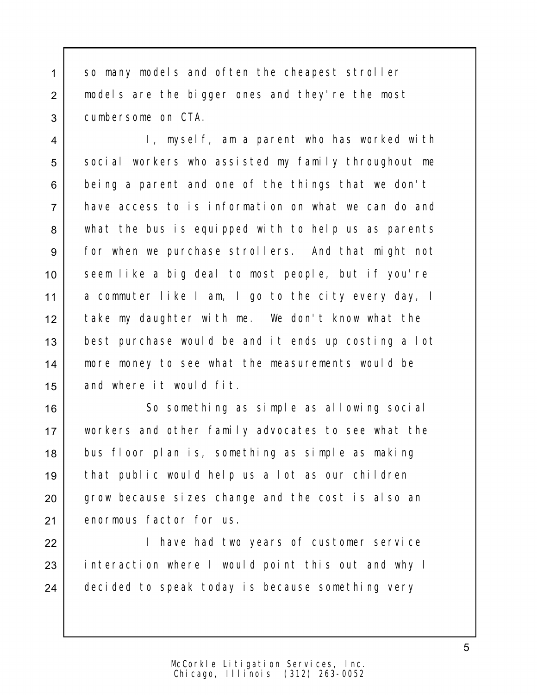1 so many models and often the cheapest stroller 2 models are the bigger ones and they're the most 3 cumbersome on CTA.

 I, myself, am a parent who has worked with 5 social workers who assisted my family throughout me 6 being a parent and one of the things that we don't have access to is information on what we can do and what the bus is equipped with to help us as parents for when we purchase strollers. And that might not 10 seem like a big deal to most people, but if you're a commuter like I am, I go to the city every day, I take my daughter with me. We don't know what the best purchase would be and it ends up costing a lot more money to see what the measurements would be and where it would fit.

 So something as simple as allowing social workers and other family advocates to see what the 18 bus floor plan is, something as simple as making that public would help us a lot as our children 20 grow because sizes change and the cost is also an enormous factor for us.

22 | Thave had two years of customer service 23 interaction where I would point this out and why I 24 decided to speak today is because something very

> Chicago, Illinois (312) 263-0052 McCorkle Litigation Services, Inc.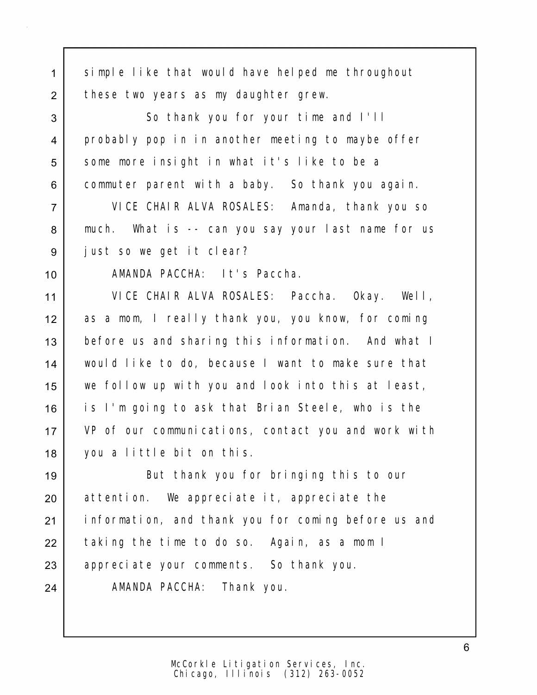1 simple like that would have helped me throughout 2 these two years as my daughter grew. 3 So thank you for your time and I'll 4 probably pop in in another meeting to maybe offer 5 | some more insight in what it's like to be a 6 commuter parent with a baby. So thank you again. 7 VICE CHAIR ALVA ROSALES: Amanda, thank you so 8 | much. What is -- can you say your last name for us 9 just so we get it clear? 10 | AMANDA PACCHA: It's Paccha. 11 VICE CHAIR ALVA ROSALES: Paccha. Okay. Well, 12 as a mom, I really thank you, you know, for coming 13 before us and sharing this information. And what I 14 would like to do, because I want to make sure that 15 we follow up with you and look into this at least, 16 is I'm going to ask that Brian Steele, who is the 17 VP of our communications, contact you and work with 18 you a little bit on this. 19 | But thank you for bringing this to our 20 attention. We appreciate it, appreciate the 21 information, and thank you for coming before us and 22 taking the time to do so. Again, as a mom I 23 appreciate your comments. So thank you. 24 AMANDA PACCHA: Thank you.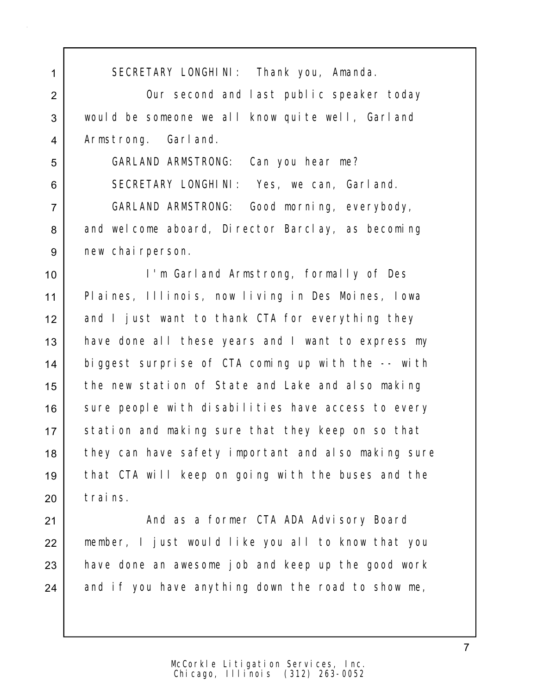1 SECRETARY LONGHINI: Thank you, Amanda. 2 | Cur second and last public speaker today 3 would be someone we all know quite well, Garland 4 Armstrong. Garland. 5 GARLAND ARMSTRONG: Can you hear me? 6 SECRETARY LONGHINI: Yes, we can, Garland. 7 GARLAND ARMSTRONG: Good morning, everybody, 8 and welcome aboard, Director Barclay, as becoming 9 new chairperson. 10 I'm Garland Armstrong, formally of Des 11 Plaines, Illinois, now living in Des Moines, Iowa 12 and I just want to thank CTA for everything they 13 | have done all these years and I want to express my 14 biggest surprise of CTA coming up with the -- with 15 the new station of State and Lake and also making 16 sure people with disabilities have access to every 17 Station and making sure that they keep on so that 18 they can have safety important and also making sure 19 that CTA will keep on going with the buses and the 20 trains. 21 | And as a former CTA ADA Advisory Board 22 member, I just would like you all to know that you 23 have done an awesome job and keep up the good work

 $24$  and if you have anything down the road to show me,

7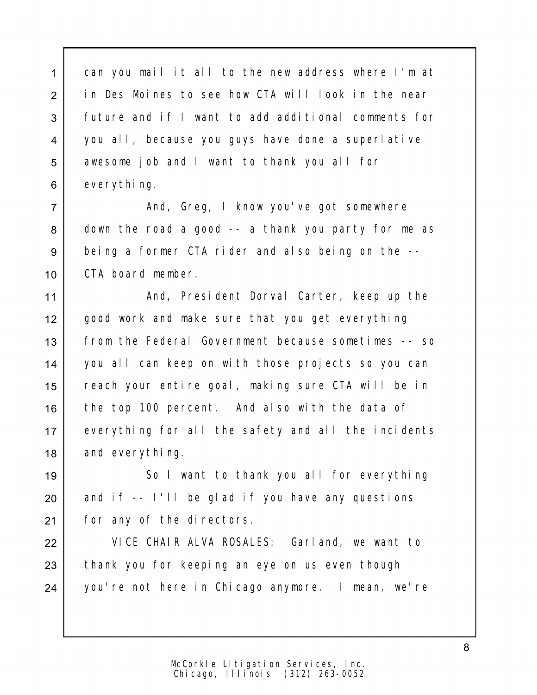can you mail it all to the new address where I'm at in Des Moines to see how CTA will look in the near future and if I want to add additional comments for you all, because you guys have done a superlative 5 awesome job and I want to thank you all for 6 everything.

7 And, Greg, I know you've got somewhere  $8$  down the road a good  $-$  a thank you party for me as 9 being a former CTA rider and also being on the --10 CTA board member.

11 | And, President Dorval Carter, keep up the 12 good work and make sure that you get everything 13 from the Federal Government because sometimes -- so 14 you all can keep on with those projects so you can 15 reach your entire goal, making sure CTA will be in 16 the top 100 percent. And also with the data of 17 everything for all the safety and all the incidents 18 and everything.

19 So I want to thank you all for everything  $20$  and if -- I'll be glad if you have any questions 21 | for any of the directors.

22 VICE CHAIR ALVA ROSALES: Garland, we want to 23 thank you for keeping an eye on us even though 24 you're not here in Chicago anymore. I mean, we're

> Chicago, Illinois (312) 263-0052 McCorkle Litigation Services, Inc.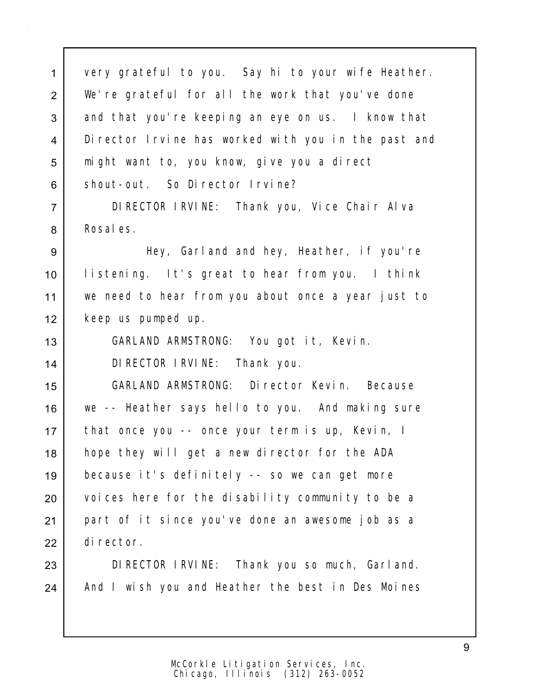very grateful to you. Say hi to your wife Heather. 2 | We're grateful for all the work that you've done 3 and that you're keeping an eye on us. I know that Director Irvine has worked with you in the past and 5 might want to, you know, give you a direct 6 shout-out. So Director Irvine?

 DIRECTOR IRVINE: Thank you, Vice Chair Alva 8 Rosales.

 Hey, Garland and hey, Heather, if you're listening. It's great to hear from you. I think we need to hear from you about once a year just to keep us pumped up.

GARLAND ARMSTRONG: You got it, Kevin.

DIRECTOR IRVINE: Thank you.

 GARLAND ARMSTRONG: Director Kevin. Because we -- Heather says hello to you. And making sure that once you -- once your term is up, Kevin, I hope they will get a new director for the ADA because it's definitely -- so we can get more 20 voices here for the disability community to be a part of it since you've done an awesome job as a director.

 DIRECTOR IRVINE: Thank you so much, Garland. 24 | And I wish you and Heather the best in Des Moines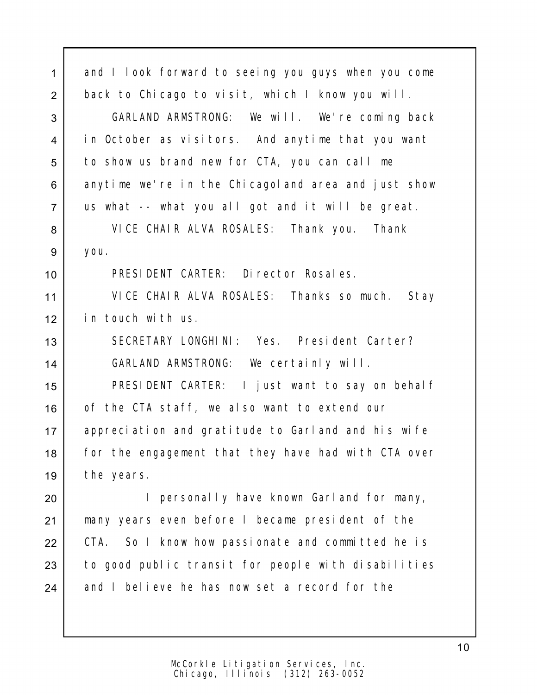| $\mathbf{1}$   | and I look forward to seeing you guys when you come |
|----------------|-----------------------------------------------------|
| $\overline{2}$ | back to Chicago to visit, which I know you will.    |
| 3              | GARLAND ARMSTRONG: We will. We're coming back       |
| $\overline{4}$ | in October as visitors. And anytime that you want   |
| 5              | to show us brand new for CTA, you can call me       |
| 6              | anytime we're in the Chicagoland area and just show |
| $\overline{7}$ | us what -- what you all got and it will be great.   |
| 8              | VICE CHAIR ALVA ROSALES: Thank you. Thank           |
| 9              | you.                                                |
| 10             | PRESIDENT CARTER: Director Rosales.                 |
| 11             | VICE CHAIR ALVA ROSALES: Thanks so much. Stay       |
| 12             | in touch with us.                                   |
| 13             | SECRETARY LONGHINI: Yes. President Carter?          |
| 14             | GARLAND ARMSTRONG: We certainly will.               |
| 15             | PRESIDENT CARTER: I just want to say on behalf      |
| 16             | of the CTA staff, we also want to extend our        |
| 17             | appreciation and gratitude to Garland and his wife  |
| 18             | for the engagement that they have had with CTA over |
| 19             | the years.                                          |
| 20             | personally have known Garland for many,<br>L        |
| 21             | many years even before I became president of the    |
| 22             | CTA. So I know how passionate and committed he is   |
| 23             | to good public transit for people with disabilities |
| 24             | and I believe he has now set a record for the       |
|                |                                                     |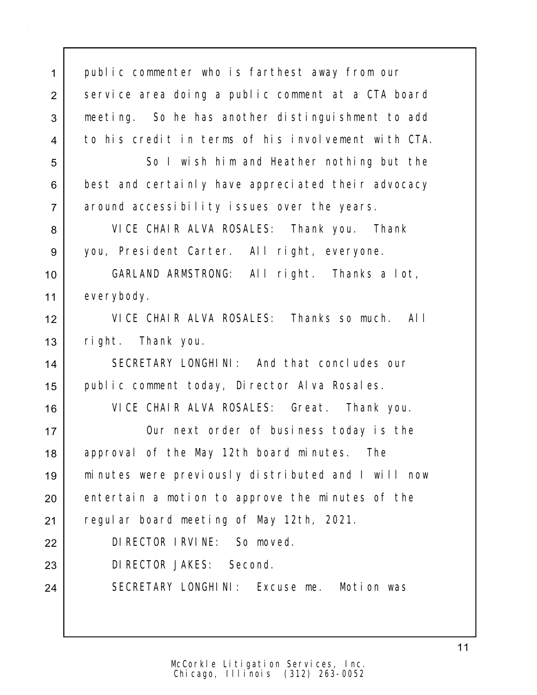public commenter who is farthest away from our 2 service area doing a public comment at a CTA board meeting. So he has another distinguishment to add to his credit in terms of his involvement with CTA. 5 So I wish him and Heather nothing but the 6 best and certainly have appreciated their advocacy around accessibility issues over the years. VICE CHAIR ALVA ROSALES: Thank you. Thank you, President Carter. All right, everyone. GARLAND ARMSTRONG: All right. Thanks a lot, 11 everybody. VICE CHAIR ALVA ROSALES: Thanks so much. All right. Thank you. SECRETARY LONGHINI: And that concludes our 15 | public comment today, Director Alva Rosales. VICE CHAIR ALVA ROSALES: Great. Thank you. Our next order of business today is the 18 | approval of the May 12th board minutes. The minutes were previously distributed and I will now 20 entertain a motion to approve the minutes of the 21 | regular board meeting of May 12th, 2021. DIRECTOR IRVINE: So moved. DIRECTOR JAKES: Second. 24 SECRETARY LONGHINI: Excuse me. Motion was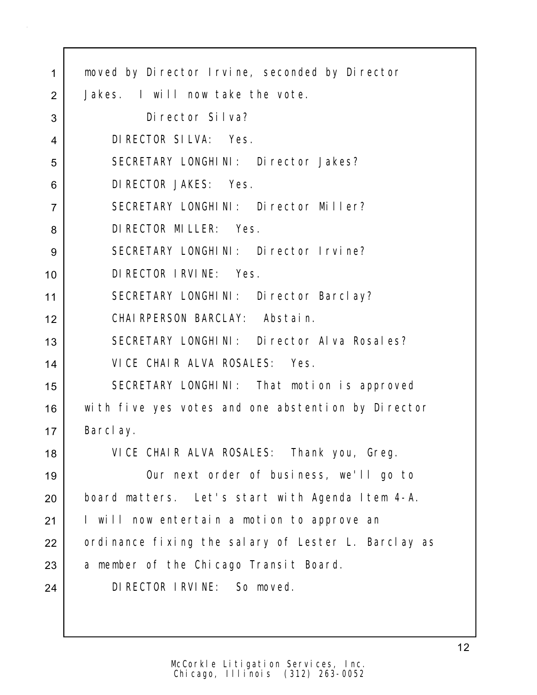| 1              | moved by Director Irvine, seconded by Director      |
|----------------|-----------------------------------------------------|
| 2              | Jakes. I will now take the vote.                    |
| 3              | Di rector Silva?                                    |
| 4              | DI RECTOR SILVA: Yes.                               |
| 5              | SECRETARY LONGHINI: Director Jakes?                 |
| 6              | DI RECTOR JAKES: Yes.                               |
| $\overline{7}$ | SECRETARY LONGHINI: Director Miller?                |
| 8              | DI RECTOR MILLER: Yes.                              |
| 9              | SECRETARY LONGHINI: Director Irvine?                |
| 10             | DI RECTOR I RVI NE: Yes.                            |
| 11             | SECRETARY LONGHINI: Director Barclay?               |
| 12             | CHAIRPERSON BARCLAY: Abstain.                       |
| 13             | SECRETARY LONGHINI: Director Alva Rosales?          |
| 14             | VICE CHAIR ALVA ROSALES: Yes.                       |
| 15             | SECRETARY LONGHINI: That motion is approved         |
| 16             | with five yes votes and one abstention by Director  |
| 17             | Barclay.                                            |
| 18             | VICE CHAIR ALVA ROSALES: Thank you, Greg.           |
| 19             | Our next order of business, we'll go to             |
| 20             | board matters. Let's start with Agenda Item 4-A.    |
| 21             | I will now entertain a motion to approve an         |
| 22             | ordinance fixing the salary of Lester L. Barclay as |
| 23             | a member of the Chicago Transit Board.              |
| 24             | DI RECTOR I RVI NE: So moved.                       |
|                |                                                     |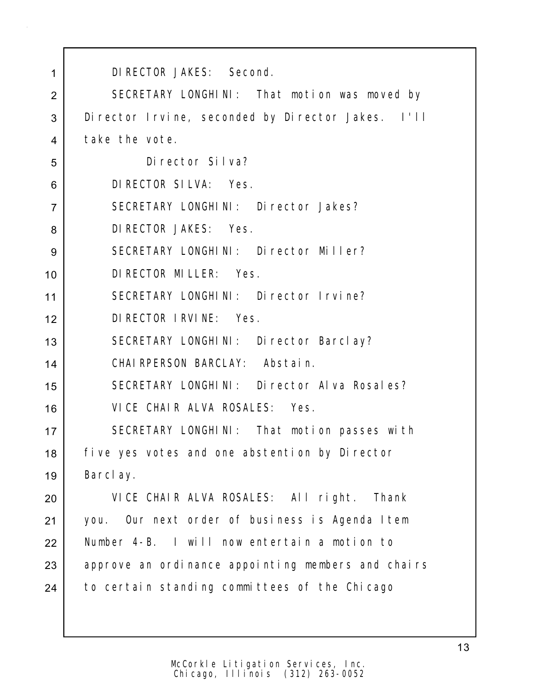| 1              | DI RECTOR JAKES: Second.                            |
|----------------|-----------------------------------------------------|
| $\overline{2}$ | SECRETARY LONGHINI: That motion was moved by        |
| 3              | Di rector Irvine, seconded by Di rector Jakes. I'll |
| 4              | take the vote.                                      |
| 5              | Di rector Silva?                                    |
| 6              | DI RECTOR SILVA: Yes.                               |
| $\overline{7}$ | SECRETARY LONGHINI: Director Jakes?                 |
| 8              | DI RECTOR JAKES: Yes.                               |
| 9              | SECRETARY LONGHINI: Director Miller?                |
| 10             | DI RECTOR MI LLER: Yes.                             |
| 11             | SECRETARY LONGHINI: Director Irvine?                |
| 12             | DI RECTOR I RVI NE: Yes.                            |
| 13             | SECRETARY LONGHINI: Director Barclay?               |
| 14             | CHAIRPERSON BARCLAY: Abstain.                       |
| 15             | SECRETARY LONGHINI: Director Alva Rosales?          |
| 16             | VICE CHAIR ALVA ROSALES: Yes.                       |
| 17             | SECRETARY LONGHINI: That motion passes with         |
| 18             | five yes votes and one abstention by Director       |
| 19             | Barclay.                                            |
| 20             | VICE CHAIR ALVA ROSALES: All right. Thank           |
| 21             | you. Our next order of business is Agenda Item      |
| 22             | Number 4-B. I will now entertain a motion to        |
| 23             | approve an ordinance appointing members and chairs  |
| 24             | to certain standing committees of the Chicago       |
|                |                                                     |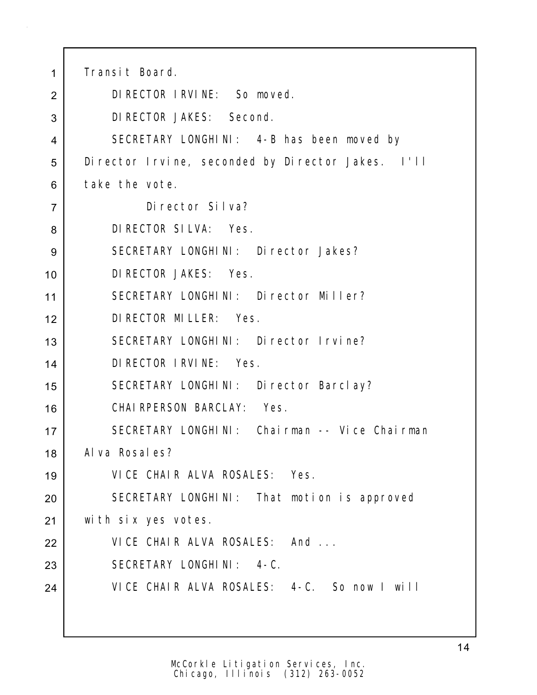| 1              | Transit Board.                                    |
|----------------|---------------------------------------------------|
| 2              | DI RECTOR I RVI NE: So moved.                     |
| 3              | DI RECTOR JAKES: Second.                          |
| 4              | SECRETARY LONGHINI: 4-B has been moved by         |
| 5              | Director Irvine, seconded by Director Jakes. I'll |
| 6              | take the vote.                                    |
| $\overline{7}$ | Di rector Silva?                                  |
| 8              | DI RECTOR SILVA: Yes.                             |
| 9              | SECRETARY LONGHINI: Director Jakes?               |
| 10             | DI RECTOR JAKES: Yes.                             |
| 11             | SECRETARY LONGHINI: Director Miller?              |
| 12             | DI RECTOR MI LLER: Yes.                           |
| 13             | SECRETARY LONGHINI: Director Irvine?              |
| 14             | DI RECTOR I RVI NE: Yes.                          |
| 15             | SECRETARY LONGHINI: Director Barclay?             |
| 16             | CHAIRPERSON BARCLAY: Yes.                         |
| 17             | SECRETARY LONGHINI: Chairman -- Vice Chairman     |
| 18             | Al va Rosal es?                                   |
| 19             | VICE CHAIR ALVA ROSALES: Yes.                     |
| 20             | SECRETARY LONGHINI: That motion is approved       |
| 21             | with six yes votes.                               |
| 22             | VICE CHAIR ALVA ROSALES: And                      |
| 23             | SECRETARY LONGHINI: 4-C.                          |
| 24             | VICE CHAIR ALVA ROSALES: 4-C. So now I will       |
|                |                                                   |
|                |                                                   |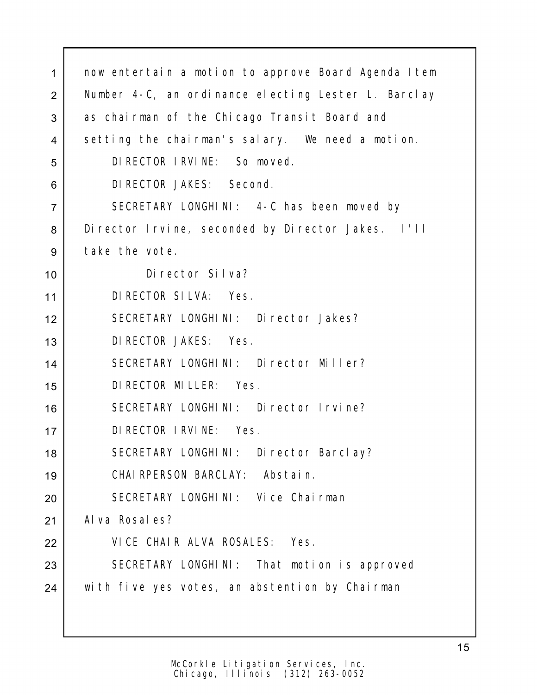| 1              | now entertain a motion to approve Board Agenda Item |
|----------------|-----------------------------------------------------|
| 2              | Number 4-C, an ordinance electing Lester L. Barclay |
| 3              | as chairman of the Chicago Transit Board and        |
| 4              | setting the chairman's salary. We need a motion.    |
| 5              | DI RECTOR I RVI NE: So moved.                       |
| 6              | DI RECTOR JAKES: Second.                            |
| $\overline{7}$ | SECRETARY LONGHINI: 4-C has been moved by           |
| 8              | Di rector Irvine, seconded by Di rector Jakes. I'll |
| 9              | take the vote.                                      |
| 10             | Di rector Silva?                                    |
| 11             | DI RECTOR SILVA: Yes.                               |
| 12             | SECRETARY LONGHINI: Director Jakes?                 |
| 13             | DI RECTOR JAKES: Yes.                               |
| 14             | SECRETARY LONGHINI: Director Miller?                |
| 15             | DI RECTOR MILLER: Yes.                              |
| 16             | SECRETARY LONGHINI: Director Irvine?                |
| 17             | DI RECTOR I RVI NE: Yes.                            |
| 18             | SECRETARY LONGHINI: Director Barclay?               |
| 19             | CHAI RPERSON BARCLAY:<br>Abstain.                   |
| 20             | SECRETARY LONGHINI: Vice Chairman                   |
| 21             | Al va Rosal es?                                     |
| 22             | VICE CHAIR ALVA ROSALES: Yes.                       |
| 23             | SECRETARY LONGHINI: That motion is approved         |
| 24             | with five yes votes, an abstention by Chairman      |
|                |                                                     |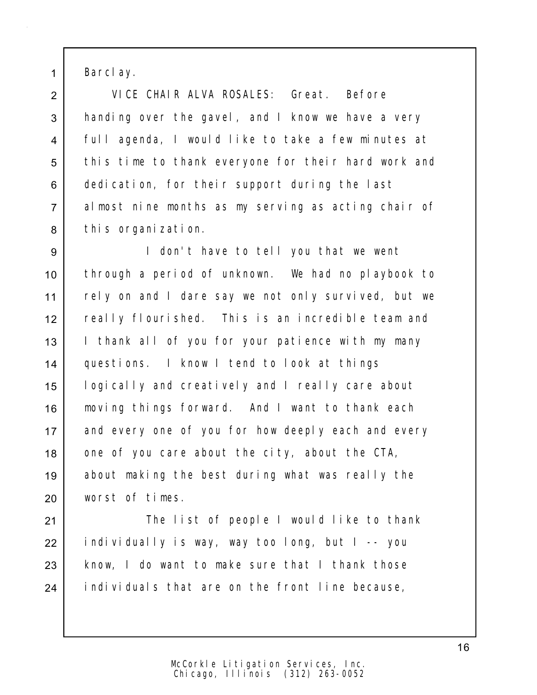1 Barclay.

2 VICE CHAIR ALVA ROSALES: Great. Before 3 handing over the gavel, and I know we have a very 4 full agenda, I would like to take a few minutes at 5 this time to thank everyone for their hard work and 6 dedication, for their support during the last 7 almost nine months as my serving as acting chair of 8 this organization.

9 I don't have to tell you that we went 10 through a period of unknown. We had no playbook to 11 | rely on and I dare say we not only survived, but we 12 really flourished. This is an incredible team and 13 | I thank all of you for your patience with my many 14 questions. I know I tend to look at things 15 logically and creatively and I really care about 16 | moving things forward. And I want to thank each 17 and every one of you for how deeply each and every 18 one of you care about the city, about the CTA, 19 about making the best during what was really the 20 worst of times.

21 | The list of people I would like to thank 22 individually is way, way too long, but I -- you 23 | know, I do want to make sure that I thank those 24 individuals that are on the front line because,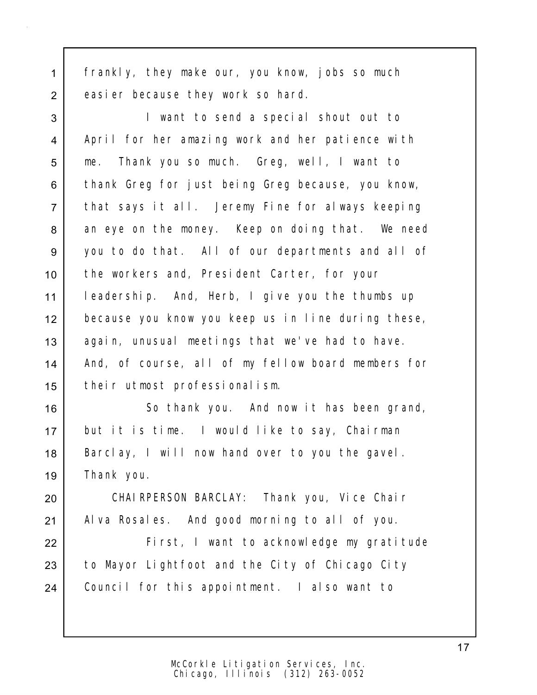1 frankly, they make our, you know, jobs so much 2 easier because they work so hard.

 I want to send a special shout out to 4 | April for her amazing work and her patience with 5 me. Thank you so much. Greg, well, I want to 6 thank Greg for just being Greg because, you know, that says it all. Jeremy Fine for always keeping 8 an eye on the money. Keep on doing that. We need you to do that. All of our departments and all of the workers and, President Carter, for your leadership. And, Herb, I give you the thumbs up because you know you keep us in line during these, 13 again, unusual meetings that we've had to have. And, of course, all of my fellow board members for their utmost professionalism.

16 | So thank you. And now it has been grand, 17 but it is time. I would like to say, Chairman 18 Barclay, I will now hand over to you the gavel. 19 Thank you.

20 CHAIRPERSON BARCLAY: Thank you, Vice Chair 21 | Alva Rosales. And good morning to all of you.

22 First, I want to acknowledge my gratitude 23 to Mayor Lightfoot and the City of Chicago City 24 | Council for this appointment. I also want to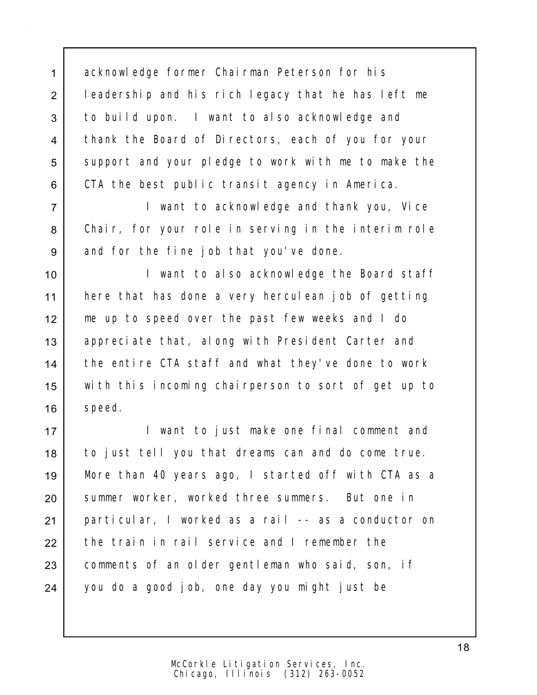1 acknowledge former Chairman Peterson for his 2 | leadership and his rich legacy that he has left me 3 to build upon. I want to also acknowledge and 4 | thank the Board of Directors, each of you for your 5 support and your pledge to work with me to make the 6 CTA the best public transit agency in America.

7 I want to acknowledge and thank you, Vice 8 Chair, for your role in serving in the interim role 9 and for the fine job that you've done.

10 | I want to also acknowledge the Board staff 11 here that has done a very herculean job of getting 12 me up to speed over the past few weeks and I do 13 | appreciate that, along with President Carter and 14 the entire CTA staff and what they've done to work 15 with this incoming chairperson to sort of get up to 16 | speed.

17 | I want to just make one final comment and 18 to just tell you that dreams can and do come true. 19 More than 40 years ago, I started off with CTA as a 20 summer worker, worked three summers. But one in 21 particular, I worked as a rail -- as a conductor on 22 the train in rail service and I remember the 23 comments of an older gentleman who said, son, if 24 you do a good job, one day you might just be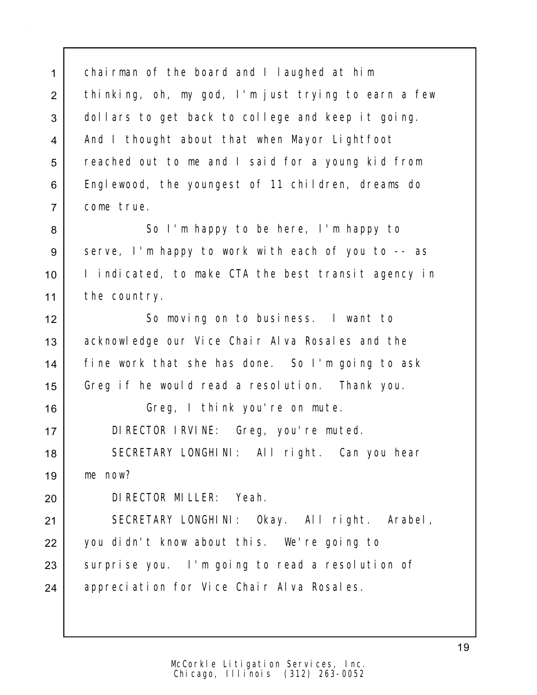1 chairman of the board and I laughed at him 2 thinking, oh, my god, I'm just trying to earn a few 3 dollars to get back to college and keep it going. 4 | And I thought about that when Mayor Lightfoot 5 reached out to me and I said for a young kid from 6 Englewood, the youngest of 11 children, dreams do 7 come true.

8 So I'm happy to be here, I'm happy to 9 serve, I'm happy to work with each of you to -- as 10 I indicated, to make CTA the best transit agency in 11 the country.

12 So moving on to business. I want to 13 acknowledge our Vice Chair Alva Rosales and the 14 fine work that she has done. So I'm going to ask 15 Greg if he would read a resolution. Thank you.

16 Greg, I think you're on mute.

17 DIRECTOR IRVINE: Greg, you're muted.

18 | SECRETARY LONGHINI: All right. Can you hear 19 me now?

20 DIRECTOR MILLER: Yeah.

21 SECRETARY LONGHINI: Okay. All right. Arabel, 22 you didn't know about this. We're going to 23 Surprise you. I'm going to read a resolution of 24 | appreciation for Vice Chair Alva Rosales.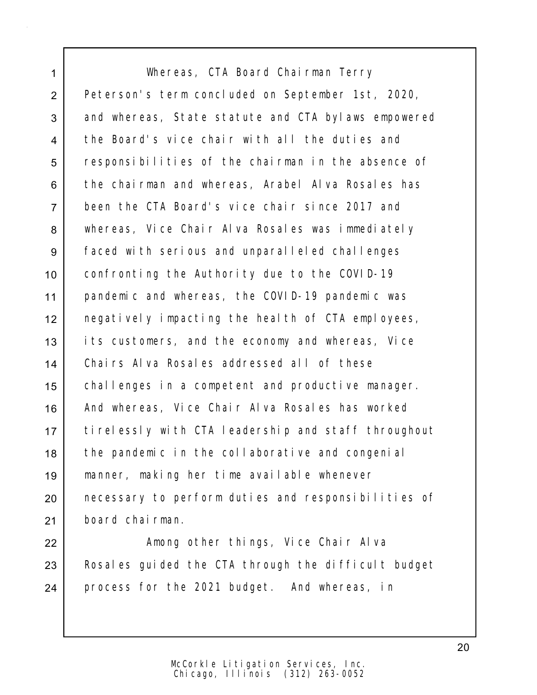1 Whereas, CTA Board Chairman Terry 2 Peterson's term concluded on September 1st, 2020, 3 and whereas, State statute and CTA bylaws empowered 4 the Board's vice chair with all the duties and 5 responsibilities of the chairman in the absence of 6 | the chairman and whereas, Arabel Alva Rosales has 7 been the CTA Board's vice chair since 2017 and 8 | whereas, Vice Chair Alva Rosales was immediately 9 Faced with serious and unparalleled challenges 10 confronting the Authority due to the COVID-19 11 pandemic and whereas, the COVID-19 pandemic was 12 negatively impacting the health of CTA employees, 13 its customers, and the economy and whereas, Vice 14 Chairs Alva Rosales addressed all of these 15 | challenges in a competent and productive manager. 16 And whereas, Vice Chair Alva Rosales has worked 17 tirelessly with CTA leadership and staff throughout 18 the pandemic in the collaborative and congenial 19 manner, making her time available whenever 20 necessary to perform duties and responsibilities of 21 board chairman.

22 | Among other things, Vice Chair Alva 23 | Rosales guided the CTA through the difficult budget 24 process for the 2021 budget. And whereas, in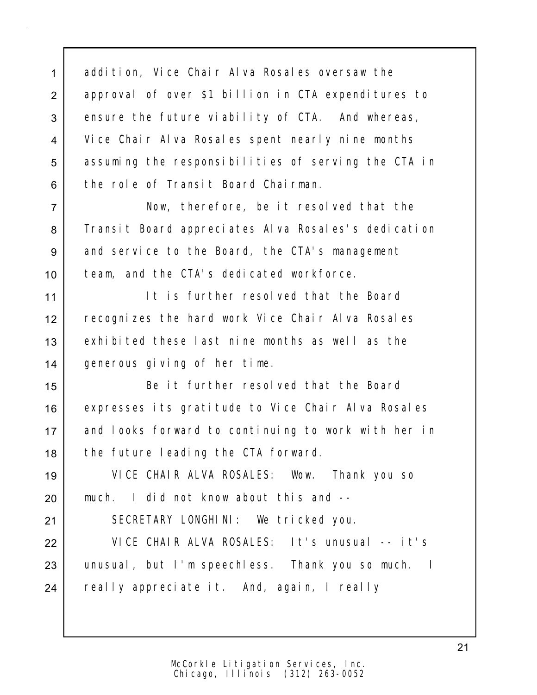1 addition, Vice Chair Alva Rosales oversaw the 2 approval of over \$1 billion in CTA expenditures to 3 ensure the future viability of CTA. And whereas, 4 Vice Chair Alva Rosales spent nearly nine months 5 assuming the responsibilities of serving the CTA in 6 the role of Transit Board Chairman.

7 Now, therefore, be it resolved that the 8 Transit Board appreciates Alva Rosales's dedication 9 and service to the Board, the CTA's management 10 team, and the CTA's dedicated workforce.

11 I It is further resolved that the Board 12 recognizes the hard work Vice Chair Alva Rosales 13 exhibited these last nine months as well as the 14 generous giving of her time.

15 Be it further resolved that the Board 16 expresses its gratitude to Vice Chair Alva Rosales 17 and looks forward to continuing to work with her in 18 the future leading the CTA forward.

19 VICE CHAIR ALVA ROSALES: Wow. Thank you so 20 much. I did not know about this and --

21 SECRETARY LONGHINI: We tricked you.

22 VICE CHAIR ALVA ROSALES: It's unusual -- it's 23 | unusual, but I'm speechless. Thank you so much. I 24 really appreciate it. And, again, I really

> Chicago, Illinois (312) 263-0052 McCorkle Litigation Services, Inc.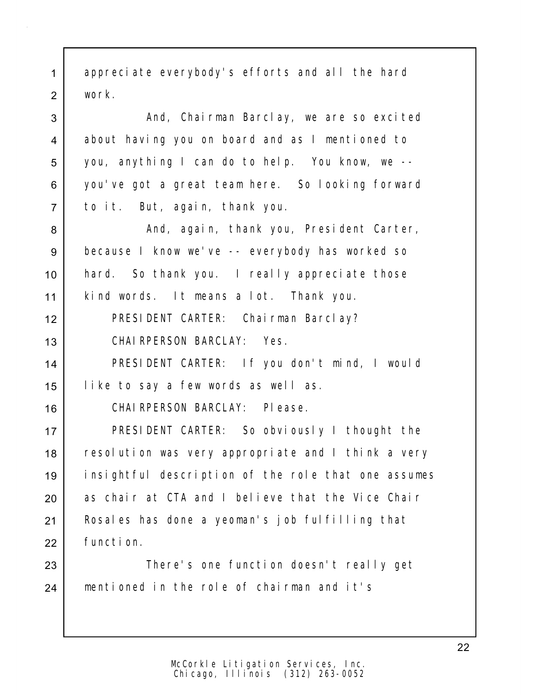1 appreciate everybody's efforts and all the hard 2 work.

3 a Chairman Barclay, we are so excited 4 about having you on board and as I mentioned to 5 you, anything I can do to help. You know, we -- 6 you've got a great team here. So looking forward 7 to it. But, again, thank you.

8 And, again, thank you, President Carter, 9 because I know we've -- everybody has worked so 10 hard. So thank you. I really appreciate those 11 kind words. It means a lot. Thank you.

12 PRESIDENT CARTER: Chairman Barclay? 13 CHAIRPERSON BARCLAY: Yes.

14 PRESIDENT CARTER: If you don't mind, I would 15 like to say a few words as well as.

16 CHAIRPERSON BARCLAY: Please.

17 PRESIDENT CARTER: So obviously I thought the 18 resolution was very appropriate and I think a very 19 insightful description of the role that one assumes 20 as chair at CTA and I believe that the Vice Chair 21 | Rosales has done a yeoman's job fulfilling that 22 function.

23 | There's one function doesn't really get 24 mentioned in the role of chairman and it's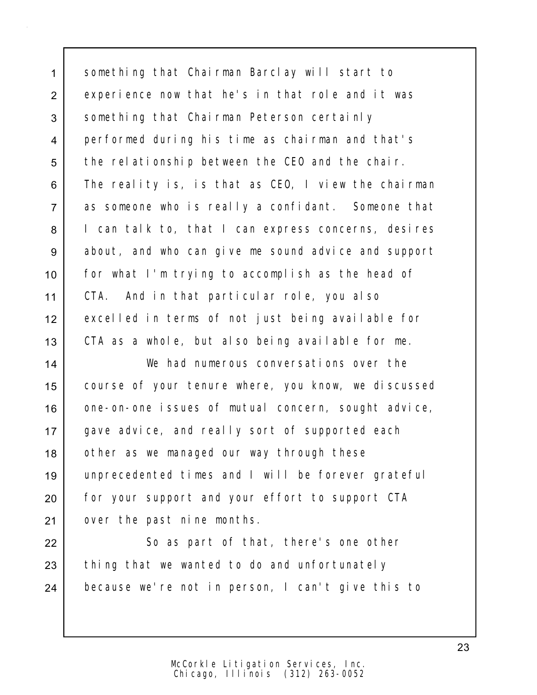1 something that Chairman Barclay will start to 2 experience now that he's in that role and it was 3 Something that Chairman Peterson certainly 4 performed during his time as chairman and that's 5 the relationship between the CEO and the chair. 6 The reality is, is that as CEO, I view the chairman 7 as someone who is really a confidant. Someone that 8 I can talk to, that I can express concerns, desires 9 about, and who can give me sound advice and support 10 for what I'm trying to accomplish as the head of 11 CTA. And in that particular role, you also 12 excelled in terms of not just being available for 13 CTA as a whole, but also being available for me.

14 We had numerous conversations over the 15 course of your tenure where, you know, we discussed 16 | one-on-one issues of mutual concern, sought advice, 17 gave advice, and really sort of supported each 18 | other as we managed our way through these 19 unprecedented times and I will be forever grateful 20 for your support and your effort to support CTA 21 over the past nine months.

22 So as part of that, there's one other  $23$  thing that we wanted to do and unfortunately 24 because we're not in person, I can't give this to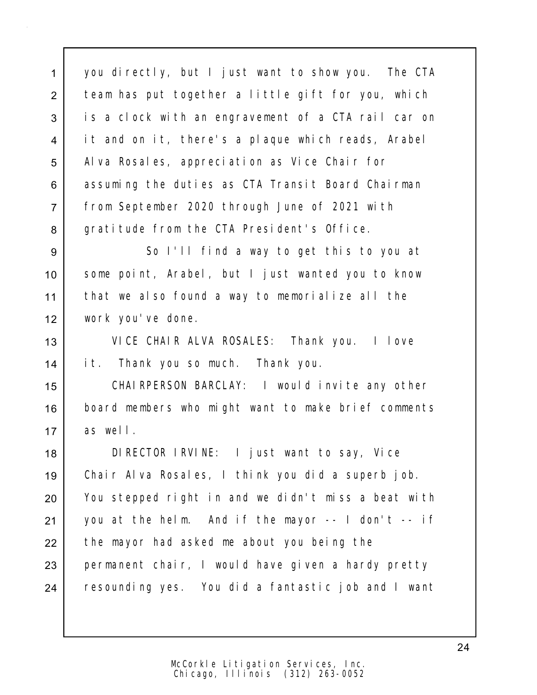1 you directly, but I just want to show you. The CTA 2 | team has put together a little gift for you, which 3 is a clock with an engravement of a CTA rail car on 4 it and on it, there's a plaque which reads, Arabel 5 | Alva Rosales, appreciation as Vice Chair for 6 assuming the duties as CTA Transit Board Chairman 7 from September 2020 through June of 2021 with 8 gratitude from the CTA President's Office.

 So I'll find a way to get this to you at 10 Some point, Arabel, but I just wanted you to know that we also found a way to memorialize all the work you've done.

13 VICE CHAIR ALVA ROSALES: Thank you. I love 14 it. Thank you so much. Thank you.

15 CHAIRPERSON BARCLAY: I would invite any other 16 board members who might want to make brief comments 17 as well.

18 DIRECTOR IRVINE: I just want to say, Vice 19 Chair Alva Rosales, I think you did a superb job. 20 You stepped right in and we didn't miss a beat with 21 | you at the helm. And if the mayor  $-$  I don't  $-$  if 22 the mayor had asked me about you being the 23 permanent chair, I would have given a hardy pretty 24 resounding yes. You did a fantastic job and I want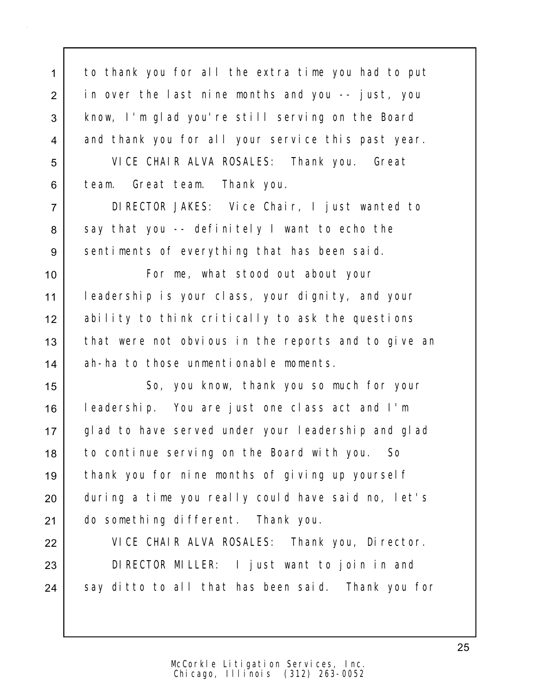1 to thank you for all the extra time you had to put 2 in over the last nine months and you -- just, you 3 | know, I'm glad you're still serving on the Board 4 and thank you for all your service this past year.

5 VICE CHAIR ALVA ROSALES: Thank you. Great 6 team. Great team. Thank you.

7 DIRECTOR JAKES: Vice Chair, I just wanted to  $8$  say that you -- definitely I want to echo the 9 sentiments of everything that has been said.

10 | The Forme, what stood out about your 11 leadership is your class, your dignity, and your 12 ability to think critically to ask the questions 13 | that were not obvious in the reports and to give an 14 ah-ha to those unmentionable moments.

15 | So, you know, thank you so much for your 16 leadership. You are just one class act and I'm 17 glad to have served under your leadership and glad 18 to continue serving on the Board with you. So 19 thank you for nine months of giving up yourself 20 during a time you really could have said no, let's 21 do something different. Thank you.

22 VICE CHAIR ALVA ROSALES: Thank you, Director. 23 DIRECTOR MILLER: I just want to join in and 24 | say ditto to all that has been said. Thank you for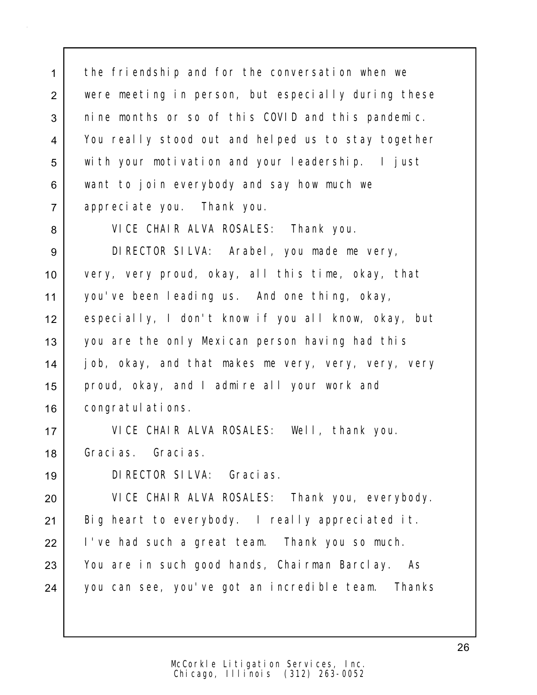1 the friendship and for the conversation when we were meeting in person, but especially during these 3 nine months or so of this COVID and this pandemic. You really stood out and helped us to stay together with your motivation and your leadership. I just 6 want to join everybody and say how much we appreciate you. Thank you.

VICE CHAIR ALVA ROSALES: Thank you.

 DIRECTOR SILVA: Arabel, you made me very, very, very proud, okay, all this time, okay, that you've been leading us. And one thing, okay, especially, I don't know if you all know, okay, but 13 you are the only Mexican person having had this job, okay, and that makes me very, very, very, very proud, okay, and I admire all your work and 16 | congratulations.

 VICE CHAIR ALVA ROSALES: Well, thank you. Gracias. Gracias.

DIRECTOR SILVA: Gracias.

 VICE CHAIR ALVA ROSALES: Thank you, everybody. 21 | Big heart to everybody. I really appreciated it. I've had such a great team. Thank you so much. 23 You are in such good hands, Chairman Barclay. As 24 you can see, you've got an incredible team. Thanks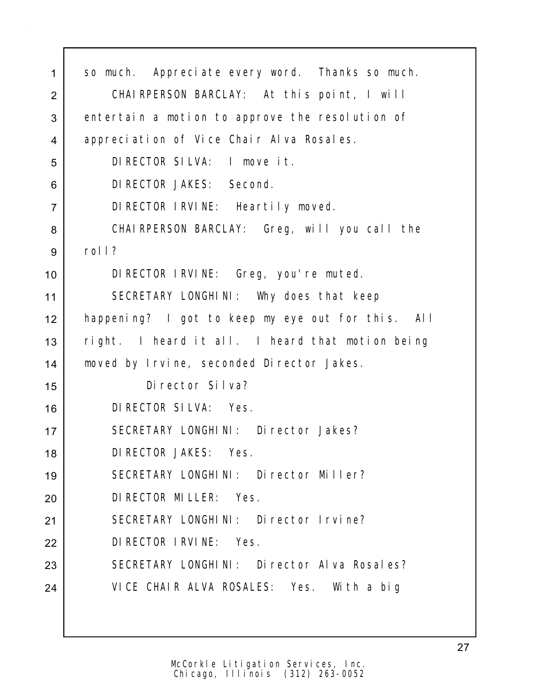| 1              | so much. Appreciate every word. Thanks so much.   |
|----------------|---------------------------------------------------|
| $\overline{2}$ | CHAIRPERSON BARCLAY: At this point, I will        |
| 3              | entertain a motion to approve the resolution of   |
| 4              | appreciation of Vice Chair Alva Rosales.          |
| 5              | DIRECTOR SILVA: I move it.                        |
| 6              | DI RECTOR JAKES: Second.                          |
| $\overline{7}$ | DIRECTOR IRVINE: Heartily moved.                  |
| 8              | CHAIRPERSON BARCLAY: Greg, will you call the      |
| 9              | roll?                                             |
| 10             | DIRECTOR IRVINE: Greg, you're muted.              |
| 11             | SECRETARY LONGHINI: Why does that keep            |
| 12             | happening? I got to keep my eye out for this. All |
| 13             | right. I heard it all. I heard that motion being  |
| 14             | moved by Irvine, seconded Director Jakes.         |
| 15             | Di rector Silva?                                  |
| 16             | DI RECTOR SILVA: Yes.                             |
| 17             | SECRETARY LONGHINI: Director Jakes?               |
| 18             | DI RECTOR JAKES: Yes.                             |
| 19             | SECRETARY LONGHINI: Director Miller?              |
| 20             | DI RECTOR MILLER: Yes.                            |
| 21             | SECRETARY LONGHINI: Director Irvine?              |
| 22             | DI RECTOR I RVI NE: Yes.                          |
| 23             | SECRETARY LONGHINI: Director Alva Rosales?        |
| 24             | VICE CHAIR ALVA ROSALES: Yes. With a big          |
|                |                                                   |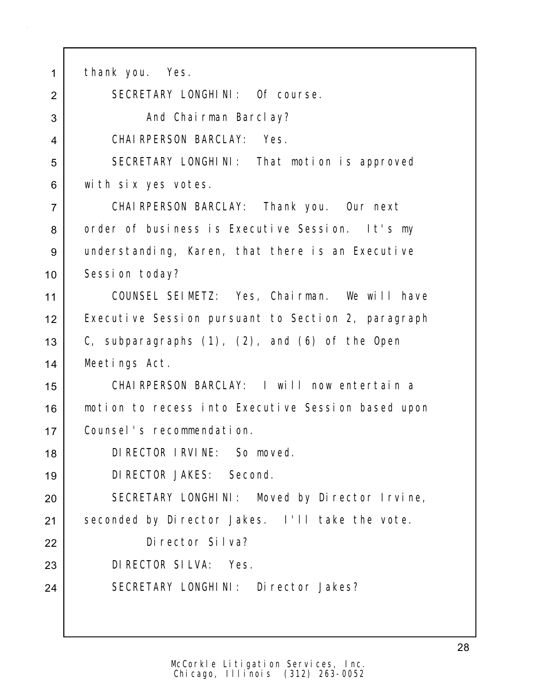1 | thank you. Yes. SECRETARY LONGHINI: Of course. 3 | **And Chairman Barclay?**  CHAIRPERSON BARCLAY: Yes. 5 SECRETARY LONGHINI: That motion is approved with six yes votes. CHAIRPERSON BARCLAY: Thank you. Our next 8 order of business is Executive Session. It's my understanding, Karen, that there is an Executive 10 | Session today? COUNSEL SEIMETZ: Yes, Chairman. We will have 12 | Executive Session pursuant to Section 2, paragraph 13 C, subparagraphs  $(1)$ ,  $(2)$ , and  $(6)$  of the Open Meetings Act. CHAIRPERSON BARCLAY: I will now entertain a motion to recess into Executive Session based upon Counsel's recommendation. DIRECTOR IRVINE: So moved. DIRECTOR JAKES: Second. 20 SECRETARY LONGHINI: Moved by Director Irvine, 21 Seconded by Director Jakes. I'll take the vote. Director Silva? DIRECTOR SILVA: Yes. SECRETARY LONGHINI: Director Jakes?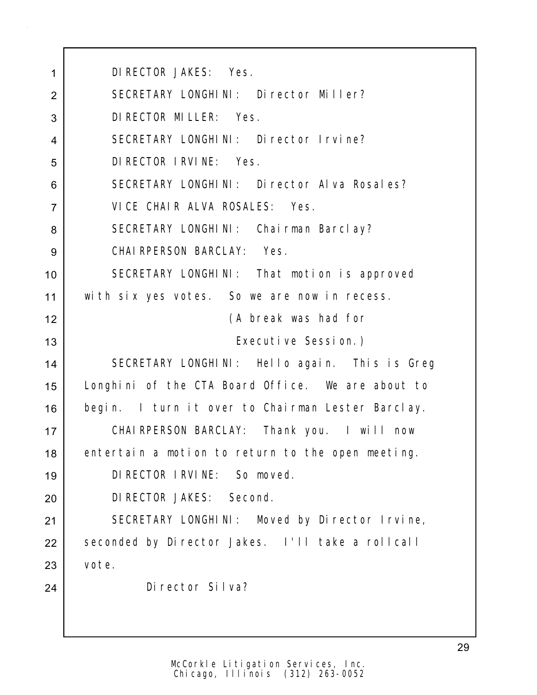DIRECTOR JAKES: Yes. 2 SECRETARY LONGHINI: Director Miller? DIRECTOR MILLER: Yes. SECRETARY LONGHINI: Director Irvine? DIRECTOR IRVINE: Yes. 6 SECRETARY LONGHINI: Director Alva Rosales? VICE CHAIR ALVA ROSALES: Yes. 8 SECRETARY LONGHINI: Chairman Barclay? CHAIRPERSON BARCLAY: Yes. 10 SECRETARY LONGHINI: That motion is approved 11 | with six yes votes. So we are now in recess. (A break was had for Executive Session.) SECRETARY LONGHINI: Hello again. This is Greg Longhini of the CTA Board Office. We are about to 16 begin. I turn it over to Chairman Lester Barclay. CHAIRPERSON BARCLAY: Thank you. I will now 18 entertain a motion to return to the open meeting. DIRECTOR IRVINE: So moved. DIRECTOR JAKES: Second. SECRETARY LONGHINI: Moved by Director Irvine, 22 Seconded by Director Jakes. I'll take a rollcall vote. Director Silva?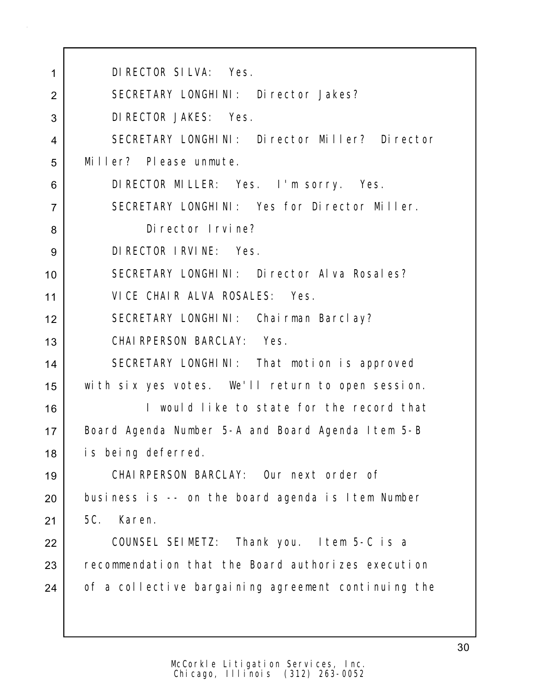| 1              | DI RECTOR SILVA: Yes.                               |
|----------------|-----------------------------------------------------|
| $\overline{2}$ | SECRETARY LONGHINI: Director Jakes?                 |
| 3              | DI RECTOR JAKES: Yes.                               |
| 4              | SECRETARY LONGHINI: Director Miller? Director       |
| 5              | Miller? Please unmute.                              |
| 6              | DIRECTOR MILLER: Yes. I'm sorry. Yes.               |
| $\overline{7}$ | SECRETARY LONGHINI: Yes for Director Miller.        |
| 8              | Di rector I rvine?                                  |
| 9              | DI RECTOR I RVI NE: Yes.                            |
| 10             | SECRETARY LONGHINI: Director Alva Rosales?          |
| 11             | VICE CHAIR ALVA ROSALES: Yes.                       |
| 12             | SECRETARY LONGHINI: Chairman Barclay?               |
| 13             | CHAIRPERSON BARCLAY: Yes.                           |
| 14             | SECRETARY LONGHINI: That motion is approved         |
| 15             | with six yes votes. We'll return to open session.   |
| 16             | I would like to state for the record that           |
| 17             | Board Agenda Number 5-A and Board Agenda I tem 5-B  |
| 18             | is being deferred.                                  |
| 19             | CHAIRPERSON BARCLAY: Our next order of              |
| 20             | business is -- on the board agenda is Item Number   |
| 21             | 5C.<br>Karen.                                       |
| 22             | COUNSEL SEIMETZ: Thank you. I tem 5-C is a          |
| 23             | recommendation that the Board authorizes execution  |
| 24             | of a collective bargaining agreement continuing the |
|                |                                                     |
|                |                                                     |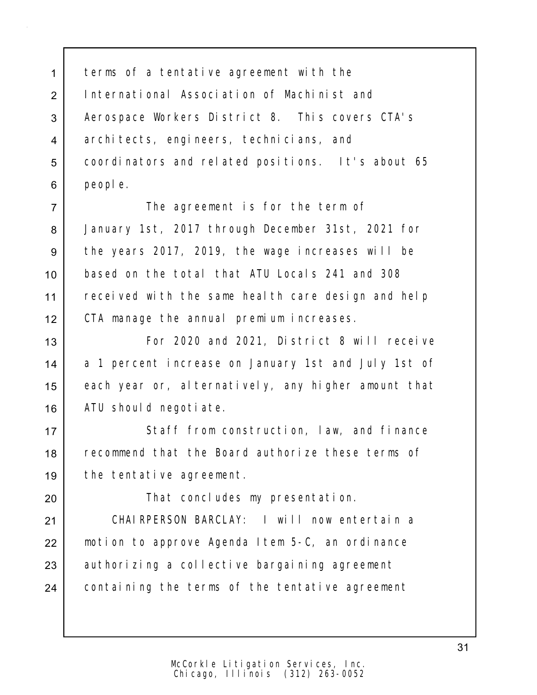1 terms of a tentative agreement with the 2 International Association of Machinist and 3 Aerospace Workers District 8. This covers CTA's 4 architects, engineers, technicians, and 5 | coordinators and related positions. It's about 65 6 people.

7 The agreement is for the term of January 1st, 2017 through December 31st, 2021 for the years 2017, 2019, the wage increases will be based on the total that ATU Locals 241 and 308 11 | received with the same health care design and help CTA manage the annual premium increases.

13 For 2020 and 2021, District 8 will receive 14 a 1 percent increase on January 1st and July 1st of 15 each year or, alternatively, any higher amount that 16 | ATU should negotiate.

17 Staff from construction, law, and finance 18 recommend that the Board authorize these terms of 19 the tentative agreement.

20 | That concludes my presentation.

21 CHAIRPERSON BARCLAY: I will now entertain a 22 | motion to approve Agenda Item 5-C, an ordinance 23 authorizing a collective bargaining agreement 24 containing the terms of the tentative agreement

31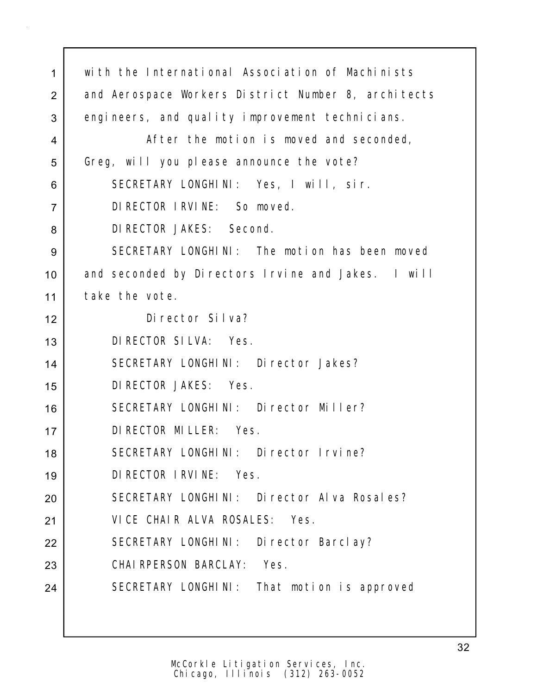| $\mathbf{1}$   | with the International Association of Machinists    |
|----------------|-----------------------------------------------------|
| $\overline{2}$ | and Aerospace Workers District Number 8, architects |
| 3              | engineers, and quality improvement technicians.     |
| 4              | After the motion is moved and seconded,             |
| 5              | Greg, will you please announce the vote?            |
| 6              | SECRETARY LONGHINI: Yes, I will, sir.               |
| $\overline{7}$ | DI RECTOR I RVI NE: So moved.                       |
| 8              | DI RECTOR JAKES: Second.                            |
| 9              | SECRETARY LONGHINI: The motion has been moved       |
| 10             | and seconded by Directors Irvine and Jakes. I will  |
| 11             | take the vote.                                      |
| 12             | Di rector Silva?                                    |
| 13             | DI RECTOR SILVA: Yes.                               |
| 14             | SECRETARY LONGHINI: Director Jakes?                 |
| 15             | DI RECTOR JAKES: Yes.                               |
| 16             | SECRETARY LONGHINI: Director Miller?                |
| 17             | DI RECTOR MI LLER: Yes.                             |
| 18             | SECRETARY LONGHINI: Director Irvine?                |
| 19             | DI RECTOR I RVI NE: Yes.                            |
| 20             | SECRETARY LONGHINI: Director Alva Rosales?          |
| 21             | VICE CHAIR ALVA ROSALES: Yes.                       |
| 22             | SECRETARY LONGHINI: Director Barclay?               |
| 23             | CHAI RPERSON BARCLAY:<br>Yes.                       |
| 24             | SECRETARY LONGHINI: That motion is approved         |
|                |                                                     |
|                |                                                     |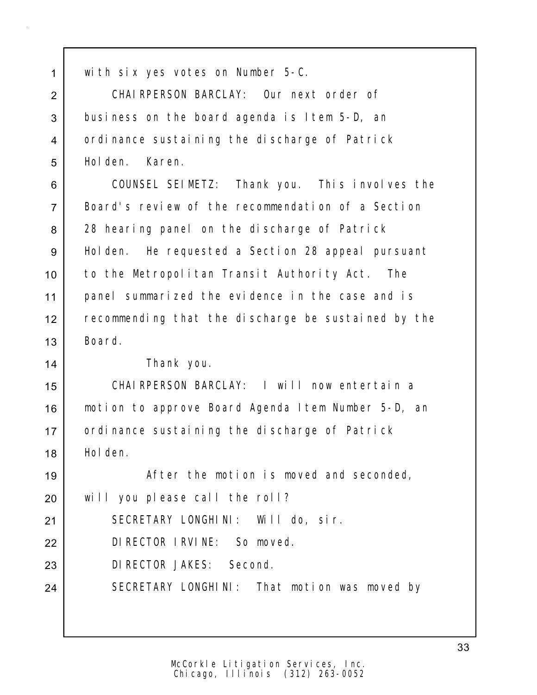with six yes votes on Number 5-C.

 CHAIRPERSON BARCLAY: Our next order of business on the board agenda is Item 5-D, an 4 ordinance sustaining the discharge of Patrick Holden. Karen.

 COUNSEL SEIMETZ: Thank you. This involves the Board's review of the recommendation of a Section 8 28 hearing panel on the discharge of Patrick 9 | Holden. He requested a Section 28 appeal pursuant to the Metropolitan Transit Authority Act. The panel summarized the evidence in the case and is 12 recommending that the discharge be sustained by the Board.

Thank you.

 CHAIRPERSON BARCLAY: I will now entertain a motion to approve Board Agenda Item Number 5-D, an 17 | ordinance sustaining the discharge of Patrick Holden.

19 | The motion is moved and seconded, will you please call the roll? SECRETARY LONGHINI: Will do, sir. DIRECTOR IRVINE: So moved.

DIRECTOR JAKES: Second.

24 SECRETARY LONGHINI: That motion was moved by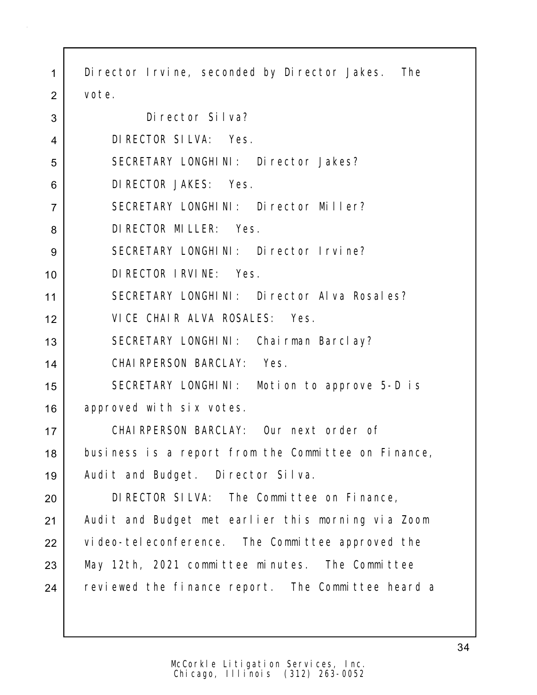1 Director Irvine, seconded by Director Jakes. The vote.

| 3              | Di rector Silva?                                    |
|----------------|-----------------------------------------------------|
| $\overline{4}$ | DI RECTOR SILVA: Yes.                               |
| 5              | SECRETARY LONGHINI: Director Jakes?                 |
| 6              | DI RECTOR JAKES: Yes.                               |
| $\overline{7}$ | SECRETARY LONGHINI: Director Miller?                |
| 8              | DI RECTOR MI LLER: Yes.                             |
| 9              | SECRETARY LONGHINI: Director Irvine?                |
| 10             | DI RECTOR I RVI NE: Yes.                            |
| 11             | SECRETARY LONGHINI: Director Alva Rosales?          |
| 12             | VICE CHAIR ALVA ROSALES: Yes.                       |
| 13             | SECRETARY LONGHINI: Chairman Barclay?               |
| 14             | CHAIRPERSON BARCLAY: Yes.                           |
| 15             | SECRETARY LONGHINI: Motion to approve 5-D is        |
| 16             | approved with six votes.                            |
| 17             | CHAIRPERSON BARCLAY: Our next order of              |
| 18             | business is a report from the Committee on Finance, |
| 19             | Audit and Budget. Director Silva.                   |
| 20             | DIRECTOR SILVA: The Committee on Finance,           |
| 21             | Audit and Budget met earlier this morning via Zoom  |
| 22             | video-teleconference. The Committee approved the    |
| 23             | May 12th, 2021 committee minutes. The Committee     |
| 24             | reviewed the finance report. The Committee heard a  |
|                |                                                     |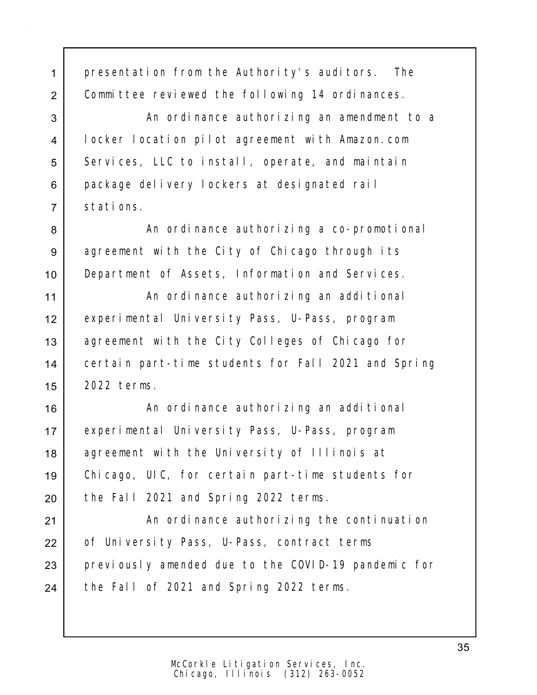| $\mathbf{1}$   | presentation from the Authority's auditors. The     |
|----------------|-----------------------------------------------------|
| $\overline{2}$ | Committee reviewed the following 14 ordinances.     |
| 3              | An ordinance authorizing an amendment to a          |
| 4              | locker location pilot agreement with Amazon.com     |
| 5              | Services, LLC to install, operate, and maintain     |
| 6              | package delivery lockers at designated rail         |
| $\overline{7}$ | stations.                                           |
| 8              | An ordinance authorizing a co-promotional           |
| $9\,$          | agreement with the City of Chicago through its      |
| 10             | Department of Assets, Information and Services.     |
| 11             | An ordinance authorizing an additional              |
| 12             | experimental University Pass, U-Pass, program       |
| 13             | agreement with the City Colleges of Chicago for     |
| 14             | certain part-time students for Fall 2021 and Spring |
| 15             | 2022 terms.                                         |
| 16             | An ordinance authorizing an additional              |
| 17             | experimental University Pass, U-Pass, program       |
| 18             | agreement with the University of Illinois at        |
| 19             | Chicago, UIC, for certain part-time students for    |
| 20             | the Fall 2021 and Spring 2022 terms.                |
| 21             | An ordinance authorizing the continuation           |
| 22             | of University Pass, U-Pass, contract terms          |
| 23             | previously amended due to the COVID-19 pandemic for |
| 24             | the Fall of 2021 and Spring 2022 terms.             |
|                |                                                     |
|                |                                                     |

35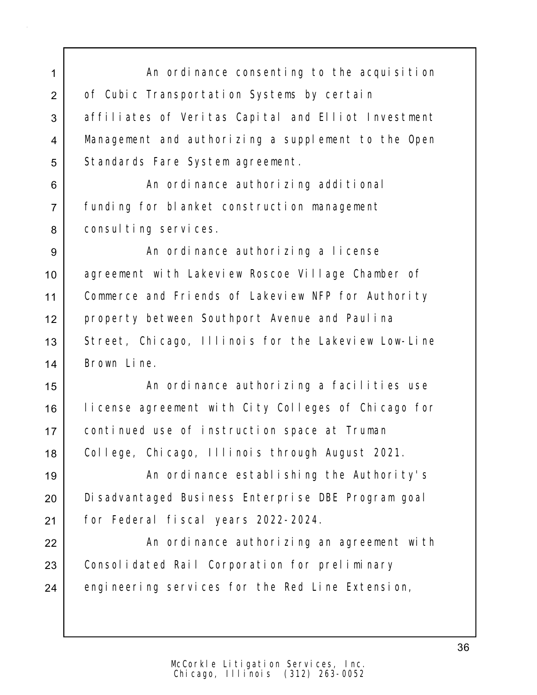1 An ordinance consenting to the acquisition 2 of Cubic Transportation Systems by certain 3 affiliates of Veritas Capital and Elliot Investment 4 Management and authorizing a supplement to the Open 5 | Standards Fare System agreement.

6 an ordinance authorizing additional 7 funding for blanket construction management 8 | consulting services.

9 | An ordinance authorizing a license 10 | agreement with Lakeview Roscoe Village Chamber of 11 | Commerce and Friends of Lakeview NFP for Authority 12 property between Southport Avenue and Paulina 13 Street, Chicago, Illinois for the Lakeview Low-Line 14 Brown Line.

15 | An ordinance authorizing a facilities use 16 | license agreement with City Colleges of Chicago for 17 continued use of instruction space at Truman 18 College, Chicago, Illinois through August 2021.

19 | An ordinance establishing the Authority's 20 Disadvantaged Business Enterprise DBE Program goal 21 for Federal fiscal years 2022-2024.

22 | An ordinance authorizing an agreement with 23 Consolidated Rail Corporation for preliminary 24 engineering services for the Red Line Extension,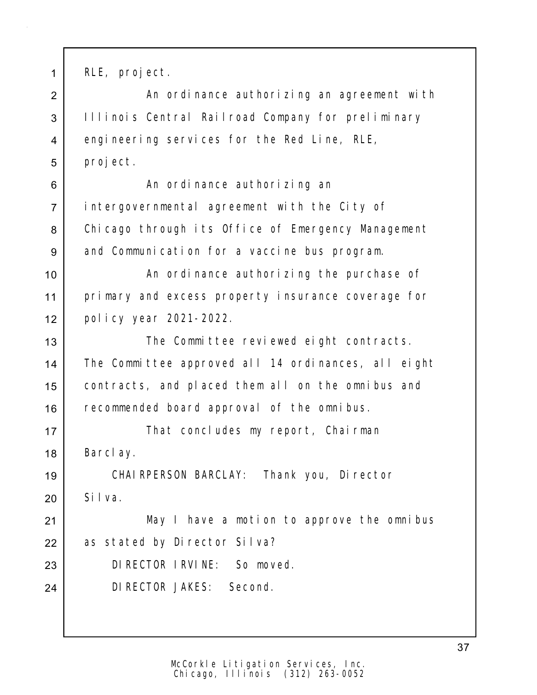1 RLE, project.

2 | An ordinance authorizing an agreement with 3 | Illinois Central Railroad Company for preliminary 4 engineering services for the Red Line, RLE, 5 project.

6 | Kan ordinance authorizing an 7 intergovernmental agreement with the City of 8 Chicago through its Office of Emergency Management 9 and Communication for a vaccine bus program.

10 | The San ordinance authorizing the purchase of 11 primary and excess property insurance coverage for 12 policy year 2021-2022.

13 | The Committee reviewed eight contracts. 14 The Committee approved all 14 ordinances, all eight 15 contracts, and placed them all on the omnibus and 16 recommended board approval of the omnibus.

17 | That concludes my report, Chairman 18 Barclay.

19 CHAIRPERSON BARCLAY: Thank you, Director  $20$  Silva.

21 May I have a motion to approve the omnibus 22 as stated by Director Silva?

23 DIRECTOR IRVINE: So moved.

24 DIRECTOR JAKES: Second.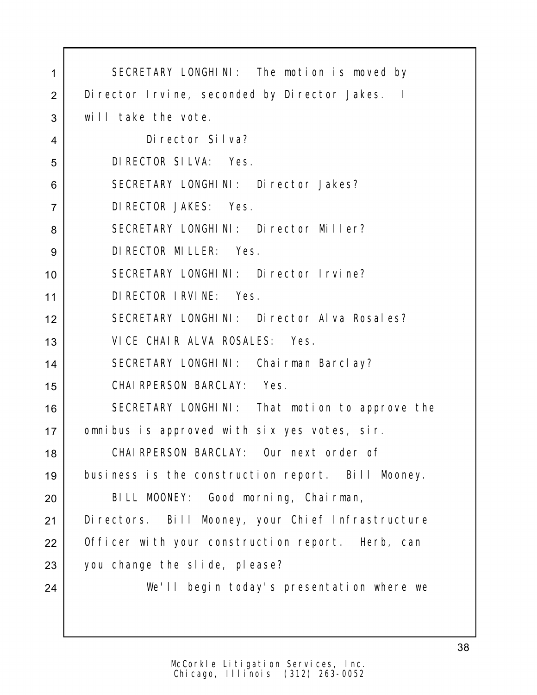| 1              | SECRETARY LONGHINI: The motion is moved by         |
|----------------|----------------------------------------------------|
| $\overline{2}$ | Di rector I rvine, seconded by Di rector Jakes. I  |
| 3              | will take the vote.                                |
| 4              | Director Silva?                                    |
| 5              | DI RECTOR SILVA: Yes.                              |
| 6              | SECRETARY LONGHINI: Director Jakes?                |
| $\overline{7}$ | DI RECTOR JAKES: Yes.                              |
| 8              | SECRETARY LONGHINI: Director Miller?               |
| 9              | DI RECTOR MI LLER: Yes.                            |
| 10             | SECRETARY LONGHINI: Director Irvine?               |
| 11             | DI RECTOR I RVI NE: Yes.                           |
| 12             | SECRETARY LONGHINI: Director Alva Rosales?         |
| 13             | VICE CHAIR ALVA ROSALES: Yes.                      |
| 14             | SECRETARY LONGHINI: Chairman Barclay?              |
| 15             | CHAI RPERSON BARCLAY: Yes.                         |
| 16             | SECRETARY LONGHINI: That motion to approve the     |
| 17             | omnibus is approved with six yes votes, sir.       |
| 18             | CHAIRPERSON BARCLAY: Our next order of             |
| 19             | business is the construction report. Bill Mooney.  |
| 20             | BILL MOONEY: Good morning, Chairman,               |
| 21             | Di rectors. Bill Mooney, your Chief Infrastructure |
| 22             | Officer with your construction report. Herb, can   |
| 23             | you change the slide, please?                      |
| 24             | We'll begin today's presentation where we          |
|                |                                                    |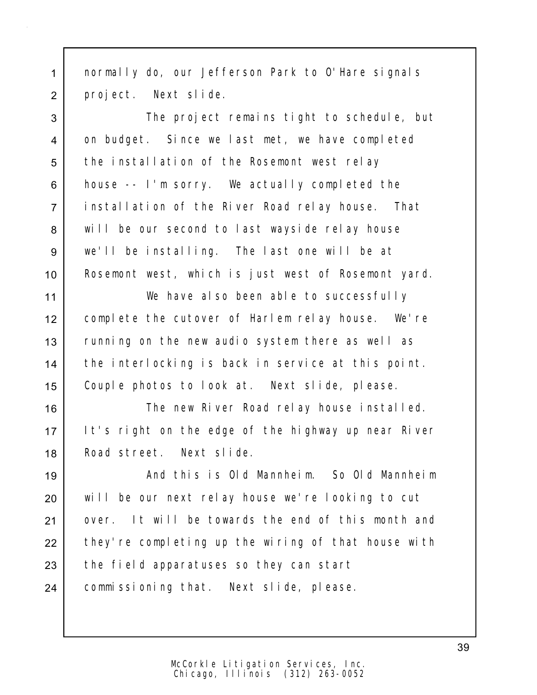1 normally do, our Jefferson Park to O'Hare signals 2 project. Next slide.

3 The project remains tight to schedule, but 4 on budget. Since we last met, we have completed 5 the installation of the Rosemont west relay 6 house -- I'm sorry. We actually completed the 7 installation of the River Road relay house. That 8 will be our second to last wayside relay house 9 we'll be installing. The last one will be at 10 Rosemont west, which is just west of Rosemont yard.

 We have also been able to successfully complete the cutover of Harlem relay house. We're 13 Tunning on the new audio system there as well as the interlocking is back in service at this point. Couple photos to look at. Next slide, please.

16 | The new River Road relay house installed. 17 It's right on the edge of the highway up near River 18 Road street. Next slide.

19 And this is Old Mannheim. So Old Mannheim 20 will be our next relay house we're looking to cut 21 over. It will be towards the end of this month and 22 they're completing up the wiring of that house with 23 the field apparatuses so they can start 24 | commissioning that. Next slide, please.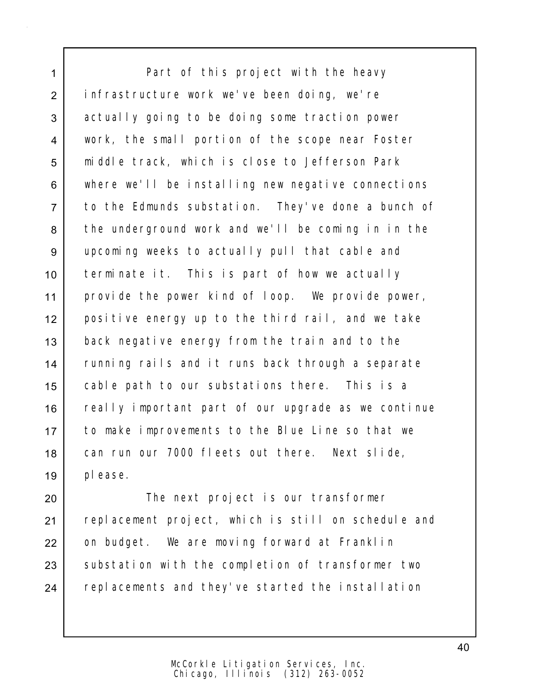1 Part of this project with the heavy 2 infrastructure work we've been doing, we're 3 actually going to be doing some traction power 4 work, the small portion of the scope near Foster 5 middle track, which is close to Jefferson Park 6 where we'll be installing new negative connections 7 to the Edmunds substation. They've done a bunch of 8 the underground work and we'll be coming in in the 9 upcoming weeks to actually pull that cable and 10 terminate it. This is part of how we actually 11 provide the power kind of loop. We provide power, 12 positive energy up to the third rail, and we take 13 back negative energy from the train and to the 14 | running rails and it runs back through a separate 15 cable path to our substations there. This is a 16 | really important part of our upgrade as we continue 17 to make improvements to the Blue Line so that we 18 can run our 7000 fleets out there. Next slide, 19 please.

20 | The next project is our transformer 21 | replacement project, which is still on schedule and 22 on budget. We are moving forward at Franklin 23 Substation with the completion of transformer two 24 replacements and they've started the installation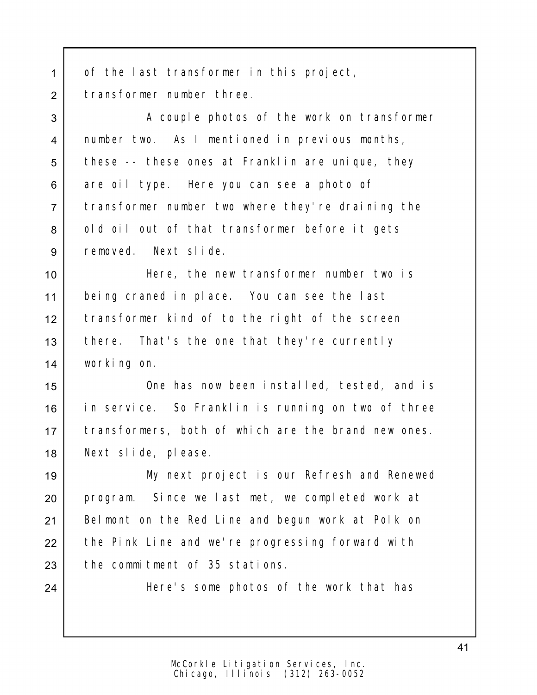1 of the last transformer in this project, 2 transformer number three.

3 A couple photos of the work on transformer 4 number two. As I mentioned in previous months, 5 these -- these ones at Franklin are unique, they 6 are oil type. Here you can see a photo of 7 transformer number two where they're draining the 8 | old oil out of that transformer before it gets 9 removed. Next slide.

 Here, the new transformer number two is being craned in place. You can see the last transformer kind of to the right of the screen 13 | there. That's the one that they're currently working on.

 One has now been installed, tested, and is in service. So Franklin is running on two of three 17 | transformers, both of which are the brand new ones. Next slide, please.

19 My next project is our Refresh and Renewed 20 program. Since we last met, we completed work at 21 | Belmont on the Red Line and begun work at Polk on 22 the Pink Line and we're progressing forward with  $23$  the commitment of 35 stations.

24 Here's some photos of the work that has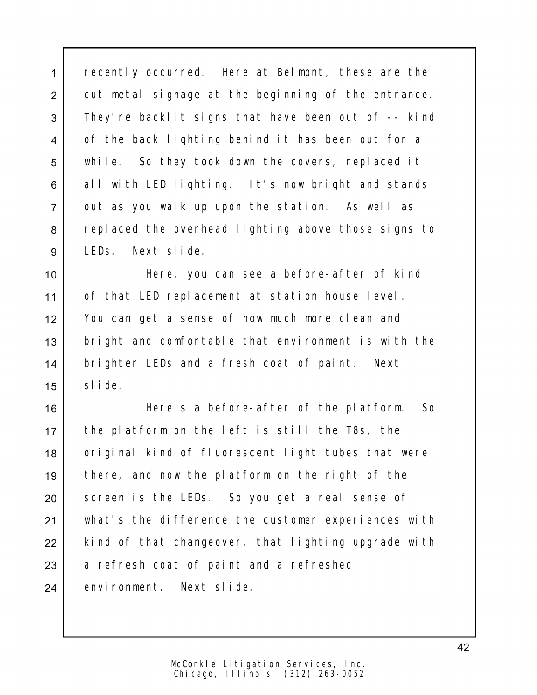1 recently occurred. Here at Belmont, these are the 2 cut metal signage at the beginning of the entrance. 3 They're backlit signs that have been out of -- kind 4 of the back lighting behind it has been out for a 5 while. So they took down the covers, replaced it 6 all with LED lighting. It's now bright and stands 7 out as you walk up upon the station. As well as 8 replaced the overhead lighting above those signs to 9 LEDs. Next slide.

10 Here, you can see a before-after of kind 11 of that LED replacement at station house level. 12 You can get a sense of how much more clean and 13 bright and comfortable that environment is with the 14 | brighter LEDs and a fresh coat of paint. Next 15 Slide.

16 Here's a before-after of the platform. So 17 the platform on the left is still the T8s, the 18 | original kind of fluorescent light tubes that were 19 there, and now the platform on the right of the 20 Screen is the LEDs. So you get a real sense of 21 what's the difference the customer experiences with 22 | kind of that changeover, that lighting upgrade with 23 a refresh coat of paint and a refreshed 24 environment. Next slide.

42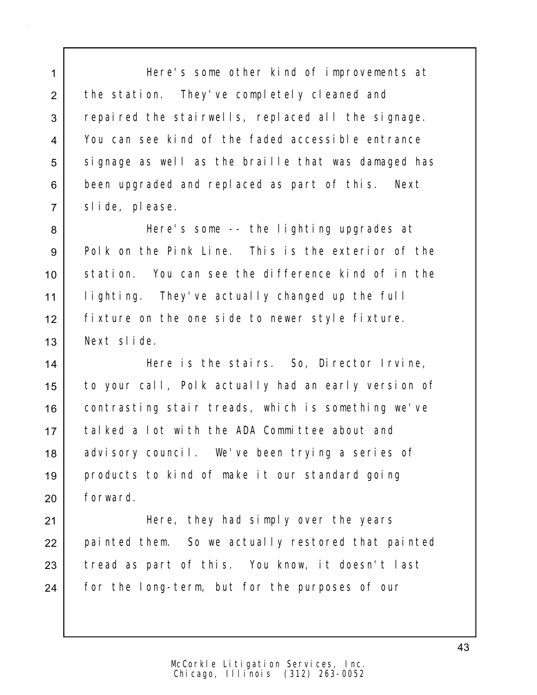1 Here's some other kind of improvements at 2 the station. They've completely cleaned and 3 repaired the stairwells, replaced all the signage. 4 You can see kind of the faded accessible entrance 5 signage as well as the braille that was damaged has 6 been upgraded and replaced as part of this. Next 7 slide, please.

 Here's some -- the lighting upgrades at Polk on the Pink Line. This is the exterior of the station. You can see the difference kind of in the lighting. They've actually changed up the full fixture on the one side to newer style fixture. Next slide.

14 Here is the stairs. So, Director Irvine, 15 to your call, Polk actually had an early version of 16 contrasting stair treads, which is something we've 17 | talked a lot with the ADA Committee about and 18 advisory council. We've been trying a series of 19 products to kind of make it our standard going 20 forward.

21 | Here, they had simply over the years 22 painted them. So we actually restored that painted 23 tread as part of this. You know, it doesn't last 24 | for the long-term, but for the purposes of our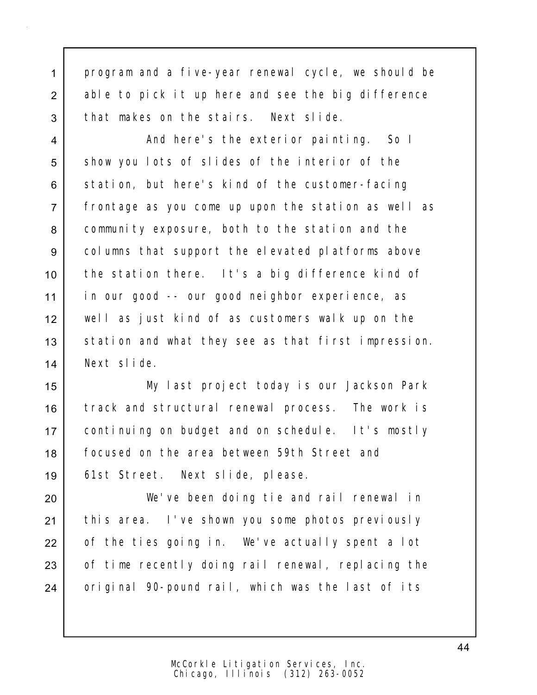1 program and a five-year renewal cycle, we should be 2 able to pick it up here and see the big difference 3 that makes on the stairs. Next slide.

4 And here's the exterior painting. So I 5 show you lots of slides of the interior of the 6 station, but here's kind of the customer-facing 7 frontage as you come up upon the station as well as 8 community exposure, both to the station and the 9 columns that support the elevated platforms above 10 the station there. It's a big difference kind of 11 in our good -- our good neighbor experience, as 12 well as just kind of as customers walk up on the 13 station and what they see as that first impression. 14 Next slide.

 My last project today is our Jackson Park 16 | track and structural renewal process. The work is continuing on budget and on schedule. It's mostly focused on the area between 59th Street and 61st Street. Next slide, please.

20 We've been doing tie and rail renewal in 21 | this area. I've shown you some photos previously 22 of the ties going in. We've actually spent a lot 23 of time recently doing rail renewal, replacing the 24 original 90-pound rail, which was the last of its

> Chicago, Illinois (312) 263-0052 McCorkle Litigation Services, Inc.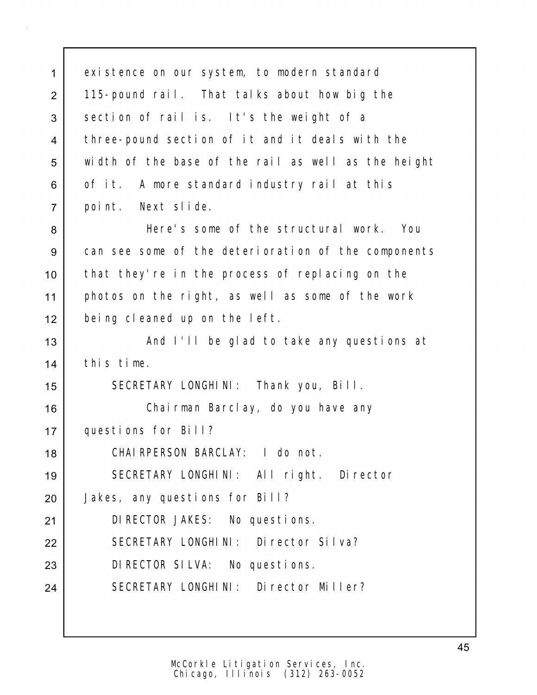1 existence on our system, to modern standard 2 | 115-pound rail. That talks about how big the 3 section of rail is. It's the weight of a 4 | three-pound section of it and it deals with the width of the base of the rail as well as the height 6 of it. A more standard industry rail at this point. Next slide. Here's some of the structural work. You can see some of the deterioration of the components that they're in the process of replacing on the photos on the right, as well as some of the work being cleaned up on the left. 13 | And I'll be glad to take any questions at this time. SECRETARY LONGHINI: Thank you, Bill. Chairman Barclay, do you have any questions for Bill? CHAIRPERSON BARCLAY: I do not. SECRETARY LONGHINI: All right. Director 20 | Jakes, any questions for Bill? DIRECTOR JAKES: No questions. 22 SECRETARY LONGHINI: Director Silva? 23 DIRECTOR SILVA: No questions. SECRETARY LONGHINI: Director Miller?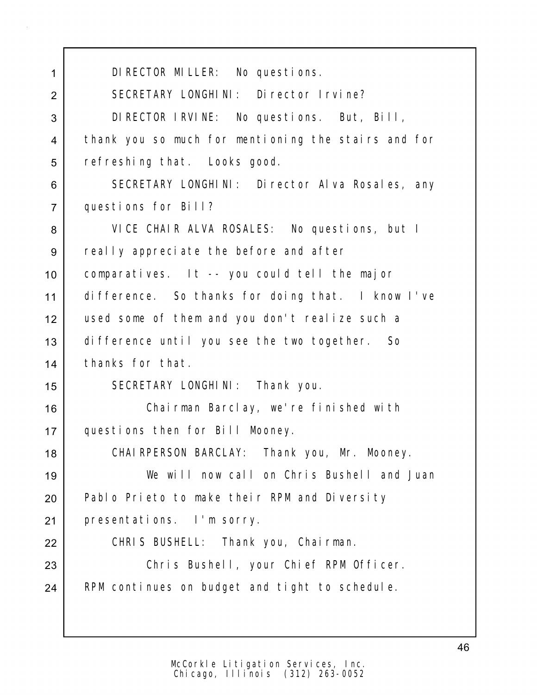DIRECTOR MILLER: No questions. 2 SECRETARY LONGHINI: Director Irvine? DIRECTOR IRVINE: No questions. But, Bill, thank you so much for mentioning the stairs and for 5 refreshing that. Looks good. 6 SECRETARY LONGHINI: Director Alva Rosales, any questions for Bill? VICE CHAIR ALVA ROSALES: No questions, but I 9 really appreciate the before and after comparatives. It -- you could tell the major difference. So thanks for doing that. I know I've used some of them and you don't realize such a difference until you see the two together. So thanks for that. 15 | SECRETARY LONGHINI: Thank you. Chairman Barclay, we're finished with questions then for Bill Mooney. 18 | CHAIRPERSON BARCLAY: Thank you, Mr. Mooney. We will now call on Chris Bushell and Juan 20 Pablo Prieto to make their RPM and Diversity presentations. I'm sorry. 22 | CHRIS BUSHELL: Thank you, Chairman. Chris Bushell, your Chief RPM Officer. 24 | RPM continues on budget and tight to schedule.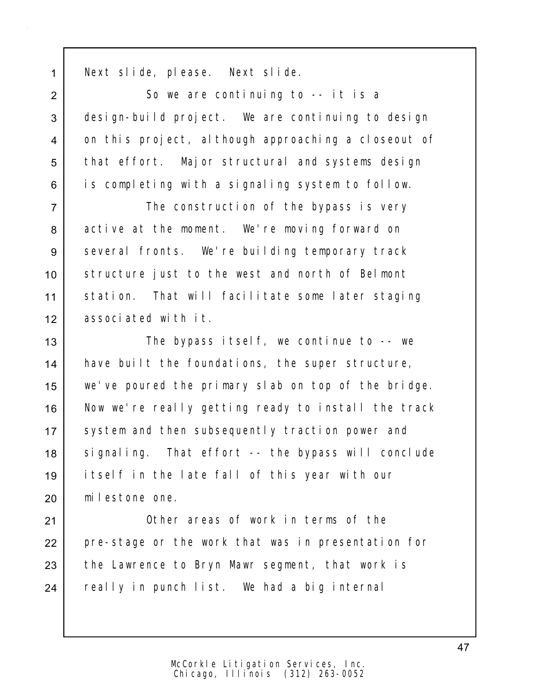1 Next slide, please. Next slide.

2 So we are continuing to -- it is a 3 design-build project. We are continuing to design 4 on this project, although approaching a closeout of 5 | that effort. Major structural and systems design 6 is completing with a signaling system to follow.

7 The construction of the bypass is very 8 active at the moment. We're moving forward on 9 several fronts. We're building temporary track 10 structure just to the west and north of Belmont 11 | station. That will facilitate some later staging 12 associated with it.

13 The bypass itself, we continue to -- we 14 | have built the foundations, the super structure, 15 we've poured the primary slab on top of the bridge. 16 Now we're really getting ready to install the track 17 System and then subsequently traction power and 18 signaling. That effort -- the bypass will conclude 19 itself in the late fall of this year with our 20 milestone one.

21 **Other areas of work in terms of the** 22 pre-stage or the work that was in presentation for 23 the Lawrence to Bryn Mawr segment, that work is 24 | really in punch list. We had a big internal

47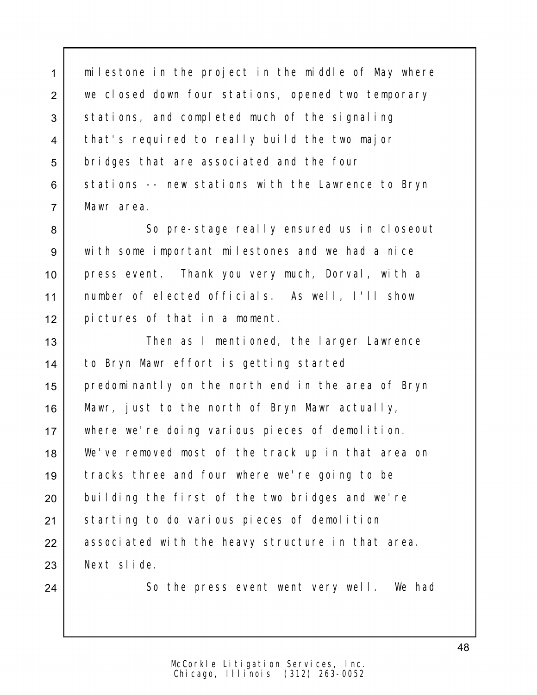1 | milestone in the project in the middle of May where 2 we closed down four stations, opened two temporary 3 stations, and completed much of the signaling 4 that's required to really build the two major 5 bridges that are associated and the four 6 stations -- new stations with the Lawrence to Bryn 7 Mawr area.

8 So pre-stage really ensured us in closeout with some important milestones and we had a nice press event. Thank you very much, Dorval, with a number of elected officials. As well, I'll show pictures of that in a moment.

13 | Then as I mentioned, the larger Lawrence to Bryn Mawr effort is getting started predominantly on the north end in the area of Bryn Mawr, just to the north of Bryn Mawr actually, where we're doing various pieces of demolition. We've removed most of the track up in that area on tracks three and four where we're going to be 20 building the first of the two bridges and we're 21 Starting to do various pieces of demolition 22 associated with the heavy structure in that area. Next slide.

24 So the press event went very well. We had

Chicago, Illinois (312) 263-0052 McCorkle Litigation Services, Inc.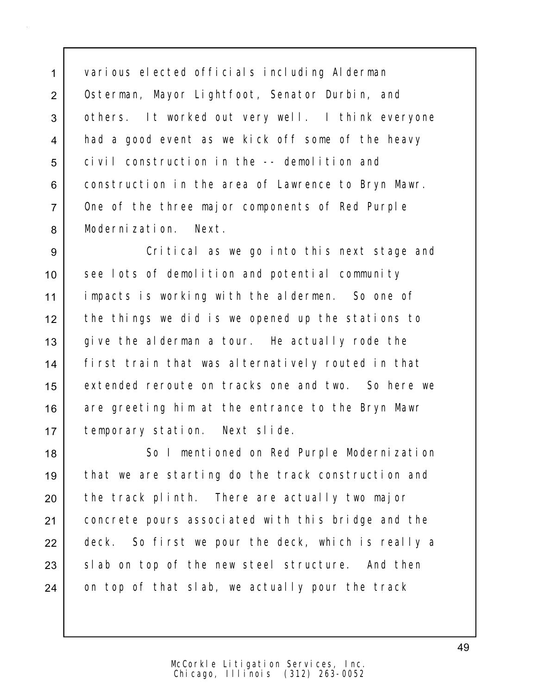1 various elected officials including Alderman 2 | Osterman, Mayor Lightfoot, Senator Durbin, and 3 others. It worked out very well. I think everyone 4 had a good event as we kick off some of the heavy 5 civil construction in the -- demolition and 6 construction in the area of Lawrence to Bryn Mawr. 7 One of the three major components of Red Purple 8 Modernization. Next.

 Critical as we go into this next stage and 10 see lots of demolition and potential community impacts is working with the aldermen. So one of the things we did is we opened up the stations to 13 give the alderman a tour. He actually rode the first train that was alternatively routed in that extended reroute on tracks one and two. So here we 16 are greeting him at the entrance to the Bryn Mawr temporary station. Next slide.

18 | So I mentioned on Red Purple Modernization 19 that we are starting do the track construction and 20 | the track plinth. There are actually two major 21 concrete pours associated with this bridge and the 22 deck. So first we pour the deck, which is really a 23 Slab on top of the new steel structure. And then 24 on top of that slab, we actually pour the track

49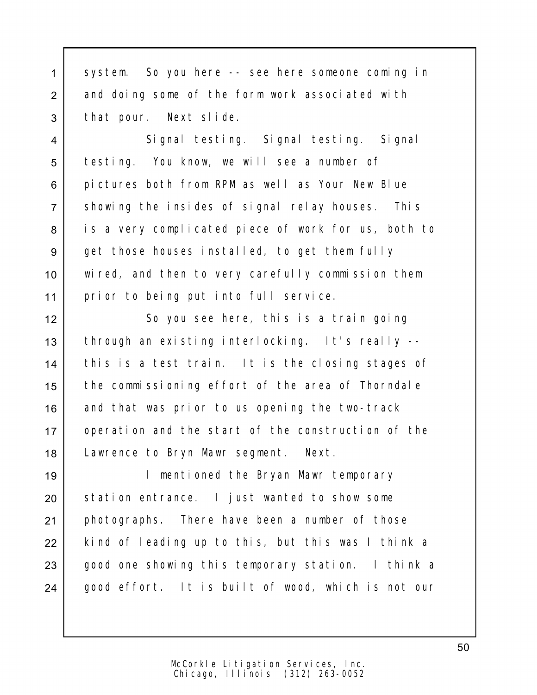1 system. So you here -- see here someone coming in 2 and doing some of the form work associated with 3 | that pour. Next slide.

4 Signal testing. Signal testing. Signal 5 testing. You know, we will see a number of 6 pictures both from RPM as well as Your New Blue 7 Showing the insides of signal relay houses. This 8 is a very complicated piece of work for us, both to 9 get those houses installed, to get them fully 10 wired, and then to very carefully commission them 11 prior to being put into full service.

12 So you see here, this is a train going 13 through an existing interlocking. It's really --14 this is a test train. It is the closing stages of 15 the commissioning effort of the area of Thorndale 16 and that was prior to us opening the two-track 17 operation and the start of the construction of the 18 Lawrence to Bryn Mawr segment. Next.

19 I mentioned the Bryan Mawr temporary 20 Station entrance. I just wanted to show some 21 photographs. There have been a number of those 22 kind of leading up to this, but this was I think a 23 good one showing this temporary station. I think a 24 | good effort. It is built of wood, which is not our

> Chicago, Illinois (312) 263-0052 McCorkle Litigation Services, Inc.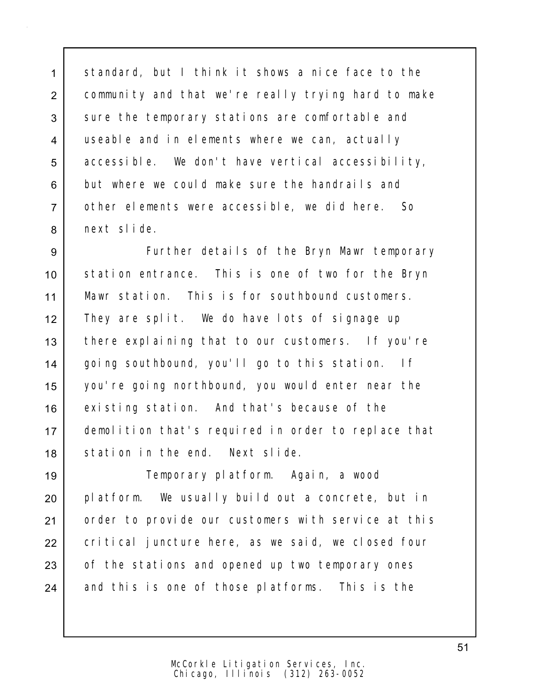1 | standard, but I think it shows a nice face to the 2 community and that we're really trying hard to make 3 sure the temporary stations are comfortable and 4 useable and in elements where we can, actually 5 accessible. We don't have vertical accessibility, 6 but where we could make sure the handrails and 7 other elements were accessible, we did here. So 8 next slide.

9 Further details of the Bryn Mawr temporary 10 station entrance. This is one of two for the Bryn 11 Mawr station. This is for southbound customers. 12 They are split. We do have lots of signage up 13 there explaining that to our customers. If you're 14 | going southbound, you'll go to this station. If 15 you're going northbound, you would enter near the 16 existing station. And that's because of the 17 demolition that's required in order to replace that 18 Station in the end. Next slide.

19 Temporary platform. Again, a wood 20 platform. We usually build out a concrete, but in 21 | order to provide our customers with service at this 22 critical juncture here, as we said, we closed four 23 of the stations and opened up two temporary ones 24 and this is one of those platforms. This is the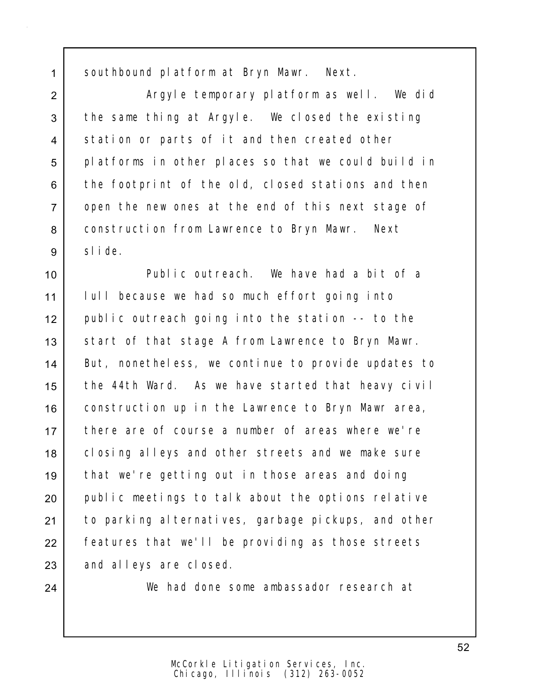1 southbound platform at Bryn Mawr. Next.

2 | Argyle temporary platform as well. We did 3 the same thing at Argyle. We closed the existing 4 station or parts of it and then created other 5 | platforms in other places so that we could build in 6 the footprint of the old, closed stations and then 7 open the new ones at the end of this next stage of 8 | construction from Lawrence to Bryn Mawr. Next 9 slide.

10 Public outreach. We have had a bit of a 11 lull because we had so much effort going into 12 public outreach going into the station -- to the 13 Start of that stage A from Lawrence to Bryn Mawr. 14 | But, nonetheless, we continue to provide updates to 15 the 44th Ward. As we have started that heavy civil 16 | construction up in the Lawrence to Bryn Mawr area, 17 there are of course a number of areas where we're 18 closing alleys and other streets and we make sure 19 that we're getting out in those areas and doing 20 public meetings to talk about the options relative 21 to parking alternatives, garbage pickups, and other 22 Features that we'll be providing as those streets 23 and alleys are closed.

24 We had done some ambassador research at

52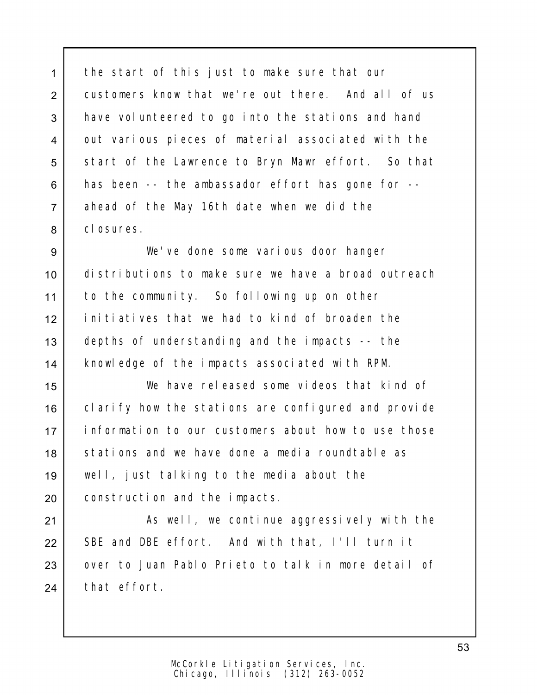1 the start of this just to make sure that our 2 customers know that we're out there. And all of us 3 have volunteered to go into the stations and hand 4 out various pieces of material associated with the 5 | start of the Lawrence to Bryn Mawr effort. So that 6 has been -- the ambassador effort has gone for --7 ahead of the May 16th date when we did the 8 closures.

 We've done some various door hanger distributions to make sure we have a broad outreach to the community. So following up on other initiatives that we had to kind of broaden the 13 depths of understanding and the impacts -- the knowledge of the impacts associated with RPM.

 We have released some videos that kind of 16 clarify how the stations are configured and provide information to our customers about how to use those 18 Stations and we have done a media roundtable as well, just talking to the media about the construction and the impacts.

21 | As well, we continue aggressively with the 22 SBE and DBE effort. And with that, I'll turn it 23 over to Juan Pablo Prieto to talk in more detail of 24 that effort.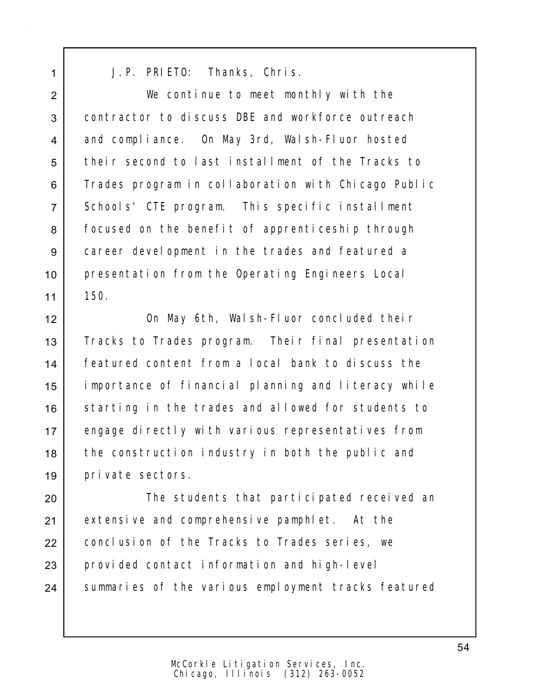1 J.P. PRIETO: Thanks, Chris.

2 We continue to meet monthly with the 3 contractor to discuss DBE and workforce outreach 4 and compliance. On May 3rd, Walsh-Fluor hosted 5 their second to last installment of the Tracks to 6 Trades program in collaboration with Chicago Public 7 Schools' CTE program. This specific installment 8 | focused on the benefit of apprenticeship through 9 career development in the trades and featured a 10 presentation from the Operating Engineers Local  $11 \mid 150$ .

12 On May 6th, Walsh-Fluor concluded their 13 Tracks to Trades program. Their final presentation 14 featured content from a local bank to discuss the 15 importance of financial planning and literacy while 16 Starting in the trades and allowed for students to 17 engage directly with various representatives from 18 the construction industry in both the public and 19 private sectors.

20 **The students that participated received an** 21 extensive and comprehensive pamphlet. At the 22 conclusion of the Tracks to Trades series, we 23 provided contact information and high-level 24 Summaries of the various employment tracks featured

> Chicago, Illinois (312) 263-0052 McCorkle Litigation Services, Inc.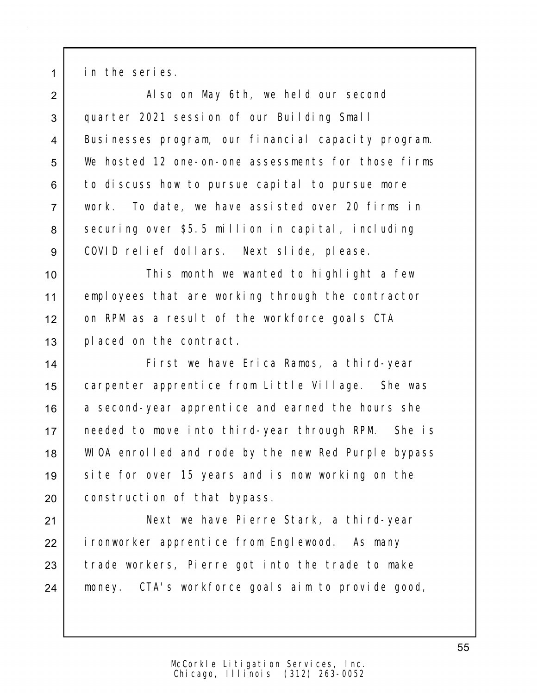1 in the series.

2 Also on May 6th, we held our second 3 quarter 2021 session of our Building Small 4 Businesses program, our financial capacity program. 5 | We hosted 12 one-on-one assessments for those firms 6 to discuss how to pursue capital to pursue more 7 work. To date, we have assisted over 20 firms in 8 securing over \$5.5 million in capital, including 9 COVID relief dollars. Next slide, please.

10 | This month we wanted to highlight a few 11 employees that are working through the contractor 12 on RPM as a result of the workforce goals CTA 13 placed on the contract.

14 First we have Erica Ramos, a third-year 15 carpenter apprentice from Little Village. She was 16 a second-year apprentice and earned the hours she 17 needed to move into third-year through RPM. She is 18 WIOA enrolled and rode by the new Red Purple bypass 19 | site for over 15 years and is now working on the 20 construction of that bypass.

21 Next we have Pierre Stark, a third-year 22 ironworker apprentice from Englewood. As many 23 trade workers, Pierre got into the trade to make 24 money. CTA's workforce goals aim to provide good,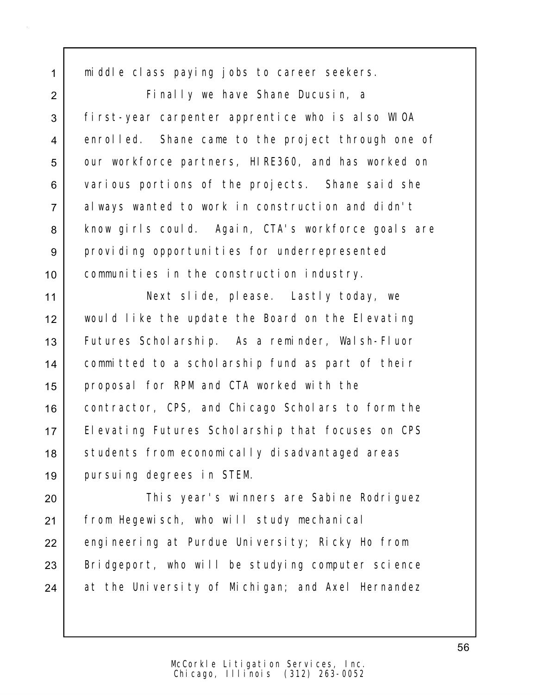1 middle class paying jobs to career seekers.

2 Finally we have Shane Ducusin, a 3 first-year carpenter apprentice who is also WIOA 4 enrolled. Shane came to the project through one of 5 our workforce partners, HIRE360, and has worked on 6 various portions of the projects. Shane said she 7 always wanted to work in construction and didn't 8 | know girls could. Again, CTA's workforce goals are 9 providing opportunities for underrepresented 10 communities in the construction industry.

 Next slide, please. Lastly today, we would like the update the Board on the Elevating Futures Scholarship. As a reminder, Walsh-Fluor committed to a scholarship fund as part of their proposal for RPM and CTA worked with the 16 contractor, CPS, and Chicago Scholars to form the 17 | Elevating Futures Scholarship that focuses on CPS 18 | students from economically disadvantaged areas pursuing degrees in STEM.

20 | This year's winners are Sabine Rodriguez 21 | from Hegewisch, who will study mechanical 22 engineering at Purdue University; Ricky Ho from 23 | Bridgeport, who will be studying computer science 24 at the University of Michigan; and Axel Hernandez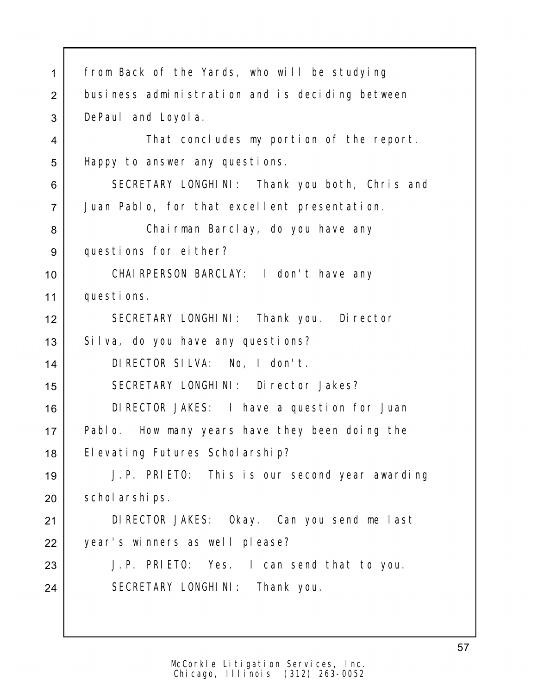| $\mathbf 1$    | from Back of the Yards, who will be studying    |
|----------------|-------------------------------------------------|
| $\overline{2}$ | business administration and is deciding between |
| 3              | DePaul and Loyol a.                             |
| 4              | That concludes my portion of the report.        |
| 5              | Happy to answer any questions.                  |
| 6              | SECRETARY LONGHINI: Thank you both, Chris and   |
| $\overline{7}$ | Juan Pablo, for that excellent presentation.    |
| 8              | Chairman Barclay, do you have any               |
| $9\,$          | questions for either?                           |
| 10             | CHAI RPERSON BARCLAY: I don't have any          |
| 11             | questions.                                      |
| 12             | SECRETARY LONGHINI: Thank you. Director         |
| 13             | Silva, do you have any questions?               |
| 14             | DIRECTOR SILVA: No, I don't.                    |
| 15             | SECRETARY LONGHINI: Director Jakes?             |
| 16             | DI RECTOR JAKES: I have a question for Juan     |
| 17             | Pablo. How many years have they been doing the  |
| 18             | El evating Futures Scholarship?                 |
| 19             | J.P. PRIETO: This is our second year awarding   |
| 20             | schol arships.                                  |
| 21             | DIRECTOR JAKES: Okay. Can you send me last      |
| 22             | year's winners as well please?                  |
| 23             | J.P. PRIETO: Yes. I can send that to you.       |
| 24             | SECRETARY LONGHINI: Thank you.                  |
|                |                                                 |
|                |                                                 |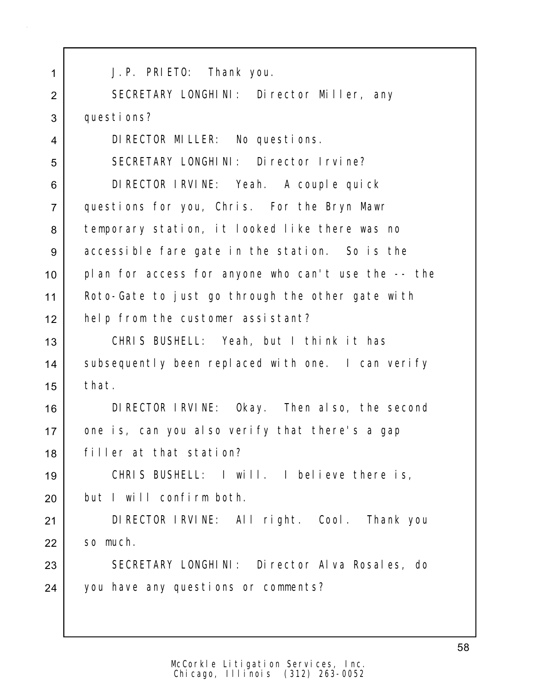| 1              | J. P. PRIETO: Thank you.                            |
|----------------|-----------------------------------------------------|
| $\overline{2}$ | SECRETARY LONGHINI: Director Miller, any            |
| 3              | questions?                                          |
| 4              | DI RECTOR MILLER: No questions.                     |
| 5              | SECRETARY LONGHINI: Director Irvine?                |
| 6              | DI RECTOR I RVI NE: Yeah. A couple qui ck           |
| $\overline{7}$ | questions for you, Chris. For the Bryn Mawr         |
| 8              | temporary station, it looked like there was no      |
| $9\,$          | accessible fare gate in the station. So is the      |
| 10             | plan for access for anyone who can't use the -- the |
| 11             | Roto-Gate to just go through the other gate with    |
| 12             | help from the customer assistant?                   |
| 13             | CHRIS BUSHELL: Yeah, but I think it has             |
| 14             | subsequently been replaced with one. I can verify   |
| 15             | that.                                               |
| 16             | DIRECTOR IRVINE: Okay. Then also, the second        |
| 17             | one is, can you also verify that there's a gap      |
| 18             | filler at that station?                             |
| 19             | CHRIS BUSHELL: I will. I believe there is,          |
| 20             | but I will confirm both.                            |
| 21             | DIRECTOR IRVINE: All right. Cool. Thank you         |
| 22             | so much.                                            |
| 23             | SECRETARY LONGHINI: Director Alva Rosales, do       |
| 24             | you have any questions or comments?                 |
|                |                                                     |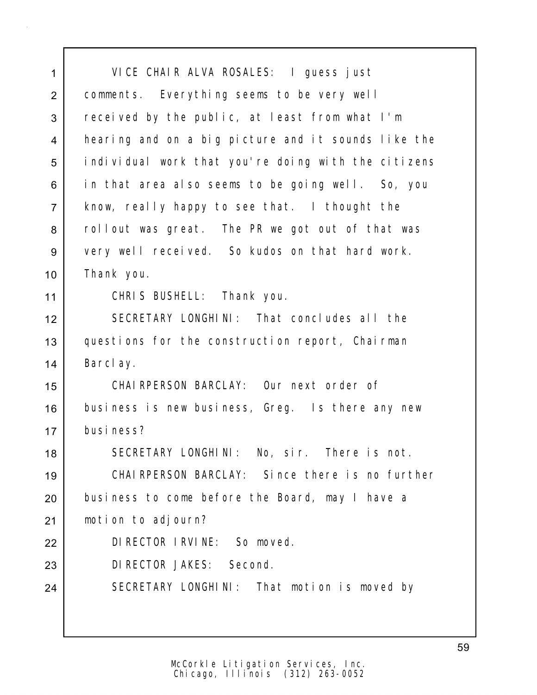| 1              | VICE CHAIR ALVA ROSALES: I guess just               |
|----------------|-----------------------------------------------------|
| $\overline{2}$ | comments. Everything seems to be very well          |
| 3              | received by the public, at least from what I'm      |
| 4              | hearing and on a big picture and it sounds like the |
| 5              | individual work that you're doing with the citizens |
| 6              | in that area also seems to be going well. So, you   |
| $\overline{7}$ | know, really happy to see that. I thought the       |
| 8              | rollout was great. The PR we got out of that was    |
| 9              | very well received. So kudos on that hard work.     |
| 10             | Thank you.                                          |
| 11             | CHRIS BUSHELL: Thank you.                           |
| 12             | SECRETARY LONGHINI: That concludes all the          |
| 13             | questions for the construction report, Chairman     |
| 14             | Barclay.                                            |
| 15             | CHAIRPERSON BARCLAY: Our next order of              |
| 16             | business is new business, Greg. Is there any new    |
| 17             | busi ness?                                          |
| 18             | SECRETARY LONGHINI: No, sir. There is not.          |
| 19             | CHAIRPERSON BARCLAY: Since there is no further      |
| 20             | business to come before the Board, may I have a     |
| 21             | motion to adjourn?                                  |
| 22             | DI RECTOR I RVI NE: So moved.                       |
| 23             | DI RECTOR JAKES: Second.                            |
| 24             | SECRETARY LONGHINI: That motion is moved by         |
|                |                                                     |
|                |                                                     |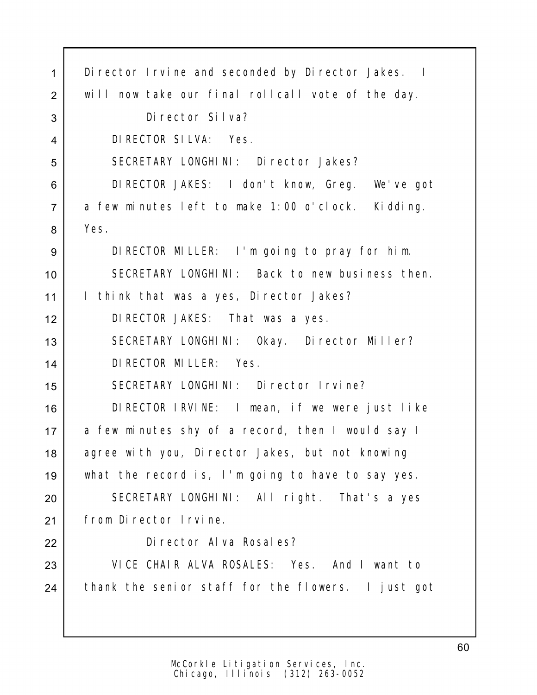| $\mathbf{1}$   | Di rector I rvine and seconded by Di rector Jakes. I |
|----------------|------------------------------------------------------|
| $\overline{2}$ | will now take our final rollcall vote of the day.    |
| 3              | Di rector Silva?                                     |
| 4              | DI RECTOR SILVA: Yes.                                |
| 5              | SECRETARY LONGHINI: Director Jakes?                  |
| 6              | DIRECTOR JAKES: I don't know, Greg. We've got        |
| $\overline{7}$ | a few minutes left to make 1:00 o'clock. Kidding.    |
| 8              | Yes.                                                 |
| 9              | DIRECTOR MILLER: I'm going to pray for him.          |
| 10             | SECRETARY LONGHINI: Back to new business then.       |
| 11             | I think that was a yes, Director Jakes?              |
| 12             | DIRECTOR JAKES: That was a yes.                      |
| 13             | SECRETARY LONGHINI: Okay. Director Miller?           |
| 14             | DI RECTOR MI LLER: Yes.                              |
| 15             | SECRETARY LONGHINI: Director Irvine?                 |
| 16             | DIRECTOR IRVINE: I mean, if we were just like        |
| 17             | a few minutes shy of a record, then I would say I    |
| 18             | agree with you, Director Jakes, but not knowing      |
| 19             | what the record is, I'm going to have to say yes.    |
| 20             | SECRETARY LONGHINI: All right. That's a yes          |
| 21             | from Director Irvine.                                |
| 22             | Di rector Al va Rosal es?                            |
| 23             | VICE CHAIR ALVA ROSALES: Yes. And I want to          |
| 24             | thank the senior staff for the flowers. I just got   |
|                |                                                      |
|                |                                                      |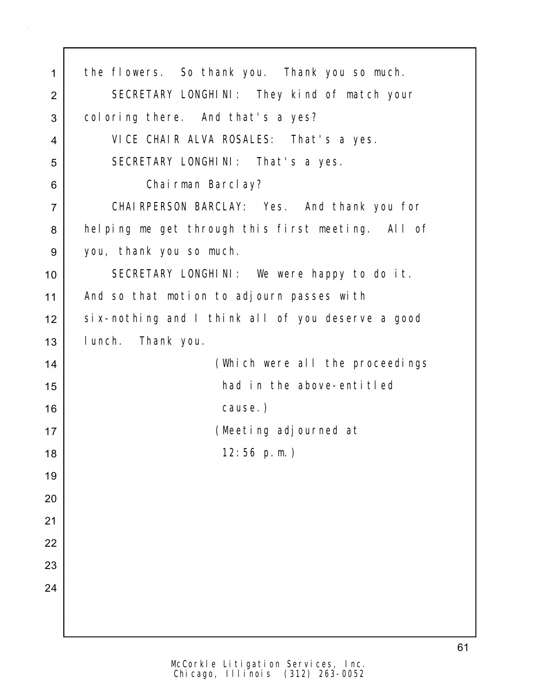| 1              | the flowers. So thank you. Thank you so much.     |
|----------------|---------------------------------------------------|
| $\overline{2}$ | SECRETARY LONGHINI: They kind of match your       |
| 3              | coloring there. And that's a yes?                 |
| 4              | VICE CHAIR ALVA ROSALES: That's a yes.            |
| 5              | SECRETARY LONGHINI: That's a yes.                 |
| 6              | Chairman Barclay?                                 |
| $\overline{7}$ | CHAI RPERSON BARCLAY: Yes. And thank you for      |
| 8              | helping me get through this first meeting. All of |
| 9              | you, thank you so much.                           |
| 10             | SECRETARY LONGHINI: We were happy to do it.       |
| 11             | And so that motion to adjourn passes with         |
| 12             | six-nothing and I think all of you deserve a good |
| 13             | I unch. Thank you.                                |
| 14             | (Which were all the proceedings                   |
| 15             | had in the above-entitled                         |
| 16             | cause.)                                           |
| 17             | (Meeting adjourned at                             |
| 18             | $12:56$ p.m.)                                     |
| 19             |                                                   |
| 20             |                                                   |
| 21             |                                                   |
| 22             |                                                   |
| 23             |                                                   |
| 24             |                                                   |
|                |                                                   |
|                |                                                   |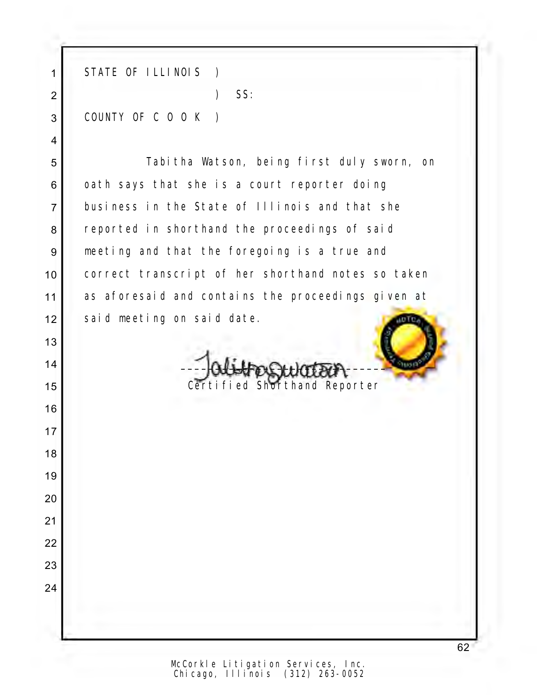1 STATE OF ILLINOIS ) 2 ) SS: 3 COUNTY OF C O O K )

5 Tabitha Watson, being first duly sworn, on 6 oath says that she is a court reporter doing 7 business in the State of Illinois and that she 8 reported in shorthand the proceedings of said 9 meeting and that the foregoing is a true and 10 correct transcript of her shorthand notes so taken 11 as aforesaid and contains the proceedings given at 12 said meeting on said date.  $\bigcirc$ 

 $14$ 15 Certified Shorthand Reporter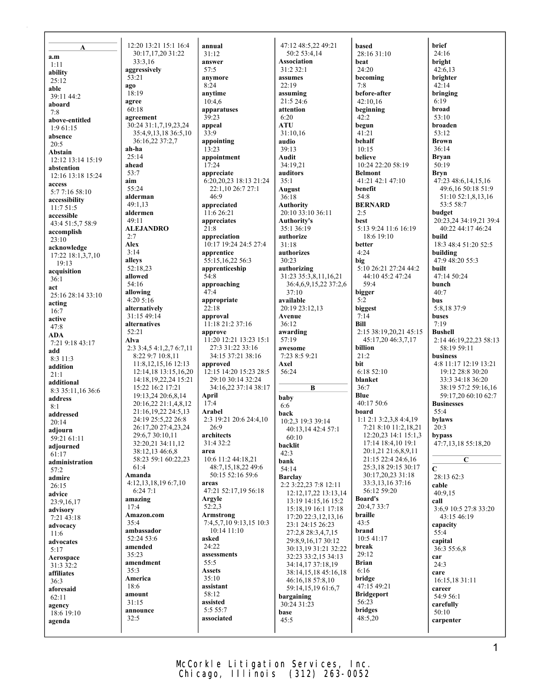| A                               | 12:20 13:21 15:1 16:4                        |
|---------------------------------|----------------------------------------------|
| a.m                             | 30:17,17,20 31:22                            |
| 1:11                            | 33:3,16<br>aggressively                      |
| ability<br>25:12                | 53:21                                        |
| able                            | ago                                          |
| 39:11 44:2                      | 18:19                                        |
| aboard                          | agree<br>60:18                               |
| 7:8<br>above-entitled           | agreement                                    |
| 1:961:15                        | 30:24 31:1,7,19,23,24                        |
| absence                         | 35:4,9,13,18 36:5,10<br>36:16,22 37:2,7      |
| 20:5<br>Abstain                 | ah-ha                                        |
| 12:12 13:14 15:19               | 25:14                                        |
| abstention                      | ahead<br>53:7                                |
| 12:16 13:18 15:24               | aim                                          |
| access<br>5:7 7:16 58:10        | 55:24                                        |
| accessibility                   | alderman                                     |
| 11:7 51:5                       | 49:1,13<br>aldermen                          |
| accessible<br>43:4 51:5,7 58:9  | 49:11                                        |
| accomplish                      | <b>ALEJANDRO</b>                             |
| 23:10                           | 2:7<br>Alex                                  |
| acknowledge                     | 3:14                                         |
| 17:22 18:1,3,7,10<br>19:13      | alleys                                       |
| acquisition                     | 52:18,23                                     |
| 36:1                            | allowed<br>54:16                             |
| act<br>25:16 28:14 33:10        | allowing                                     |
| acting                          | 4:20 5:16                                    |
| 16:7                            | alternatively<br>31:15 49:14                 |
| active<br>47:8                  | alternatives                                 |
| ADA                             | 52:21                                        |
| 7:21 9:18 43:17                 | Alva<br>2:3 3:4,5 4:1,2,7 6:7,11             |
| add<br>8:3 11:3                 | 8:22 9:7 10:8,11                             |
| addition                        | 11:8, 12, 15, 16 12: 13                      |
| 21:1                            | 12:14,18 13:15,16,20<br>14:18,19,22,24 15:21 |
| additional<br>8:3 35:11,16 36:6 | 15:22 16:2 17:21                             |
| address                         | 19:13,24 20:6,8,14                           |
| 8:1                             | 20:16,22 21:1,4,8,12                         |
| addressed                       | 21:16,19,22 24:5,13<br>24:19 25:5,22 26:8    |
| 20:14<br>adjourn                | 26:17,20 27:4,23,24                          |
| 59:21 61:11                     | 29:6,7 30:10,11                              |
| adjourned                       | 32:20,21 34:11,12<br>38:12,13 46:6,8         |
| 61:17<br>administration         | 58:23 59:1 60:22,23                          |
| 57:2                            | 61:4                                         |
| admire                          | Amanda<br>4:12,13,18,19 6:7,10               |
| 26:15<br>advice                 | 6:247:1                                      |
| 23:9,16,17                      | amazing                                      |
| advisory                        | 17:4<br>Amazon.com                           |
| 7:21 43:18<br>advocacy          | 35:4                                         |
| 11:6                            | ambassador                                   |
| advocates                       | 52:24 53:6<br>amended                        |
| 5:17                            | 35:23                                        |
| Aerospace<br>31:3 32:2          | amendment                                    |
| affiliates                      | 35:3                                         |
| 36:3                            | America<br>18:6                              |
| aforesaid<br>62:11              | amount                                       |
| agency                          | 31:15                                        |
| 18:6 19:10                      | announce<br>32:5                             |
| agenda                          |                                              |
|                                 |                                              |

**annual** 31:12 **answer** 57:5 **anymore** 8:24 **anytime** 10:4,6 **apparatuses** 39:23 **appeal** 33:9 **appointing** 13:23 **appointment**  $17:24$ **appreciate** 6:20,20,23 18:13 21:24 22:1,10 26:7 27:1 46:9 **appreciated** 11:6 26:21 **appreciates** 21:8 **appreciation** 10:17 19:24 24:5 27:4 **apprentice** 55:15,16,22 56:3 **apprenticeship** 54:8 **approaching** 47:4 **appropriate** 22:18 **approval** 11:18 21:2 37:16 **approve** 11:20 12:21 13:23 15:1 27:3 31:22 33:16 34:15 37:21 38:16 **approved** 12:15 14:20 15:23 28:5 29:10 30:14 32:24 34:16,22 37:14 38:17 **April** 17:4 **Arabel** 2:3 19:21 20:6 24:4,10 26:9 **architects** 31:4 32:2 **area** 10:6 11:2 44:18,21 48:7,15,18,22 49:6 50:15 52:16 59:6 **areas** 47:21 52:17,19 56:18 **Argyle** 52:2,3 **Armstrong** 7:4,5,7,10 9:13,15 10:3 10:14 11:10 **asked** 24:22 **assessments** 55:5 **Assets**  $35 \cdot 10$ **assistant** 58:12 **assisted** 5:5 55:7 **associated**

47:12 48:5,22 49:21 50:2 53:4,14 **Association** 31:2 32:1 **assumes**  $22.19$ **assuming** 21:5 24:6 **attention** 6:20 **ATU** 31:10,16 **audio** 39:13 **Audit** 34:19,21 **auditors** 35:1 **August** 36:18 **Authority** 20:10 33:10 36:11 **Authority's** 35:1 36:19 **authorize** 31:18 **authorizes**  $30.23$ **authorizing** 31:23 35:3,8,11,16,21 36:4,6,9,15,22 37:2,6 37:10 **available** 20:19 23:12,13 **Avenue** 36:12 **awarding** 57:19 **awesome** 7:23 8:5 9:21 **Axel** 56:24 **B baby** 6:6 **back** 10:2,3 19:3 39:14 40:13,14 42:4 57:1 60:10 **backlit**  $42.3$ **bank** 54:14 **Barclay** 2:2 3:22,23 7:8 12:11 12:12,17,22 13:13,14 13:19 14:15,16 15:2 15:18,19 16:1 17:18 17:20 22:3,12,13,16 23:1 24:15 26:23 27:2,8 28:3,4,7,15 29:8,9,16,17 30:12 30:13,19 31:21 32:22 32:23 33:2,15 34:13 34:14,17 37:18,19 38:14,15,18 45:16,18 46:16,18 57:8,10 59:14,15,19 61:6,7 **bargaining** 30:24 31:23 **base** 45:5

**based** 28:16 31:10 **beat** 24:20 **becoming** 7:8 **before-after** 42:10,16 **beginning** 42:2 **begun** 41:21 **behalf**  $10.15$ **believe** 10:24 22:20 58:19 **Belmont** 41:21 42:1 47:10 **benefit** 54:8 **BERNARD** 2:5 **best** 5:13 9:24 11:6 16:19 18:6 19:10 **better** 4:24 **big** 5:10 26:21 27:24 44:2 44:10 45:2 47:24 59:4 **bigger** 5:2 **biggest** 7:14 **Bill** 2:15 38:19,20,21 45:15 45:17,20 46:3,7,17 **billion** 21:2 **bit** 6:18 52:10 **blanket** 36:7 **Blue** 40:17 50:6 **board** 1:1 2:1 3:2,3,8 4:4,19 7:21 8:10 11:2,18,21 12:20,23 14:1 15:1,3 17:14 18:4,10 19:1 20:1,21 21:6,8,9,11 21:15 22:4 24:6,16 25:3,18 29:15 30:17 30:17,20,23 31:18 33:3,13,16 37:16 56:12 59:20 **Board's** 20:4,7 33:7 **braille** 43:5 **brand** 10:5 41:17 **break** 29:12 **Brian** 6:16 **bridge** 47:15 49:21 **Bridgeport** 56:23 **bridges** 48:5,20

**brief** 24:16 **bright** 42:6,13 **brighter** 42:14 **bringing** 6:19 **broad** 53:10 **broaden** 53:12 **Brown** 36:14 **Bryan** 50:19 **Bryn** 47:23 48:6,14,15,16 49:6,16 50:18 51:9 51:10 52:1,8,13,16 53:5 58:7 **budget** 20:23,24 34:19,21 39:4 40:22 44:17 46:24 **build** 18:3 48:4 51:20 52:5 **building** 47:9 48:20 55:3 **built** 47:14 50:24 **bunch**  $40:7$ **bus** 5:8,18 37:9 **buses** 7:19 **Bushell** 2:14 46:19,22,23 58:13 58:19 59:11 **business** 4:8 11:17 12:19 13:21 19:12 28:8 30:20 33:3 34:18 36:20 38:19 57:2 59:16,16 59:17,20 60:10 62:7 **Businesses** 55:4 **bylaws** 20:3 **bypass** 47:7,13,18 55:18,20 **C C** 28:13 62:3 **cable** 40:9,15 **call** 3:6,9 10:5 27:8 33:20 43:15 46:19 **capacity** 55:4 **capital** 36:3 55:6,8 **car** 24:3 **care** 16:15,18 31:11 **career** 54:9 56:1 **carefully** 50:10 **carpenter**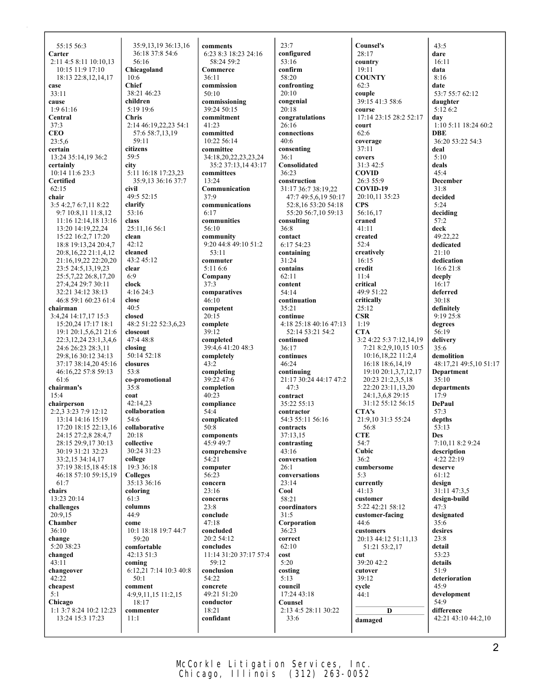55:15 56:3 **Carter** 2:11 4:5 8:11 10:10,13 10:15 11:9 17:10 18:13 22:8,12,14,17 **case** 33:11 **cause** 1:9 61:16 **Central** 37:3 **CEO** 23:5,6 **certain** 13:24 35:14,19 36:2 **certainly** 10:14 11:6 23:3 **Certified** 62:15 **chair** 3:5 4:2,7 6:7,11 8:22 9:7 10:8,11 11:8,12 11:16 12:14,18 13:16 13:20 14:19,22,24 15:22 16:2,7 17:20 18:8 19:13,24 20:4,7 20:8,16,22 21:1,4,12 21:16,19,22 22:20,20 23:5 24:5,13,19,23 25:5,7,22 26:8,17,20 27:4,24 29:7 30:11 32:21 34:12 38:13 46:8 59:1 60:23 61:4 **chairman** 3:4,24 14:17,17 15:3 15:20,24 17:17 18:1 19:1 20:1,5,6,21 21:6 22:3,12,24 23:1,3,4,6 24:6 26:23 28:3,11 29:8,16 30:12 34:13 37:17 38:14,20 45:16 46:16,22 57:8 59:13 61:6 **chairman's** 15:4 **chairperson** 2:2,3 3:23 7:9 12:12 13:14 14:16 15:19 17:20 18:15 22:13,16 24:15 27:2,8 28:4,7 28:15 29:9,17 30:13 30:19 31:21 32:23 33:2,15 34:14,17 37:19 38:15,18 45:18 46:18 57:10 59:15,19 61:7 **chairs** 13:23 20:14 **challenges** 20:9,15 **Chamber** 36:10 **change** 5:20 38:23 **changed** 43:11 **changeover**  $42.22$ **cheapest** 5:1 **Chicago** 1:1 3:7 8:24 10:2 12:23 13:24 15:3 17:23

35:9,13,19 36:13,16 36:18 37:8 54:6 56:16 **Chicagoland** 10:6 **Chief** 38:21 46:23 **children** 5:19 19:6 **Chris** 2:14 46:19,22,23 54:1 57:6 58:7,13,19 59:11 **citizens** 59:5 **city** 5:11 16:18 17:23,23 35:9,13 36:16 37:7 **civil** 49:5 52:15 **clarify** 53:16 **class** 25:11,16 56:1 **clean**  $42:12$ **cleaned** 43:2 45:12 **clear** 6:9 **clock** 4:16 24:3 **close** 40:5 **closed** 48:2 51:22 52:3,6,23 **closeout** 47:4 48:8 **closing** 50:14 52:18 **closures** 53:8 **co-promotional**  $35:8$ **coat** 42:14,23 **collaboration** 54:6 **collaborative** 20:18 **collective** 30:24 31:23 **college** 19:3 36:18 **Colleges** 35:13 36:16 **coloring** 61:3 **columns** 44:9 **come** 10:1 18:18 19:7 44:7 59:20 **comfortable**  $42.1351.3$ **coming** 6:12,21 7:14 10:3 40:8 50:1 **comment** 4:9,9,11,15 11:2,15 18:17 **commenter** 11:1

**comments** 6:23 8:3 18:23 24:16 58:24 59:2 **Commerce** 36:11 **commission** 50:10 **commissioning** 39:24 50:15 **commitment** 41:23 **committed** 10:22 56:14 **committee** 34:18,20,22,23,23,24 35:2 37:13,14 43:17 **committees** 13:24 **Communication** 37:9 **communications** 6:17 **communities** 56:10 **community** 9:20 44:8 49:10 51:2 53:11 **commuter** 5:11 6:6 **Company** 37:3 **comparatives** 46:10 **competent** 20:15 **complete**  $39:12$ **completed** 39:4,6 41:20 48:3 **completely**  $43:2$ **completing** 39:22 47:6 **completion** 40:23 **compliance** 54:4 **complicated** 50:8 **components** 45:9 49:7 **comprehensive** 54:21 **computer** 56:23 **concern** 23:16 **concerns** 23:8 **conclude**  $47:18$ **concluded**  $20:2$  54:12 **concludes** 11:14 31:20 37:17 57:4 59:12 **conclusion** 54:22 **concrete** 49:21 51:20 **conductor** 18:21 **confidant**

 $23.7$ **configured** 53:16 **confirm** 58:20 **confronting** 20:10 **congenial** 20:18 **congratulations** 26:16 **connections** 40:6 **consenting** 36:1 **Consolidated**  $36.23$ **construction** 31:17 36:7 38:19,22 47:7 49:5,6,19 50:17 52:8,16 53:20 54:18 55:20 56:7,10 59:13 **consulting** 36:8 **contact** 6:17 54:23 **containing** 31:24 **contains** 62:11 **content** 54:14 **continuation** 35:21 **continue** 4:18 25:18 40:16 47:13 52:14 53:21 54:2 **continued**  $36.17$ **continues** 46:24 **continuing** 21:17 30:24 44:17 47:2 47:3 **contract** 35:22 55:13 **contractor** 54:3 55:11 56:16 **contracts** 37:13,15 **contrasting** 43:16 **conversation**  $26.1$ **conversations**  $23.14$ **Cool** 58:21 **coordinators** 31:5 **Corporation** 36:23 **correct** 62:10 **cost** 5:20 **costing** 5:13 **council** 17:24 43:18 **Counsel** 2:13 4:5 28:11 30:22 33:6

**Counsel's** 28:17 **country** 19:11 **COUNTY** 62:3 **couple** 39:15 41:3 58:6 **course** 17:14 23:15 28:2 52:17 **court** 62:6 **coverage** 37:11 **covers** 31:3 42:5 **COVID** 26:3 55:9 **COVID-19** 20:10,11 35:23 **CPS** 56:16,17 **craned** 41:11 **created** 52:4 **creatively** 16:15 **credit** 11:4 **critical** 49:9 51:22 **critically** 25:12 **CSR** 1:19 **CTA** 3:2 4:22 5:3 7:12,14,19 7:21 8:2,9,10,15 10:5 10:16,18,22 11:2,4 16:18 18:6,14,19 19:10 20:1,3,7,12,17 20:23 21:2,3,5,18 22:20 23:11,13,20 24:1,3,6,8 29:15 31:12 55:12 56:15 **CTA's** 21:9,10 31:3 55:24 56:8 **CTE** 54:7 **Cubic** 36:2 **cumbersome** 5:3 **currently** 41:13 **customer** 5:22 42:21 58:12 **customer-facing** 44:6 **customers** 20:13 44:12 51:11,13 51:21 53:2,17 **cut** 39:20 42:2 **cutover** 39:12 **cycle** 44:1 **D damaged**

 $43.5$ **dare** 16:11 **data**  $8.16$ **date** 53:7 55:7 62:12 **daughter** 5:12 6:2 **day** 1:10 5:11 18:24 60:2 **DBE** 36:20 53:22 54:3 **deal**  $5.10$ **deals** 45:4 **December** 31:8 **decided** 5:24 **deciding** 57:2 **deck** 49:22,22 **dedicated** 21:10 **dedication**  $16:621:8$ **deeply** 16:17 **deferred** 30:18 **definitely** 9:19 25:8 **degrees** 56:19 **delivery** 35:6 **demolition** 48:17,21 49:5,10 51:17 **Department** 35:10 **departments** 17:9 **DePaul** 57:3 **depths** 53:13 **Des** 7:10,11 8:2 9:24 **description** 4:22 22:19 **deserve** 61:12 **design** 31:11 47:3,5 **design-build** 47:3 **designated** 35:6 **desires** 23:8 **detail** 53:23 **details** 51:9 **deterioration** 45:9 **development** 54:9 **difference** 42:21 43:10 44:2,10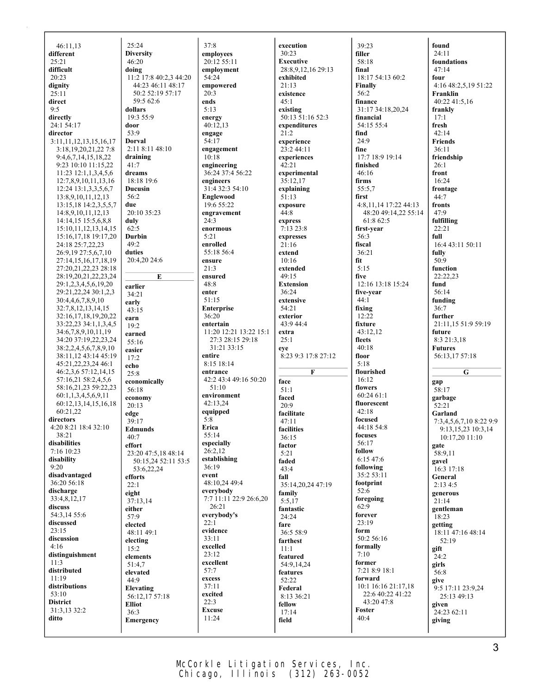| 46:11,13                                    | 25:24                           |
|---------------------------------------------|---------------------------------|
| different                                   | <b>Diversity</b>                |
| 25:21                                       | 46:20                           |
| difficult                                   | doing<br>11:2 17:8 40:2,3 44:20 |
| 20:23<br>dignity                            | 44:23 46:11 48:17               |
| 25:11                                       | 50:2 52:19 57:17                |
| direct                                      | 59:5 62:6                       |
| 9:5                                         | dollars                         |
| directly                                    | 19:3 55:9                       |
| 24:1 54:17                                  | door                            |
| director                                    | 53:9                            |
| 3:11, 11, 12, 13, 15, 16, 17                | <b>Dorval</b>                   |
| 3:18,19,20,21,22 7:8                        | 2:11 8:11 48:10                 |
| 9:4, 6, 7, 14, 15, 18, 22                   | draining                        |
| 9:23 10:10 11:15,22<br>11:23 12:1,1,3,4,5,6 | 41:7                            |
| 12:7,8,9,10,11,13,16                        | dreams<br>18:18 19:6            |
| 12:24 13:1,3,3,5,6,7                        | <b>Ducusin</b>                  |
| 13:8,9,10,11,12,13                          | 56:2                            |
| 13:15,18 14:2,3,5,5,7                       | due                             |
| 14:8,9,10,11,12,13                          | 20:10 35:23                     |
| 14:14,15 15:5,6,8,8                         | duly                            |
| 15:10, 11, 12, 13, 14, 15                   | 62:5                            |
| 15:16,17,18 19:17,20                        | <b>Durbin</b>                   |
| 24:18 25:7,22,23                            | 49:2<br>duties                  |
| 26:9,19 27:5,6,7,10<br>27:14,15,16,17,18,19 | 20:4,20 24:6                    |
| 27:20,21,22,23 28:18                        |                                 |
| 28:19,20,21,22,23,24                        | E                               |
| 29:1,2,3,4,5,6,19,20                        | earlier                         |
| 29:21,22,24 30:1,2,3                        | 34:21                           |
| 30:4,4,6,7,8,9,10                           | early                           |
| 32:7,8,12,13,14,15                          | 43:15                           |
| 32:16,17,18,19,20,22                        | earn                            |
| 33:22,23 34:1,1,3,4,5                       | 19:2                            |
| 34:6,7,8,9,10,11,19<br>34:20 37:19,22,23,24 | earned                          |
| 38:2,2,4,5,6,7,8,9,10                       | 55:16                           |
| 38:11,12 43:14 45:19                        | easier<br>17:2                  |
| 45:21,22,23,24 46:1                         | echo                            |
| 46:2,3,6 57:12,14,15                        | 25:8                            |
| 57:16,21 58:2,4,5,6                         | economically                    |
| 58:16,21,23 59:22,23                        | 56:18                           |
| 60:1,1,3,4,5,6,9,11                         | economy                         |
| 60:12,13,14,15,16,18                        | 20:13                           |
| 60:21,22<br>directors                       | edge                            |
| 4:20 8:21 18:4 32:10                        | 39:17                           |
| 38:21                                       | Edmunds<br>40:7                 |
| disabilities                                | effort                          |
| 7:16 10:23                                  | 23:20 47:5,18 48:14             |
| disability                                  | 50:15,24 52:11 53:5             |
| 9:20                                        | 53:6,22,24                      |
| disadvantaged                               | efforts                         |
| 36:20 56:18<br>discharge                    | 22:1                            |
| 33:4,8,12,17                                | eight                           |
| discuss                                     | 37:13,14<br>either              |
| 54:3,14 55:6                                | 57:9                            |
| discussed                                   | elected                         |
| 23:15                                       | 48:11 49:1                      |
| discussion                                  | electing                        |
| 4:16                                        | 15:2                            |
| distinguishment                             | elements                        |
| 11:3<br>distributed                         | 51:4.7                          |
| 11:19                                       | elevated                        |
| distributions                               | 44:9<br>Elevating               |
| 53:10                                       | 56:12,17 57:18                  |
| <b>District</b>                             | <b>Elliot</b>                   |
| 31:3,13 32:2                                | 36:3                            |
| ditto                                       | Emergency                       |
|                                             |                                 |

37:8 **employees** 20:12 55:11 **employment** 54:24 **empowered** 20:3 **ends** 5:13 **energy**  $40:12,13$ **engage** 54:17 **engagement** 10:18 **engineering** 36:24 37:4 56:22 **engineers** 31:4 32:3 54:10 **Englewood** 19:6 55:22 **engravement** 24:3 **enormous** 5:21 **enrolled** 55:18 56:4 **ensure**  $21.3$ **ensured** 48:8 **enter** 51:15 **Enterprise** 36:20 **entertain** 11:20 12:21 13:22 15:1 27:3 28:15 29:18 31:21 33:15 **entire** 8:15 18:14 **entrance** 42:2 43:4 49:16 50:20 51:10 **environment** 42:13,24 **equipped** 5:8 **Erica** 55:14 **especially** 26:2,12 **establishing** 36:19 **event** 48:10,24 49:4 **everybody** 7:7 11:11 22:9 26:6,20 26:21 **everybody's**  $22:1$ **evidence** 33:11 **excelled** 23:12 **excellent** 57:7 **excess** 37:11 **excited** 22:3 **Excuse** 11:24

**execution** 30:23 **Executive** 28:8,9,12,16 29:13 **exhibited** 21:13 **existence**  $45:1$ **existing** 50:13 51:16 52:3 **expenditures**  $21:2$ **experience**  $23:244:11$ **experiences**  $42:21$ **experimental** 35:12,17 **explaining** 51:13 **exposure** 44:8 **express** 7:13 23:8 **expresses**  $21.16$ **extend** 10:16 **extended** 49:15 **Extension** 36:24 **extensive** 54:21 **exterior** 43:9 44:4 **extra** 25:1 **eye** 8:23 9:3 17:8 27:12 **F face** 51:1 **faced** 20:9 **facilitate** 47:11 **facilities** 36:15 **factor** 5:21 **faded**  $43.4$ **fall** 35:14,20,24 47:19 **family** 5:5,17 **fantastic** 24:24 **fare** 36:5 58:9 **farthest** 11:1 **featured** 54:9,14,24 **features** 52:22 **Federal** 8:13 36:21 **fellow** 17:14 **field**

39:23 **filler** 58:18 **final** 18:17 54:13 60:2 **Finally** 56:2 **finance** 31:17 34:18,20,24 **financial** 54:15 55:4 **find** 24:9 **fine** 17:7 18:9 19:14 **finished** 46:16 **firms** 55:5,7 **first** 4:8,11,14 17:22 44:13 48:20 49:14,22 55:14 61:8 62:5 **first-year** 56:3 **fiscal** 36:21 **fit** 5:15 **five** 12:16 13:18 15:24 **five-year** 44:1 **fixing** 12:22 **fixture** 43:12,12 **fleets** 40:18 **floor** 5:18 **flourished**  $16:12$ **flowers** 60:24 61:1 **fluorescent**  $42:18$ **focused** 44:18 54:8 **focuses** 56:17 **follow** 6:15 47:6 **following** 35:2 53:11 **footprint** 52:6 **foregoing** 62:9 **forever** 23:19 **form** 50:2 56:16 **formally** 7:10 **former** 7:21 8:9 18:1 **forward** 10:1 16:16 21:17,18 22:6 40:22 41:22 43:20 47:8 **Foster** 40:4

**found** 24:11 **foundations** 47:14 **four** 4:16 48:2,5,19 51:22 **Franklin** 40:22 41:5,16 **frankly** 17:1 **fresh**  $42:14$ **Friends** 36:11 **friendship** 26:1 **front** 16:24 **frontage** 44:7 **fronts** 47:9 **fulfilling** 22:21 **full** 16:4 43:11 50:11 **fully** 50:9 **function** 22:22,23 **fund** 56:14 **funding** 36:7 **further** 21:11,15 51:9 59:19 **future** 8:3 21:3,18 **Futures** 56:13,17 57:18 **G gap**  $58:17$ **garbage**  $52:21$ **Garland** 7:3,4,5,6,7,10 8:22 9:9 9:13,15,23 10:3,14 10:17,20 11:10 **gate** 58:9,11 **gavel**  $16:3$  17:18 **General** 2:13 4:5 **generous** 21:14 **gentleman** 18:23 **getting** 18:11 47:16 48:14 52:19 **gift** 24:2 **girls**  $56:8$ **give** 9:5 17:11 23:9,24 25:13 49:13 **given** 24:23 62:11 **giving**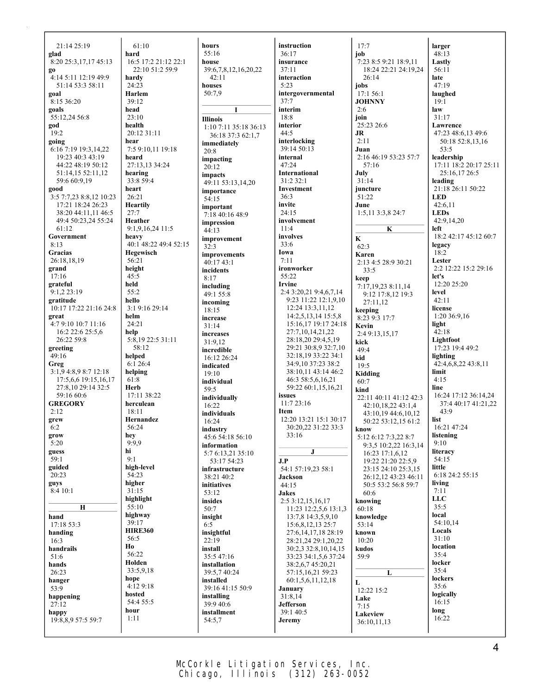21:14 25:19 **glad** 8:20 25:3,17,17 45:13 **go** 4:14 5:11 12:19 49:9 51:14 53:3 58:11 **goal** 8:15 36:20 **goals** 55:12,24 56:8 **god** 19:2 **going** 6:16 7:19 19:3,14,22 19:23 40:3 43:19 44:22 48:19 50:12 51:14,15 52:11,12 59:6 60:9,19 **good** 3:5 7:7,23 8:8,12 10:23 17:21 18:24 26:23 38:20 44:11,11 46:5 49:4 50:23,24 55:24 61:12 **Government**  $8.13$ **Gracias** 26:18,18,19 **grand** 17:16 **grateful** 9:1,2 23:19 **gratitude** 10:17 17:22 21:16 24:8 **great** 4:7 9:10 10:7 11:16 16:2 22:6 25:5,6 26:22 59:8 **greeting**  $49.16$ **Greg** 3:1,9 4:8,9 8:7 12:18 17:5,6,6 19:15,16,17 27:8,10 29:14 32:5 59:16 60:6 **GREGORY**  $2:12$ **grew** 6:2 **grow**  $5:20$ **guess**  $59:1$ **guided**  $20:23$ **guys** 8:4 10:1 **H hand** 17:18 53:3 **handing** 16:3 **handrails** 51:6 **hands**  $26.23$ **hanger** 53:9 **happening** 27:12 **happy** 19:8,8,9 57:5 59:7 **hard head hear** 27:7 **held** 55:2 **hello helm help** 61:8 **Herb hey hi**  $9.1$ 56:5 **Ho hope hour** 1:11

61:10 16:5 17:2 21:12 22:1 22:10 51:2 59:9 **hardy** 24:23 **Harlem** 39:12 23:10 **health** 20:12 31:11 7:5 9:10,11 19:18 **heard** 27:13,13 34:24 **hearing** 33:8 59:4 **heart** 26:21 **Heartily Heather** 9:1,9,16,24 11:5 **heavy** 40:1 48:22 49:4 52:15 **Hegewisch** 56:21 **height** 45:5 3:1 9:16 29:14 24:21 5:8,19 22:5 31:11 58:12 **helped** 6:1 26:4 **helping** 17:11 38:22 **herculean**  $18.11$ **Hernandez** 56:24 9:9,9 **high-level** 54:23 **higher** 31:15 **highlight** 55:10 **highway** 39:17 **HIRE360** 56:22 **Holden** 33:5,9,18 4:12 9:18 **hosted** 54:4 55:5

**hours** 55:16 **house** 39:6,7,8,12,16,20,22  $42.11$ **houses** 50:7,9 **I Illinois** 1:10 7:11 35:18 36:13 36:18 37:3 62:1,7 **immediately** 20:8 **impacting**  $20.12$ **impacts** 49:11 53:13,14,20 **importance** 54:15 **important** 7:18 40:16 48:9 **impression** 44:13 **improvement** 32:3 **improvements** 40:17 43:1 **incidents**  $8.17$ **including** 49:1 55:8 **incoming** 18:15 **increase** 31:14 **increases**  $31.912$ **incredible** 16:12 26:24 **indicated**  $19.10$ **individual** 59:5 **individually** 16:22 **individuals** 16:24 **industry** 45:6 54:18 56:10 **information** 5:7 6:13,21 35:10 53:17 54:23 **infrastructure**  $38.2140.2$ **initiatives** 53:12 **insides** 50:7 **insight** 6:5 **insightful**  $22:19$ **install** 35:5 47:16 **installation** 39:5,7 40:24 **installed** 39:16 41:15 50:9 **installing** 39:9 40:6 **installment** 54:5,7

**instruction** 36:17 **insurance** 37:11 **interaction** 5:23 **intergovernmental** 37:7 **interim** 18:8 **interior** 44:5 **interlocking** 39:14 50:13 **internal**  $47.24$ **International** 31:2 32:1 **Investment** 36:3 **invite** 24:15 **involvement** 11:4 **involves** 33:6 **Iowa** 7:11 **ironworker** 55:22 **Irvine** 2:4 3:20,21 9:4,6,7,14 9:23 11:22 12:1,9,10 12:24 13:3,11,12 14:2,5,13,14 15:5,8 15:16,17 19:17 24:18 27:7,10,14,21,22 28:18,20 29:4,5,19 29:21 30:8,9 32:7,10 32:18,19 33:22 34:1 34:9,10 37:23 38:2 38:10,11 43:14 46:2 46:3 58:5,6,16,21 59:22 60:1,15,16,21 **issues** 11:7 23:16 **Item** 12:20 13:21 15:1 30:17 30:20,22 31:22 33:3 33:16 **J J.P**  $54.1$   $57.19$  23  $58.1$ **Jackson** 44:15 **Jakes** 2:5 3:12,15,16,17 11:23 12:2,5,6 13:1,3 13:7,8 14:3,5,9,10 15:6,8,12,13 25:7 27:6,14,17,18 28:19 28:21,24 29:1,20,22 30:2,3 32:8,10,14,15 33:23 34:1,5,6 37:24 38:2,6,7 45:20,21 57:15,16,21 59:23 60:1,5,6,11,12,18 **January** 31:8,14 **Jefferson** 39:1 40:5 **Jeremy**

 $17.7$ **job**  $7.238.59.2118.911$ 18:24 22:21 24:19,24 26:14 **jobs** 17:1 56:1 **JOHNNY** 2:6 **join** 25:23 26:6 **JR** 2:11 **Juan** 2:16 46:19 53:23 57:7 57:16 **July** 31:14 **juncture** 51:22 **June** 1:5,11 3:3,8 24:7 **K K** 62:3 **Karen** 2:13 4:5 28:9 30:21 33:5 **keep** 7:17,19,23 8:11,14 9:12 17:8,12 19:3 27:11,12 **keeping** 8:23 9:3 17:7 **Kevin** 2:4 9:13,15,17 **kick** 49:4 **kid**  $19.5$ **Kidding** 60:7 **kind** 22:11 40:11 41:12 42:3 42:10,18,22 43:1,4 43:10,19 44:6,10,12 50:22 53:12,15 61:2 **know** 5:12 6:12 7:3,22 8:7 9:3,5 10:2,22 16:3,14 16:23 17:1,6,12 19:22 21:20 22:5,9 23:15 24:10 25:3,15 26:12,12 43:23 46:11 50:5 53:2 56:8 59:7 60:6 **knowing** 60:18 **knowledge** 53:14 **known** 10:20 **kudos** 59:9 **L L** 12:22 15:2 **Lake** 7:15 **Lakeview** 36:10,11,13

**larger** 48:13 **Lastly** 56:11 **late** 47:19 **laughed**  $19:1$ **law** 31:17 **Lawrence** 47:23 48:6,13 49:6 50:18 52:8,13,16  $53.5$ **leadership** 17:11 18:2 20:17 25:11 25:16,17 26:5 **leading** 21:18 26:11 50:22 **LED** 42:6,11 **LEDs** 42:9,14,20 **left** 18:2 42:17 45:12 60:7 **legacy** 18:2 **Lester** 2:2 12:22 15:2 29:16 **let's** 12:20 25:20 **level**  $42:11$ **license** 1:20 36:9,16 **light** 42:18 **Lightfoot** 17:23 19:4 49:2 **lighting** 42:4,6,8,22 43:8,11 **limit** 4:15 **line** 16:24 17:12 36:14,24 37:4 40:17 41:21,22  $43.9$ **list** 16:21 47:24 **listening** 9:10 **literacy** 54:15 **little** 6:18 24:2 55:15 **living** 7:11 **LLC** 35:5 **local** 54:10,14 **Locals** 31:10 **location** 35:4 **locker** 35:4 **lockers** 35:6 **logically** 16:15 **long** 16:22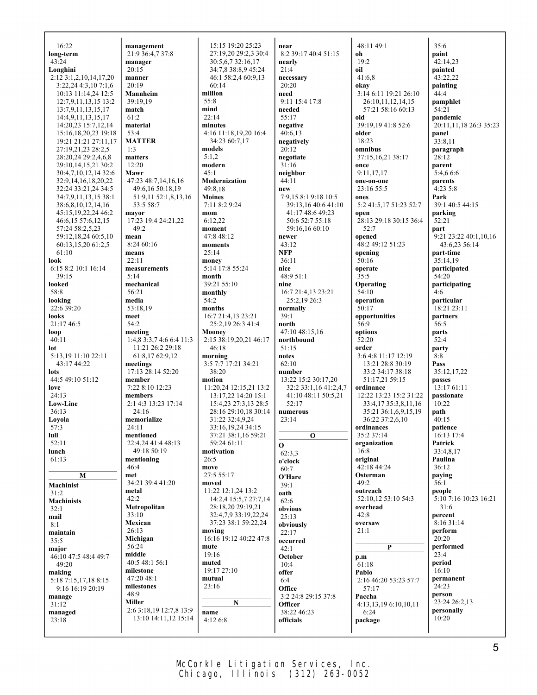| 16:22                                          | management                        | 15:15 19:20 25:23                           | near                        | 48:11 49:1                              | 35:6                      |
|------------------------------------------------|-----------------------------------|---------------------------------------------|-----------------------------|-----------------------------------------|---------------------------|
| long-term                                      | 21:9 36:4,7 37:8                  | 27:19.20 29:2.3 30:4                        | 8:2 39:17 40:4 51:15        | oh                                      | paint                     |
| 43:24                                          | manager                           | 30:5,6,7 32:16,17                           | nearly                      | 19:2                                    | 42:14,23                  |
| Longhini                                       | 20:15                             | 34:7,8 38:8,9 45:24                         | 21:4                        | oil                                     | painted                   |
| 2:12 3:1,2,10,14,17,20<br>3:22,24 4:3,10 7:1,6 | manner<br>20:19                   | 46:1 58:2,4 60:9,13<br>60:14                | necessary<br>20:20          | 41:6,8<br>okay                          | 43:22,22<br>painting      |
| 10:13 11:14,24 12:5                            | Mannheim                          | million                                     | need                        | 3:14 6:11 19:21 26:10                   | 44:4                      |
| 12:7,9,11,13,15 13:2                           | 39:19.19                          | 55:8                                        | 9:11 15:4 17:8              | 26:10,11,12,14,15                       | pamphlet                  |
| 13:7,9,11,13,15,17                             | match                             | mind                                        | needed                      | 57:21 58:16 60:13                       | 54:21                     |
| 14:4,9,11,13,15,17                             | 61:2                              | 22:14                                       | 55:17                       | old                                     | pandemic                  |
| 14:20,23 15:7,12,14                            | material                          | minutes                                     | negative                    | 39:19,19 41:8 52:6                      | 20:11,11,18 26:3 35:23    |
| 15:16,18,20,23 19:18                           | 53:4<br><b>MATTER</b>             | 4:16 11:18,19,20 16:4<br>34:23 60:7,17      | 40:6,13                     | older<br>18:23                          | panel<br>33:8,11          |
| 19:21 21:21 27:11,17<br>27:19,21,23 28:2,5     | 1:3                               | models                                      | negatively<br>20:12         | omnibus                                 | paragraph                 |
| 28:20,24 29:2,4,6,8                            | matters                           | 5:1,2                                       | negotiate                   | 37:15,16,21 38:17                       | 28:12                     |
| 29:10,14,15,21 30:2                            | 12:20                             | modern                                      | 31:16                       | once                                    | parent                    |
| 30:4,7,10,12,14 32:6                           | Mawr                              | 45:1                                        | neighbor                    | 9:11,17,17                              | 5:4,6 6:6                 |
| 32:9, 14, 16, 18, 20, 22                       | 47:23 48:7,14,16,16               | Modernization                               | 44:11                       | one-on-one                              | parents                   |
| 32:24 33:21,24 34:5                            | 49:6,16 50:18,19                  | 49:8,18<br><b>Moines</b>                    | new<br>7:9,15 8:1 9:18 10:5 | 23:16 55:5<br>ones                      | 4:235:8<br>Park           |
| 34:7,9,11,13,15 38:1<br>38:6,8,10,12,14,16     | 51:9,11 52:1,8,13,16<br>53:5 58:7 | 7:11 8:2 9:24                               | 39:13,16 40:6 41:10         | 5:2 41:5,17 51:23 52:7                  | 39:1 40:5 44:15           |
| 45:15, 19, 22, 24 46: 2                        | mayor                             | mom                                         | 41:17 48:6 49:23            | open                                    | parking                   |
| 46:6,15 57:6,12,15                             | 17:23 19:4 24:21,22               | 6:12,22                                     | 50:6 52:7 55:18             | 28:13 29:18 30:15 36:4                  | 52:21                     |
| 57:24 58:2,5,23                                | 49:2                              | moment                                      | 59:16,16 60:10              | 52:7                                    | part                      |
| 59:12,18,24 60:5,10                            | mean                              | 47:8 48:12                                  | newer                       | opened                                  | 9:21 23:22 40:1,10,16     |
| 60:13,15,20 61:2,5                             | 8:24 60:16                        | moments                                     | 43:12<br><b>NFP</b>         | 48:2 49:12 51:23                        | 43:6,23 56:14             |
| 61:10<br>look                                  | means<br>22:11                    | 25:14<br>money                              | 36:11                       | opening<br>50:16                        | part-time<br>35:14.19     |
| 6:15 8:2 10:1 16:14                            | measurements                      | 5:14 17:8 55:24                             | nice                        | operate                                 | participated              |
| 39:15                                          | 5:14                              | month                                       | 48:9 51:1                   | 35:5                                    | 54:20                     |
| looked                                         | mechanical                        | 39:21 55:10                                 | nine                        | Operating                               | participating             |
| 58:8                                           | 56:21                             | monthly                                     | 16:7 21:4,13 23:21          | 54:10                                   | 4:6                       |
| looking<br>22:6 39:20                          | media<br>53:18,19                 | 54:2<br>months                              | 25:2,19 26:3<br>normally    | operation<br>50:17                      | particular<br>18:21 23:11 |
| looks                                          | meet                              | 16:7 21:4,13 23:21                          | 39:1                        | opportunities                           | partners                  |
| 21:17 46:5                                     | 54:2                              | 25:2,19 26:3 41:4                           | north                       | 56:9                                    | 56:5                      |
| loop                                           | meeting                           | Mooney                                      | 47:10 48:15,16              | options                                 | parts                     |
| 40:11                                          | $1:4,8$ 3:3,7 4:6 6:4 11:3        | 2:15 38:19,20,21 46:17                      | northbound                  | 52:20                                   | 52:4                      |
| lot                                            | 11:21 26:2 29:18                  | 46:18                                       | 51:15                       | order                                   | party                     |
| 5:13,19 11:10 22:11<br>43:17 44:22             | 61:8,17 62:9,12<br>meetings       | morning<br>3:5 7:7 17:21 34:21              | notes<br>62:10              | 3:6 4:8 11:17 12:19<br>13:21 28:8 30:19 | 8:8<br>Pass               |
| lots                                           | 17:13 28:14 52:20                 | 38:20                                       | number                      | 33:2 34:17 38:18                        | 35:12,17,22               |
| 44:5 49:10 51:12                               | member                            | motion                                      | 13:22 15:2 30:17,20         | 51:17,21 59:15                          | passes                    |
| love                                           | 7:22 8:10 12:23                   | 11:20,24 12:15,21 13:2                      | 32:2 33:1,16 41:2,4,7       | ordinance                               | 13:17 61:11               |
| 24:13                                          | members                           | 13:17,22 14:20 15:1                         | 41:10 48:11 50:5,21         | 12:22 13:23 15:2 31:22                  | passionate                |
| <b>Low-Line</b>                                | 2:1 4:3 13:23 17:14<br>24:16      | 15:4,23 27:3,13 28:5                        | 52:17                       | 33:4,17 35:3,8,11,16                    | 10:22                     |
| 36:13<br>Loyola                                | memorialize                       | 28:16 29:10,18 30:14<br>31:22 32:4,9,24     | numerous<br>23:14           | 35:21 36:1,6,9,15,19<br>36:22 37:2,6,10 | path<br>40:15             |
| 57:3                                           | 24:11                             | 33:16,19,24 34:15                           |                             | ordinances                              | patience                  |
| lull                                           | mentioned                         | 37:21 38:1,16 59:21                         | $\mathbf{o}$                | 35:2 37:14                              | 16:13 17:4                |
| 52:11                                          | 22:4.24 41:4 48:13                | 59:24 61:11                                 | $\mathbf{o}$                | organization                            | Patrick                   |
| lunch                                          | 49:18 50:19                       | motivation                                  | 62:3,3                      | 16:8                                    | 33:4,8,17                 |
| 61:13                                          | mentioning<br>46:4                | 26:5<br>move                                | o'clock                     | original<br>42:18 44:24                 | Paulina<br>36:12          |
| M                                              | met                               | 27:5 55:17                                  | 60:7<br>O'Hare              | Osterman                                | paying                    |
| Machinist                                      | 34:21 39:4 41:20                  | moved                                       | 39:1                        | 49:2                                    | 56:1                      |
| 31:2                                           | metal                             | 11:22 12:1,24 13:2                          | oath                        | outreach                                | people                    |
| <b>Machinists</b>                              | 42:2                              | 14:2,4 15:5,7 27:7,14                       | 62:6                        | 52:10,12 53:10 54:3                     | 5:10 7:16 10:23 16:21     |
| 32:1                                           | Metropolitan                      | 28:18,20 29:19,21                           | obvious                     | overhead                                | 31:6                      |
| mail                                           | 33:10<br>Mexican                  | 32:4,7,9 33:19,22,24<br>37:23 38:1 59:22,24 | 25:13                       | 42:8<br>oversaw                         | percent<br>8:16 31:14     |
| 8:1<br>maintain                                | 26:13                             | moving                                      | obviously<br>22:17          | 21:1                                    | perform                   |
| 35:5                                           | Michigan                          | 16:16 19:12 40:22 47:8                      | occurred                    |                                         | 20:20                     |
| major                                          | 56:24                             | mute                                        | 42:1                        | P                                       | performed                 |
| 46:10 47:5 48:4 49:7                           | middle                            | 19:16                                       | October                     | p.m                                     | 23:4                      |
| 49:20                                          | 40:5 48:1 56:1<br>milestone       | muted<br>19:17 27:10                        | 10:4                        | 61:18                                   | period<br>16:10           |
| making                                         | 47:20 48:1                        | mutual                                      | offer<br>6:4                | Pablo                                   | permanent                 |
| 5:18 7:15,17,18 8:15<br>9:16 16:19 20:19       | milestones                        | 23:16                                       | Office                      | 2:16 46:20 53:23 57:7<br>57:17          | 24:23                     |
| manage                                         | 48:9                              |                                             | 3:2 24:8 29:15 37:8         | Paccha                                  | person                    |
| 31:12                                          | <b>Miller</b>                     | N                                           | Officer                     | 4:13,13,19 6:10,10,11                   | 23:24 26:2,13             |
|                                                |                                   |                                             |                             |                                         |                           |
| managed                                        | 2:6 3:18,19 12:7,8 13:9           | name                                        | 38:22 46:23                 | 6:24                                    | personally                |
| 23:18                                          | 13:10 14:11,12 15:14              | 4:12 6:8                                    | officials                   | package                                 | 10:20                     |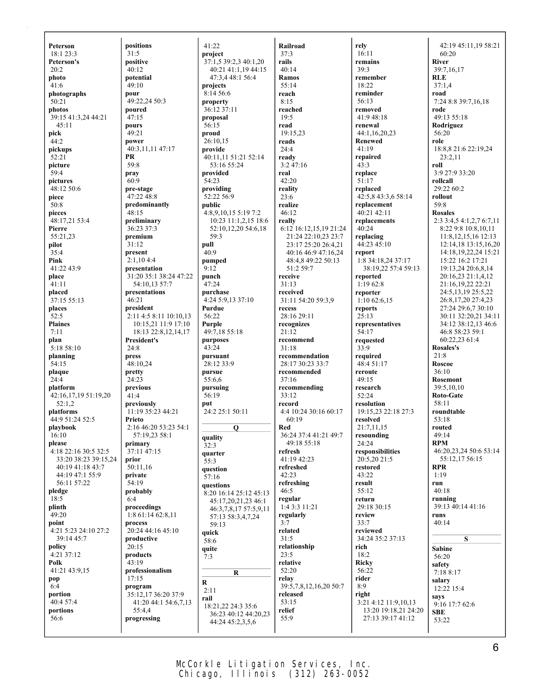**Peterson**  $18.123.3$ **Peterson's** 20:2 **photo** 41:6 **photographs** 50:21 **photos** 39:15 41:3,24 44:21 45:11 **pick** 44:2 **pickups**  $52.21$ **picture** 59:4 **pictures** 48:12 50:6 **piece** 50:8 **pieces** 48:17,21 53:4 **Pierre** 55:21,23 **pilot**  $35:4$ **Pink**  $41.2243.9$ **place** 41:11 **placed** 37:15 55:13 **places** 52:5 **Plaines** 7:11 **plan**  $\overline{5:185:10}$ **planning**  $54:15$ **plaque**  $24:4$ **platform** 42:16,17,19 51:19,20 52:1,2 **platforms** 44:9 51:24 52:5 **playbook** 16:10 **please** 4:18 22:16 30:5 32:5 33:20 38:23 39:15,24 40:19 41:18 43:7 44:19 47:1 55:9 56:11 57:22 **pledge** 18:5 **plinth**  $49:20$ **point** 4:21 5:23 24:10 27:2 39:14 45:7 **policy**  $4:21$  37:12 **Polk** 41:21 43:9,15 **pop** 6:4 **portion** 40:4 57:4 **portions** 56:6

**positions**  $31:5$ **positive**  $40:12$ **potential**  $49.10$ **pour** 49:22,24 50:3 **poured** 47:15 **pours**  $49:21$ **power** 40:3,11,11 47:17 **PR** 59:8 **pray**  $60:9$ **pre-stage** 47:22 48:8 **predominantly** 48:15 **preliminary** 36:23 37:3 **premium**  $31:12$ **present**  $2:1,104:4$ **presentation** 31:20 35:1 38:24 47:22 54:10,13 57:7 **presentations** 46:21 **president**  $2:11\,4:5\,8:11\,10:10.13$ 10:15,21 11:9 17:10 18:13 22:8,12,14,17 **President's**  $24.8$ **press** 48:10,24 **pretty** 24:23 **previous**  $41:4$ **previously** 11:19 35:23 44:21 **Prieto** 2:16 46:20 53:23 54:1 57:19,23 58:1 **primary** 37:11 47:15 **prior** 50:11,16 **private** 54:19 **probably** 6:4 **proceedings** 1:8 61:14 62:8,11 **process**  $20:24$  44:16 45:10 **productive**  $20.15$ **products** 43:19 **professionalism** 17:15 **program** 35:12,17 36:20 37:9 41:20 44:1 54:6,7,13 55:4,4 **progressing**

41:22 **project**  $37:1,539:2,340:1,20$ 40:21 41:1,19 44:15 47:3,4 48:1 56:4 **projects** 8:14 56:6 **property** 36:12 37:11 **proposal** 56:15 **proud** 26:10,15 **provide** 40:11,11 51:21 52:14 53:16 55:24 **provided** 54:23 **providing** 52:22 56:9 **public** 4:8,9,10,15 5:19 7:2 10:23 11:1,2,15 18:6 52:10,12,20 54:6,18 59:3 **pull** 40:9 **pumped**  $9.12$ **punch** 47:24 **purchase** 4:24 5:9,13 37:10 **Purdue** 56:22 **Purple** 49:7,18 55:18 **purposes**  $43:24$ **pursuant** 28:12 33:9 **pursue** 55:6,6 **pursuing** 56:19 **put** 24:2 25:1 50:11 **Q quality**  $32:3$ **quarter**  $55:3$ **question** 57:16 **questions** 8:20 16:14 25:12 45:13 45:17,20,21,23 46:1 46:3,7,8,17 57:5,9,11 57:13 58:3,4,7,24 59:13 **quick** 58:6 **quite** 7:3 **R R** 2:11 **rail** 18:21,22 24:3 35:6 36:23 40:12 44:20,23 44:24 45:2,3,5,6

**Railroad** 37:3 **rails** 40:14 **Ramos** 55:14 **reach** 8:15 **reached** 19:5 **read** 19:15,23 **reads**  $24.4$ **ready** 3:2 47:16 **real** 42:20 **reality** 23:6 **realize** 46:12 **really** 6:12 16:12,15,19 21:24 21:24 22:10,23 23:7 23:17 25:20 26:4,21 40:16 46:9 47:16,24 48:4,8 49:22 50:13  $51.259.7$ **receive** 31:13 **received** 31:11 54:20 59:3,9 **recess** 28:16 29:11 **recognizes**  $21:12$ **recommend** 31:18 **recommendation** 28:17 30:23 33:7 **recommended** 37:16 **recommending** 33:12 **record** 4:4 10:24 30:16 60:17 60:19 **Red** 36:24 37:4 41:21 49:7 49:18 55:18 **refresh** 41:19 42:23 **refreshed** 42:23 **refreshing** 46:5 **regular** 1:4 3:3 11:21 **regularly** 3:7 **related** 31:5 **relationship** 23:5 **relative** 52:20 **relay** 39:5,7,8,12,16,20 50:7 **released** 53:15 **relief** 55:9

**rely** 16:11 **remains** 39:3 **remember** 18:22 **reminder** 56:13 **removed** 41:9 48:18 **renewal** 44:1,16,20,23 **Renewed** 41:19 **repaired**  $43:3$ **replace** 51:17 **replaced** 42:5,8 43:3,6 58:14 **replacement** 40:21 42:11 **replacements**  $40:24$ **replacing** 44:23 45:10 **report** 1:8 34:18,24 37:17 38:19,22 57:4 59:13 **reported** 1:19 62:8 **reporter** 1:10 62:6,15 **reports** 25:13 **representatives** 54:17 **requested**  $33:9$ **required** 48:4 51:17 **reroute** 49:15 **research** 52:24 **resolution** 19:15,23 22:18 27:3 **resolved** 21:7,11,15 **resounding** 24:24 **responsibilities** 20:5,20 21:5 **restored** 43:22 **result** 55:12 **return** 29:18 30:15 **review** 33:7 **reviewed** 34:24 35:2 37:13 **rich** 18:2 **Ricky**  $56.22$ **rider** 8:9 **right** 3:21 4:12 11:9,10,13 13:20 19:18,21 24:20 27:13 39:17 41:12

42:19 45:11,19 58:21 60:20 **River** 39:7,16,17 **RLE** 37:1,4 **road** 7:24 8:8 39:7,16,18 **rode** 49:13 55:18 **Rodriguez** 56:20 **role** 18:8,8 21:6 22:19,24 23:2,11 **roll** 3:9 27:9 33:20 **rollcall** 29:22 60:2 **rollout** 59:8 **Rosales** 2:3 3:4,5 4:1,2,7 6:7,11 8:22 9:8 10:8,10,11 11:8,12,15,16 12:13 12:14,18 13:15,16,20 14:18,19,22,24 15:21 15:22 16:2 17:21 19:13,24 20:6,8,14 20:16,23 21:1,4,12 21:16,19,22 22:21 24:5,13,19 25:5,22 26:8,17,20 27:4,23 27:24 29:6,7 30:10 30:11 32:20,21 34:11 34:12 38:12,13 46:6 46:8 58:23 59:1 60:22,23 61:4 **Rosales's**  $21.8$ **Roscoe**  $36.10$ **Rosemont** 39:5,10,10 **Roto-Gate** 58:11 **roundtable** 53:18 **routed** 49:14 **RPM** 46:20,23,24 50:6 53:14 55:12,17 56:15 **RPR** 1:19 **run**  $40.18$ **running** 39:13 40:14 41:16 **runs** 40:14 **S Sabine** 56:20 **safety** 7:18 8:17 **salary** 12:22 15:4 **says** 9:16 17:7 62:6 **SBE** 53:22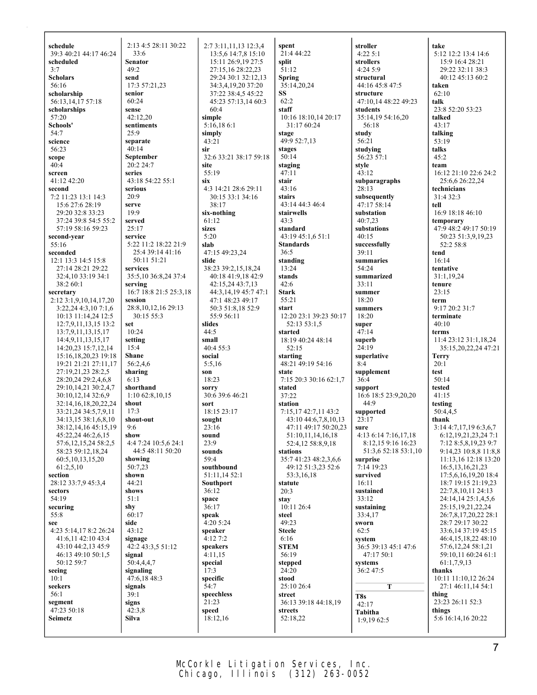| schedule                  | 2:13 4:5 28:11 30:22   | 2:7 3:11,11,13 12:3,4  | spent                  | stroller             | take                     |
|---------------------------|------------------------|------------------------|------------------------|----------------------|--------------------------|
| 39:3 40:21 44:17 46:24    | 33:6                   | 13:5,6 14:7,8 15:10    | 21:4 44:22             | 4:225:1              | 5:12 12:2 13:4 14:6      |
| scheduled                 | Senator                | 15:11 26:9,19 27:5     | split                  | strollers            | 15:9 16:4 28:21          |
| 3:7                       | 49:2                   | 27:15,16 28:22,23      | 51:12                  | 4:24 5:9             | 29:22 32:11 38:3         |
|                           |                        |                        |                        |                      |                          |
| <b>Scholars</b>           | send                   | 29:24 30:1 32:12,13    | <b>Spring</b>          | structural           | 40:12 45:13 60:2         |
| 56:16                     | 17:3 57:21,23          | 34:3,4,19,20 37:20     | 35:14,20,24            | 44:16 45:8 47:5      | taken                    |
| scholarship               | senior                 | 37:22 38:4,5 45:22     | SS                     | structure            | 62:10                    |
| 56:13,14,17 57:18         | 60:24                  | 45:23 57:13,14 60:3    | 62:2                   | 47:10,14 48:22 49:23 | talk                     |
| scholarships              | sense                  | 60:4                   | staff                  | students             | 23:8 52:20 53:23         |
| 57:20                     | 42:12,20               | simple                 | 10:16 18:10,14 20:17   | 35:14,19 54:16,20    | talked                   |
| Schools'                  | sentiments             | 5:16,186:1             | 31:17 60:24            | 56:18                | 43:17                    |
| 54:7                      | 25:9                   | simply                 |                        | study                | talking                  |
|                           |                        |                        | stage                  |                      |                          |
| science                   | separate               | 43:21                  | 49:9 52:7.13           | 56:21                | 53:19                    |
| 56:23                     | 40:14                  | sir                    | stages                 | studving             | talks                    |
| scope                     | September              | 32:6 33:21 38:17 59:18 | 50:14                  | 56:23 57:1           | 45:2                     |
| 40:4                      | 20:2 24:7              | site                   | staging                | style                | team                     |
| screen                    | series                 | 55:19                  | 47:11                  | 43:12                | 16:12 21:10 22:6 24:2    |
| 41:12 42:20               | 43:18 54:22 55:1       | six                    | stair                  | subparagraphs        | 25:6,6 26:22,24          |
| second                    | serious                | 4:3 14:21 28:6 29:11   | 43:16                  | 28:13                | technicians              |
| 7:2 11:23 13:1 14:3       | 20:9                   | 30:15 33:1 34:16       | stairs                 | subsequently         | 31:4 32:3                |
| 15:6 27:6 28:19           | serve                  | 38:17                  | 43:14 44:3 46:4        | 47:17 58:14          | tell                     |
|                           |                        |                        |                        |                      |                          |
| 29:20 32:8 33:23          | 19:9                   | six-nothing            | stairwells             | substation           | 16:9 18:18 46:10         |
| 37:24 39:8 54:5 55:2      | served                 | 61:12                  | 43:3                   | 40:7,23              | temporary                |
| 57:19 58:16 59:23         | 25:17                  | sizes                  | standard               | substations          | 47:9 48:2 49:17 50:19    |
| second-year               | service                | 5:20                   | 43:19 45:1,6 51:1      | 40:15                | 50:23 51:3,9,19,23       |
| 55:16                     | 5:22 11:2 18:22 21:9   | slab                   | <b>Standards</b>       | successfully         | 52:2 58:8                |
| seconded                  | 25:4 39:14 41:16       | 47:15 49:23.24         | 36:5                   | 39:11                | tend                     |
| 12:1 13:3 14:5 15:8       | 50:11 51:21            | slide                  | standing               | summaries            | 16:14                    |
| 27:14 28:21 29:22         | services               |                        | 13:24                  | 54:24                | tentative                |
|                           |                        | 38:23 39:2,15,18,24    |                        |                      |                          |
| 32:4,10 33:19 34:1        | 35:5,10 36:8,24 37:4   | 40:18 41:9,18 42:9     | stands                 | summarized           | 31:1,19,24               |
| 38:2 60:1                 | serving                | 42:15,24 43:7,13       | 42:6                   | 33:11                | tenure                   |
| secretary                 | 16:7 18:8 21:5 25:3,18 | 44:3,14,19 45:7 47:1   | <b>Stark</b>           | summer               | 23:15                    |
| 2:12 3:1,9,10,14,17,20    | session                | 47:1 48:23 49:17       | 55:21                  | 18:20                | term                     |
| 3:22,244:3,107:1,6        | 28:8, 10, 12, 16 29:13 | 50:3 51:8,18 52:9      | start                  | summers              | 9:17 20:2 31:7           |
| 10:13 11:14,24 12:5       | 30:15 55:3             | 55:9 56:11             | 12:20 23:1 39:23 50:17 | 18:20                | terminate                |
| 12:7,9,11,13,15 13:2      | set                    | slides                 | 52:13 53:1,5           | super                | 40:10                    |
| 13:7,9,11,13,15,17        | 10:24                  | 44:5                   | started                | 47:14                | terms                    |
|                           |                        |                        |                        |                      |                          |
| 14:4,9,11,13,15,17        | setting                | small                  | 18:19 40:24 48:14      | superb               | 11:4 23:12 31:1,18,24    |
| 14:20,23 15:7,12,14       | 15:4                   | 40:4 55:3              | 52:15                  | 24:19                | 35:15,20,22,24 47:21     |
| 15:16, 18, 20, 23 19:18   | Shane                  | social                 | starting               | superlative          | <b>Terry</b>             |
| 19:21 21:21 27:11,17      | 56:2,4,6               | 5:5,16                 | 48:21 49:19 54:16      | 8:4                  | 20:1                     |
| 27:19,21,23 28:2,5        | sharing                | son                    | state                  | supplement           | test                     |
| 28:20,24 29:2,4,6,8       | 6:13                   | 18:23                  | 7:15 20:3 30:16 62:1,7 | 36:4                 | 50:14                    |
| 29:10,14,21 30:2,4,7      | shorthand              | sorry                  | stated                 | support              | tested                   |
| 30:10,12,14 32:6,9        | $1:10\,62:8,10,15$     | 30:6 39:6 46:21        | 37:22                  | 16:6 18:5 23:9,20,20 | 41:15                    |
|                           |                        |                        |                        |                      |                          |
| 32:14, 16, 18, 20, 22, 24 | shout                  | sort                   | station                | 44:9                 | testing                  |
| 33:21,24 34:5,7,9,11      | 17:3                   | 18:15 23:17            | 7:15,17 42:7,11 43:2   | supported            | 50:4,4,5                 |
| 34:13,15 38:1,6,8,10      | shout-out              | sought                 | 43:10 44:6,7,8,10,13   | 23:17                | thank                    |
| 38:12,14,16 45:15,19      | 9:6                    | 23:16                  | 47:11 49:17 50:20,23   | sure                 | 3:14 4:7,17,19 6:3,6,7   |
| 45:22,24 46:2,6,15        | show                   | sound                  | 51:10,11,14,16,18      | 4:13 6:14 7:16,17,18 | 6:12, 19, 21, 23, 24 7:1 |
| 57:6, 12, 15, 24 58:2, 5  | 4:4 7:24 10:5,6 24:1   | 23:9                   | 52:4,12 58:8,9,18      | 8:12,15 9:16 16:23   | 7:12 8:5,8,19,23 9:7     |
| 58:23 59:12,18,24         | 44:5 48:11 50:20       | sounds                 | stations               | 51:3,6 52:18 53:1,10 | 9:14,23 10:8,8 11:8,8    |
| 60:5, 10, 13, 15, 20      | showing                | 59:4                   | 35:7 41:23 48:2,3,6,6  | surprise             | 11:13,16 12:18 13:20     |
| 61:2,5,10                 | 50:7,23                | southbound             | 49:12 51:3,23 52:6     | 7:14 19:23           | 16:5, 13, 16, 21, 23     |
|                           |                        |                        |                        |                      |                          |
| section                   | shown                  | 51:11,14 52:1          | 53:3,16,18             | survived             | 17:5,6,16,19,20 18:4     |
| 28:12 33:7,9 45:3,4       | 44:21                  | <b>Southport</b>       | statute                | 16:11                | 18:7 19:15 21:19,23      |
| sectors                   | shows                  | 36:12                  | 20:3                   | sustained            | 22:7,8,10,11 24:13       |
| 54:19                     | 51:1                   | space                  | stay                   | 33:12                | 24:14,14 25:1,4,5,6      |
| securing                  | shy                    | 36:17                  | 10:11 26:4             | sustaining           | 25:15,19,21,22,24        |
| 55:8                      | 60:17                  | speak                  | steel                  | 33:4,17              | 26:7,8,17,20,22 28:1     |
| see                       | side                   | 4:20 5:24              | 49:23                  | sworn                | 28:7 29:17 30:22         |
|                           | 43:12                  |                        |                        | 62:5                 |                          |
| 4:23 5:14,17 8:2 26:24    |                        | speaker                | <b>Steele</b>          |                      | 33:6, 14 37:19 45:15     |
| 41:6,11 42:10 43:4        | signage                | 4:12 7:2               | 6:16                   | system               | 46:4,15,18,22 48:10      |
| 43:10 44:2,13 45:9        | 42:2 43:3,5 51:12      | speakers               | <b>STEM</b>            | 36:5 39:13 45:1 47:6 | 57:6, 12, 24 58:1, 21    |
| 46:13 49:10 50:1,5        | signal                 | 4:11,15                | 56:19                  | 47:17 50:1           | 59:10,11 60:24 61:1      |
| 50:12 59:7                | 50:4,4,4,7             | special                | stepped                | systems              | 61:1,7,9,13              |
| seeing                    | signaling              | 17:3                   | 24:20                  | 36:2 47:5            | thanks                   |
| 10:1                      | 47:6,18 48:3           | specific               | stood                  |                      | 10:11 11:10,12 26:24     |
| seekers                   | signals                | 54:7                   | 25:10 26:4             | T                    | 27:1 46:11,14 54:1       |
| 56:1                      | 39:1                   | speechless             | street                 |                      | thing                    |
|                           |                        | 21:23                  |                        | T8s                  | 23:23 26:11 52:3         |
| segment                   | signs                  |                        | 36:13 39:18 44:18,19   | 42:17                |                          |
| 47:23 50:18               | 42:3.8                 | speed                  | streets                | Tabitha              | things                   |
| Seimetz                   | Silva                  | 18:12,16               | 52:18,22               | 1:9,1962:5           | 5:6 16:14,16 20:22       |
|                           |                        |                        |                        |                      |                          |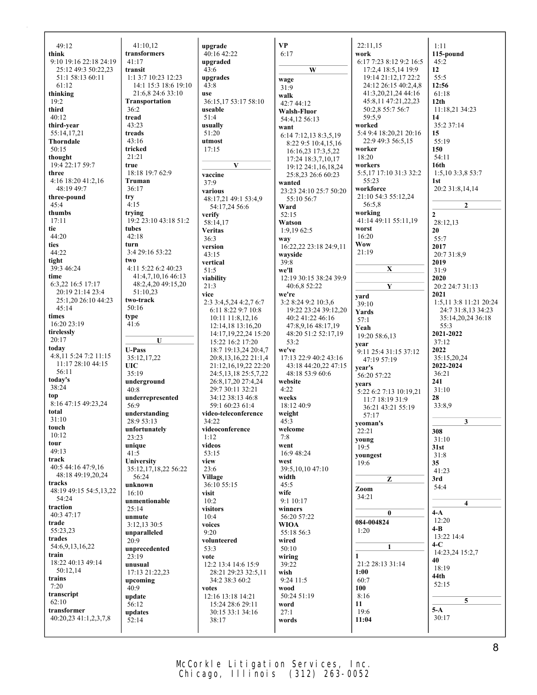| 49:12                            | 41:10,12                                    | upgrade                                          | <b>VP</b>                               | 22:11,15                                    | 1:11                     |
|----------------------------------|---------------------------------------------|--------------------------------------------------|-----------------------------------------|---------------------------------------------|--------------------------|
| think                            | transformers                                | 40:16 42:22                                      | 6:17                                    | work                                        | 115-pound                |
| 9:10 19:16 22:18 24:19           | 41:17                                       | upgraded                                         |                                         | 6:17 7:23 8:12 9:2 16:5                     | 45:2                     |
| 25:12 49:3 50:22,23              | transit                                     | 43:6                                             | W                                       | 17:2,4 18:5,14 19:9                         | 12                       |
| 51:1 58:13 60:11<br>61:12        | 1:1 3:7 10:23 12:23<br>14:1 15:3 18:6 19:10 | upgrades<br>43:8                                 | wage                                    | 19:14 21:12,17 22:2<br>24:12 26:15 40:2,4,8 | 55:5<br>12:56            |
| thinking                         | 21:6,8 24:6 33:10                           | use                                              | 31:9                                    | 41:3,20,21,24 44:16                         | 61:18                    |
| 19:2                             | Transportation                              | 36:15,17 53:17 58:10                             | walk                                    | 45:8,11 47:21,22,23                         | 12 <sub>th</sub>         |
| third                            | 36:2                                        | useable                                          | 42:7 44:12<br>Walsh-Fluor               | 50:2,8 55:7 56:7                            | 11:18,21 34:23           |
| 40:12                            | tread                                       | 51:4                                             | 54:4,12 56:13                           | 59:5,9                                      | 14                       |
| third-year                       | 43:23                                       | usually                                          | want                                    | worked                                      | 35:2 37:14               |
| 55:14,17,21                      | treads                                      | 51:20                                            | 6:14 7:12,13 8:3,5,19                   | 5:4 9:4 18:20,21 20:16                      | 15                       |
| Thorndale                        | 43:16                                       | utmost                                           | 8:22 9:5 10:4,15,16                     | 22:9 49:3 56:5,15                           | 55:19                    |
| 50:15                            | tricked                                     | 17:15                                            | 16:16,23 17:3,5,22                      | worker                                      | 150                      |
| thought                          | 21:21                                       |                                                  | 17:24 18:3,7,10,17                      | 18:20                                       | 54:11                    |
| 19:4 22:17 59:7                  | true                                        | $\mathbf{V}$                                     | 19:12 24:1,16,18,24                     | workers                                     | 16th                     |
| three                            | 18:18 19:7 62:9<br>Truman                   | vaccine                                          | 25:8,23 26:6 60:23                      | 5:5,17 17:10 31:3 32:2<br>55:23             | 1:5,10 3:3,8 53:7<br>1st |
| 4:16 18:20 41:2,16<br>48:19 49:7 | 36:17                                       | 37:9                                             | wanted                                  | workforce                                   | 20:2 31:8,14,14          |
| three-pound                      | try                                         | various                                          | 23:23 24:10 25:7 50:20                  | 21:10 54:3 55:12,24                         |                          |
| 45:4                             | 4:15                                        | 48:17,21 49:1 53:4,9<br>54:17,24 56:6            | 55:10 56:7<br>Ward                      | 56:5,8                                      | $\overline{2}$           |
| thumbs                           | trying                                      | verify                                           | 52:15                                   | working                                     | $\mathbf{2}$             |
| 17:11                            | 19:2 23:10 43:18 51:2                       | 58:14,17                                         | Watson                                  | 41:14 49:11 55:11,19                        | 28:12,13                 |
| tie                              | tubes                                       | <b>Veritas</b>                                   | 1:9,19 62:5                             | worst                                       | 20                       |
| 44:20                            | 42:18                                       | 36:3                                             | way                                     | 16:20                                       | 55:7                     |
| ties                             | turn                                        | version                                          | 16:22,22 23:18 24:9,11                  | <b>Wow</b>                                  | 2017                     |
| 44:22                            | 3:4 29:16 53:22                             | 43:15                                            | wayside                                 | 21:19                                       | 20:7 31:8.9              |
| tight                            | two                                         | vertical                                         | 39:8                                    |                                             | 2019                     |
| 39:3 46:24<br>time               | 4:11 5:22 6:2 40:23<br>41:4,7,10,16 46:13   | 51:5                                             | we'll                                   | $\mathbf{X}$                                | 31:9                     |
| 6:3,22 16:5 17:17                | 48:2,4,20 49:15,20                          | viability                                        | 12:19 30:15 38:24 39:9                  |                                             | 2020<br>20:2 24:7 31:13  |
| 20:19 21:14 23:4                 | 51:10,23                                    | 21:3<br>vice                                     | 40:6,8 52:22<br>we're                   | $\mathbf{Y}$                                | 2021                     |
| 25:1,20 26:10 44:23              | two-track                                   | 2:3 3:4,5,24 4:2,7 6:7                           | 3:2 8:24 9:2 10:3,6                     | yard                                        | 1:5,11 3:8 11:21 20:24   |
| 45:14                            | 50:16                                       | 6:11 8:22 9:7 10:8                               | 19:22 23:24 39:12,20                    | 39:10<br>Yards                              | 24:7 31:8,13 34:23       |
| times                            | type                                        | 10:11 11:8,12,16                                 | 40:2 41:22 46:16                        | 57:1                                        | 35:14,20,24 36:18        |
| 16:20 23:19                      | 41:6                                        | 12:14,18 13:16,20                                | 47:8,9,16 48:17,19                      | Yeah                                        | 55:3                     |
| tirelessly                       |                                             | 14:17, 19, 22, 24 15: 20                         | 48:20 51:2 52:17,19                     | 19:20 58:6,13                               | 2021-2022                |
| 20:17                            | U                                           | 15:22 16:2 17:20                                 | 53:2                                    | year                                        | 37:12                    |
| today<br>4:8,11 5:24 7:2 11:15   | <b>U-Pass</b>                               | 18:7 19:13,24 20:4,7                             | we've                                   | 9:11 25:4 31:15 37:12                       | 2022                     |
| 11:17 28:10 44:15                | 35:12,17,22                                 | 20:8, 13, 16, 22 21:1, 4                         | 17:13 22:9 40:2 43:16                   | 47:19 57:19                                 | 35:15,20,24              |
| 56:11                            | <b>UIC</b><br>35:19                         | 21:12,16,19,22 22:20<br>24:5, 13, 18 25:5, 7, 22 | 43:18 44:20,22 47:15<br>48:18 53:9 60:6 | year's                                      | 2022-2024<br>36:21       |
| today's                          | underground                                 | 26:8,17,20 27:4,24                               | website                                 | 56:20 57:22                                 | 241                      |
| 38:24                            | 40:8                                        | 29:7 30:11 32:21                                 | 4:22                                    | years<br>5:22 6:2 7:13 10:19,21             | 31:10                    |
| top                              | underrepresented                            | 34:12 38:13 46:8                                 | weeks                                   | 11:7 18:19 31:9                             | 28                       |
| 8:16 47:15 49:23,24              | 56:9                                        | 59:1 60:23 61:4                                  | 18:12 40:9                              | 36:21 43:21 55:19                           | 33:8,9                   |
| total                            | understanding                               | video-teleconference                             | weight                                  | 57:17                                       |                          |
| 31:10<br>touch                   | 28:9 53:13                                  | 34:22                                            | 45:3                                    | yeoman's                                    | 3                        |
| 10:12                            | unfortunately                               | videoconference                                  | welcome                                 | 22:21                                       | 308                      |
| tour                             | 23:23<br>unique                             | 1:12<br>videos                                   | 7:8                                     | young                                       | 31:10                    |
| 49:13                            | 41:5                                        | 53:15                                            | went<br>16:9 48:24                      | 19:5                                        | 31st                     |
| track                            | University                                  | view                                             | west                                    | youngest<br>19:6                            | 31:8<br>35               |
| 40:5 44:16 47:9,16               | 35:12,17,18,22 56:22                        | 23:6                                             | 39:5,10,10 47:10                        |                                             | 41:23                    |
| 48:18 49:19,20,24                | 56:24                                       | Village                                          | width                                   | Z                                           | 3rd                      |
| tracks                           | unknown                                     | 36:10 55:15                                      | 45:5                                    | Zoom                                        | 54:4                     |
| 48:19 49:15 54:5,13,22           | 16:10                                       | visit                                            | wife                                    | 34:21                                       |                          |
| 54:24<br>traction                | unmentionable                               | 10:2                                             | 9:1 10:17                               |                                             | 4                        |
| 40:3 47:17                       | 25:14                                       | visitors                                         | winners                                 | $\bf{0}$                                    | $4-A$                    |
| trade                            | unmute<br>3:12,13 30:5                      | 10:4<br>voices                                   | 56:20 57:22<br><b>WIOA</b>              | 084-004824                                  | 12:20                    |
| 55:23,23                         | unparalleled                                | 9:20                                             | 55:18 56:3                              | 1:20                                        | $4 - B$                  |
| trades                           | 20:9                                        | volunteered                                      | wired                                   |                                             | 13:22 14:4               |
| 54:6,9,13,16,22                  | unprecedented                               | 53:3                                             | 50:10                                   | $\mathbf{1}$                                | 4-C                      |
| train                            | 23:19                                       | vote                                             | wiring                                  | $\mathbf{1}$                                | 14:23,24 15:2,7<br>40    |
| 18:22 40:13 49:14                | unusual                                     | 12:2 13:4 14:6 15:9                              | 39:22                                   | 21:2 28:13 31:14                            | 18:19                    |
|                                  |                                             | 28:21 29:23 32:5,11                              | wish                                    | 1:00                                        | 44th                     |
| 50:12,14                         | 17:13 21:22,23                              |                                                  |                                         |                                             |                          |
| trains                           | upcoming                                    | 34:2 38:3 60:2                                   | 9:24 11:5                               | 60:7                                        | 52:15                    |
| 7:20                             | 40:9                                        | votes                                            | wood                                    | 100                                         |                          |
| transcript<br>62:10              | update                                      | 12:16 13:18 14:21                                | 50:24 51:19                             | 8:16                                        | 5                        |
| transformer                      | 56:12                                       | 15:24 28:6 29:11<br>30:15 33:1 34:16             | word<br>27:1                            | 11<br>19:6                                  | $5-A$                    |
| 40:20,23 41:1,2,3,7,8            | updates<br>52:14                            | 38:17                                            | words                                   | 11:04                                       | 30:17                    |